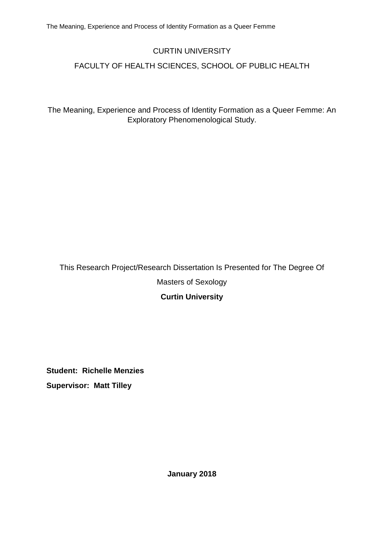## CURTIN UNIVERSITY

## FACULTY OF HEALTH SCIENCES, SCHOOL OF PUBLIC HEALTH

The Meaning, Experience and Process of Identity Formation as a Queer Femme: An Exploratory Phenomenological Study.

# This Research Project/Research Dissertation Is Presented for The Degree Of Masters of Sexology **Curtin University**

**Student: Richelle Menzies Supervisor: Matt Tilley**

**January 2018**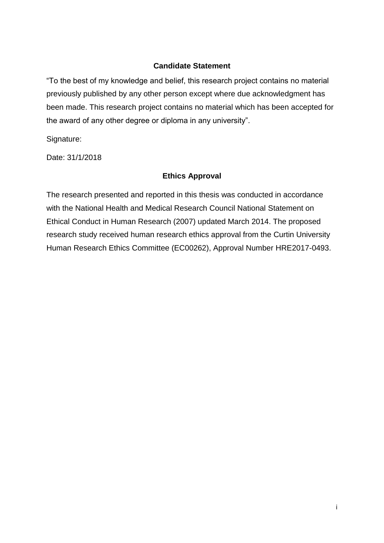### **Candidate Statement**

"To the best of my knowledge and belief, this research project contains no material previously published by any other person except where due acknowledgment has been made. This research project contains no material which has been accepted for the award of any other degree or diploma in any university".

Signature:

Date: 31/1/2018

## **Ethics Approval**

The research presented and reported in this thesis was conducted in accordance with the National Health and Medical Research Council National Statement on Ethical Conduct in Human Research (2007) updated March 2014. The proposed research study received human research ethics approval from the Curtin University Human Research Ethics Committee (EC00262), Approval Number HRE2017-0493.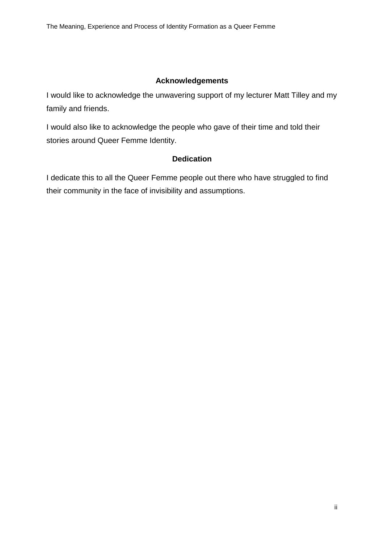### **Acknowledgements**

I would like to acknowledge the unwavering support of my lecturer Matt Tilley and my family and friends.

I would also like to acknowledge the people who gave of their time and told their stories around Queer Femme Identity.

## **Dedication**

I dedicate this to all the Queer Femme people out there who have struggled to find their community in the face of invisibility and assumptions.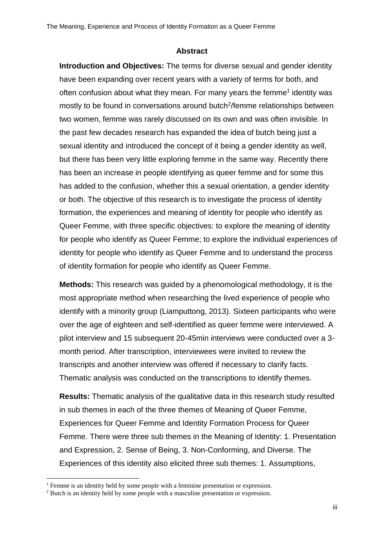#### **Abstract**

**Introduction and Objectives:** The terms for diverse sexual and gender identity have been expanding over recent years with a variety of terms for both, and often confusion about what they mean. For many years the femme<sup>1</sup> identity was mostly to be found in conversations around butch<sup>2</sup>/femme relationships between two women, femme was rarely discussed on its own and was often invisible. In the past few decades research has expanded the idea of butch being just a sexual identity and introduced the concept of it being a gender identity as well, but there has been very little exploring femme in the same way. Recently there has been an increase in people identifying as queer femme and for some this has added to the confusion, whether this a sexual orientation, a gender identity or both. The objective of this research is to investigate the process of identity formation, the experiences and meaning of identity for people who identify as Queer Femme, with three specific objectives: to explore the meaning of identity for people who identify as Queer Femme; to explore the individual experiences of identity for people who identify as Queer Femme and to understand the process of identity formation for people who identify as Queer Femme.

**Methods:** This research was guided by a phenomological methodology, it is the most appropriate method when researching the lived experience of people who identify with a minority group (Liamputtong, 2013). Sixteen participants who were over the age of eighteen and self-identified as queer femme were interviewed. A pilot interview and 15 subsequent 20-45min interviews were conducted over a 3 month period. After transcription, interviewees were invited to review the transcripts and another interview was offered if necessary to clarify facts. Thematic analysis was conducted on the transcriptions to identify themes.

**Results:** Thematic analysis of the qualitative data in this research study resulted in sub themes in each of the three themes of Meaning of Queer Femme, Experiences for Queer Femme and Identity Formation Process for Queer Femme. There were three sub themes in the Meaning of Identity: 1. Presentation and Expression, 2. Sense of Being, 3. Non-Conforming, and Diverse. The Experiences of this identity also elicited three sub themes: 1. Assumptions,

1

<sup>&</sup>lt;sup>1</sup> Femme is an identity held by some people with a feminine presentation or expression.

<sup>&</sup>lt;sup>2</sup> Butch is an identity held by some people with a masculine presentation or expression.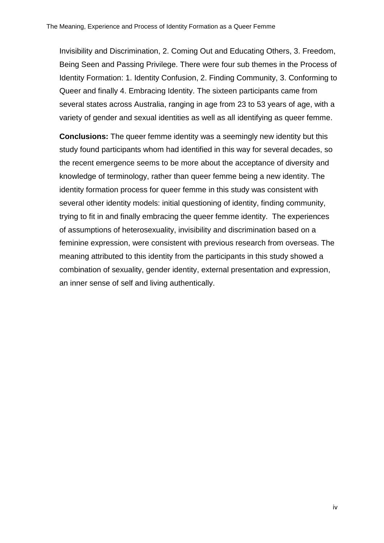Invisibility and Discrimination, 2. Coming Out and Educating Others, 3. Freedom, Being Seen and Passing Privilege. There were four sub themes in the Process of Identity Formation: 1. Identity Confusion, 2. Finding Community, 3. Conforming to Queer and finally 4. Embracing Identity. The sixteen participants came from several states across Australia, ranging in age from 23 to 53 years of age, with a variety of gender and sexual identities as well as all identifying as queer femme.

**Conclusions:** The queer femme identity was a seemingly new identity but this study found participants whom had identified in this way for several decades, so the recent emergence seems to be more about the acceptance of diversity and knowledge of terminology, rather than queer femme being a new identity. The identity formation process for queer femme in this study was consistent with several other identity models: initial questioning of identity, finding community, trying to fit in and finally embracing the queer femme identity. The experiences of assumptions of heterosexuality, invisibility and discrimination based on a feminine expression, were consistent with previous research from overseas. The meaning attributed to this identity from the participants in this study showed a combination of sexuality, gender identity, external presentation and expression, an inner sense of self and living authentically.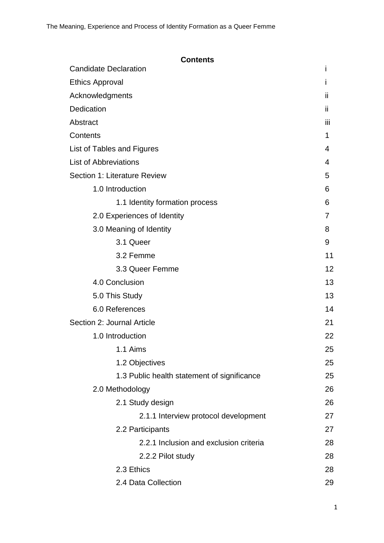| <b>Contents</b>                             |     |  |
|---------------------------------------------|-----|--|
| <b>Candidate Declaration</b>                | Ť   |  |
| <b>Ethics Approval</b>                      |     |  |
| Acknowledgments                             |     |  |
| Dedication                                  | Ϊİ  |  |
| Abstract                                    | ΪİΙ |  |
| Contents                                    | 1   |  |
| List of Tables and Figures                  |     |  |
| <b>List of Abbreviations</b>                |     |  |
| Section 1: Literature Review                |     |  |
| 1.0 Introduction                            | 6   |  |
| 1.1 Identity formation process              | 6   |  |
| 2.0 Experiences of Identity                 | 7   |  |
| 3.0 Meaning of Identity                     | 8   |  |
| 3.1 Queer                                   | 9   |  |
| 3.2 Femme                                   | 11  |  |
| 3.3 Queer Femme                             | 12  |  |
| 4.0 Conclusion                              | 13  |  |
| 5.0 This Study                              | 13  |  |
| 6.0 References                              |     |  |
| Section 2: Journal Article                  | 21  |  |
| 1.0 Introduction                            | 22  |  |
| 1.1 Aims                                    | 25  |  |
| 1.2 Objectives                              | 25  |  |
| 1.3 Public health statement of significance | 25  |  |
| 2.0 Methodology                             | 26  |  |
| 2.1 Study design                            | 26  |  |
| 2.1.1 Interview protocol development        | 27  |  |
| 2.2 Participants                            | 27  |  |
| 2.2.1 Inclusion and exclusion criteria      | 28  |  |
| 2.2.2 Pilot study                           | 28  |  |
| 2.3 Ethics                                  | 28  |  |
| 2.4 Data Collection                         | 29  |  |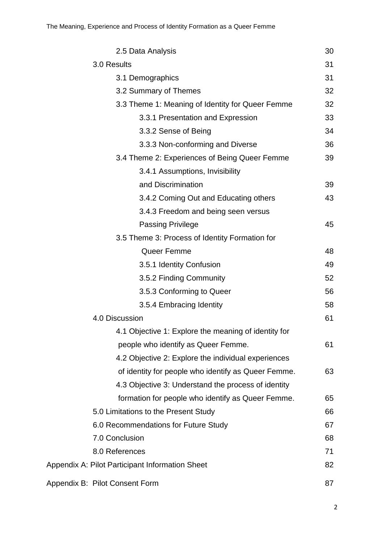| 2.5 Data Analysis                                    | 30 |  |  |  |
|------------------------------------------------------|----|--|--|--|
| 3.0 Results                                          |    |  |  |  |
| 3.1 Demographics                                     | 31 |  |  |  |
| 3.2 Summary of Themes                                | 32 |  |  |  |
| 3.3 Theme 1: Meaning of Identity for Queer Femme     |    |  |  |  |
| 3.3.1 Presentation and Expression                    | 33 |  |  |  |
| 3.3.2 Sense of Being                                 | 34 |  |  |  |
| 3.3.3 Non-conforming and Diverse                     | 36 |  |  |  |
| 3.4 Theme 2: Experiences of Being Queer Femme        |    |  |  |  |
| 3.4.1 Assumptions, Invisibility                      |    |  |  |  |
| and Discrimination                                   | 39 |  |  |  |
| 3.4.2 Coming Out and Educating others                | 43 |  |  |  |
| 3.4.3 Freedom and being seen versus                  |    |  |  |  |
| <b>Passing Privilege</b>                             | 45 |  |  |  |
| 3.5 Theme 3: Process of Identity Formation for       |    |  |  |  |
| Queer Femme                                          | 48 |  |  |  |
| 3.5.1 Identity Confusion                             | 49 |  |  |  |
| 3.5.2 Finding Community                              | 52 |  |  |  |
| 3.5.3 Conforming to Queer                            | 56 |  |  |  |
| 3.5.4 Embracing Identity                             | 58 |  |  |  |
| 4.0 Discussion                                       | 61 |  |  |  |
| 4.1 Objective 1: Explore the meaning of identity for |    |  |  |  |
| people who identify as Queer Femme.                  | 61 |  |  |  |
| 4.2 Objective 2: Explore the individual experiences  |    |  |  |  |
| of identity for people who identify as Queer Femme.  | 63 |  |  |  |
| 4.3 Objective 3: Understand the process of identity  |    |  |  |  |
| formation for people who identify as Queer Femme.    | 65 |  |  |  |
| 5.0 Limitations to the Present Study                 | 66 |  |  |  |
| 6.0 Recommendations for Future Study                 | 67 |  |  |  |
| 7.0 Conclusion                                       | 68 |  |  |  |
| 8.0 References                                       | 71 |  |  |  |
| Appendix A: Pilot Participant Information Sheet      |    |  |  |  |
| Appendix B: Pilot Consent Form                       | 87 |  |  |  |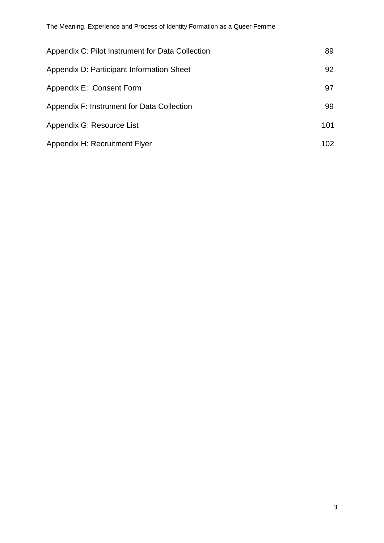| Appendix C: Pilot Instrument for Data Collection | 89  |
|--------------------------------------------------|-----|
| Appendix D: Participant Information Sheet        | 92  |
| Appendix E: Consent Form                         | 97  |
| Appendix F: Instrument for Data Collection       | 99  |
| Appendix G: Resource List                        | 101 |
| Appendix H: Recruitment Flyer                    | 102 |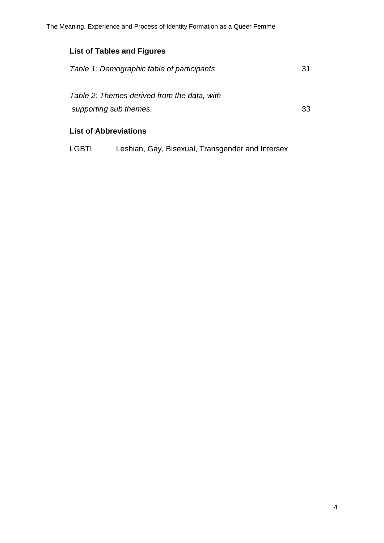## **List of Tables and Figures**

| Table 1: Demographic table of participants  | 31 |  |
|---------------------------------------------|----|--|
| Table 2: Themes derived from the data, with |    |  |
| supporting sub themes.                      | 33 |  |
|                                             |    |  |

## **List of Abbreviations**

LGBTI Lesbian, Gay, Bisexual, Transgender and Intersex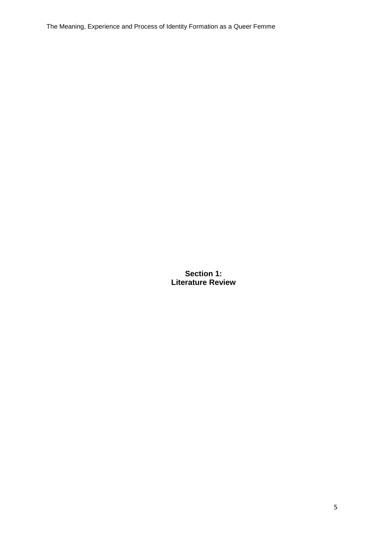The Meaning, Experience and Process of Identity Formation as a Queer Femme

**Section 1: Literature Review**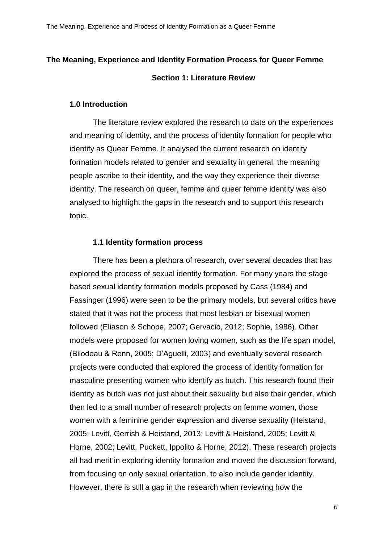# **The Meaning, Experience and Identity Formation Process for Queer Femme Section 1: Literature Review**

#### **1.0 Introduction**

The literature review explored the research to date on the experiences and meaning of identity, and the process of identity formation for people who identify as Queer Femme. It analysed the current research on identity formation models related to gender and sexuality in general, the meaning people ascribe to their identity, and the way they experience their diverse identity. The research on queer, femme and queer femme identity was also analysed to highlight the gaps in the research and to support this research topic.

#### **1.1 Identity formation process**

There has been a plethora of research, over several decades that has explored the process of sexual identity formation. For many years the stage based sexual identity formation models proposed by Cass (1984) and Fassinger (1996) were seen to be the primary models, but several critics have stated that it was not the process that most lesbian or bisexual women followed (Eliason & Schope, 2007; Gervacio, 2012; Sophie, 1986). Other models were proposed for women loving women, such as the life span model, (Bilodeau & Renn, 2005; D'Aguelli, 2003) and eventually several research projects were conducted that explored the process of identity formation for masculine presenting women who identify as butch. This research found their identity as butch was not just about their sexuality but also their gender, which then led to a small number of research projects on femme women, those women with a feminine gender expression and diverse sexuality (Heistand, 2005; Levitt, Gerrish & Heistand, 2013; Levitt & Heistand, 2005; Levitt & Horne, 2002; Levitt, Puckett, Ippolito & Horne, 2012). These research projects all had merit in exploring identity formation and moved the discussion forward, from focusing on only sexual orientation, to also include gender identity. However, there is still a gap in the research when reviewing how the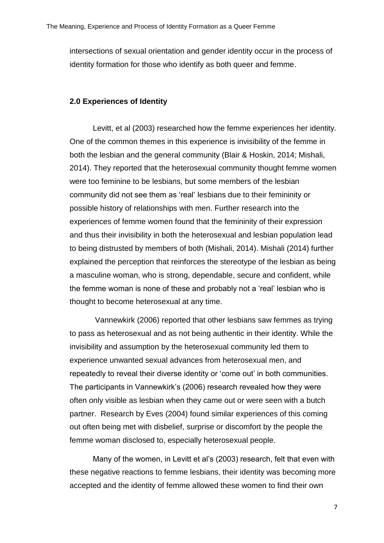intersections of sexual orientation and gender identity occur in the process of identity formation for those who identify as both queer and femme.

#### **2.0 Experiences of Identity**

Levitt, et al (2003) researched how the femme experiences her identity. One of the common themes in this experience is invisibility of the femme in both the lesbian and the general community (Blair & Hoskin, 2014; Mishali, 2014). They reported that the heterosexual community thought femme women were too feminine to be lesbians, but some members of the lesbian community did not see them as 'real' lesbians due to their femininity or possible history of relationships with men. Further research into the experiences of femme women found that the femininity of their expression and thus their invisibility in both the heterosexual and lesbian population lead to being distrusted by members of both (Mishali, 2014). Mishali (2014) further explained the perception that reinforces the stereotype of the lesbian as being a masculine woman, who is strong, dependable, secure and confident, while the femme woman is none of these and probably not a 'real' lesbian who is thought to become heterosexual at any time.

Vannewkirk (2006) reported that other lesbians saw femmes as trying to pass as heterosexual and as not being authentic in their identity. While the invisibility and assumption by the heterosexual community led them to experience unwanted sexual advances from heterosexual men, and repeatedly to reveal their diverse identity or 'come out' in both communities. The participants in Vannewkirk's (2006) research revealed how they were often only visible as lesbian when they came out or were seen with a butch partner. Research by Eves (2004) found similar experiences of this coming out often being met with disbelief, surprise or discomfort by the people the femme woman disclosed to, especially heterosexual people.

Many of the women, in Levitt et al's (2003) research, felt that even with these negative reactions to femme lesbians, their identity was becoming more accepted and the identity of femme allowed these women to find their own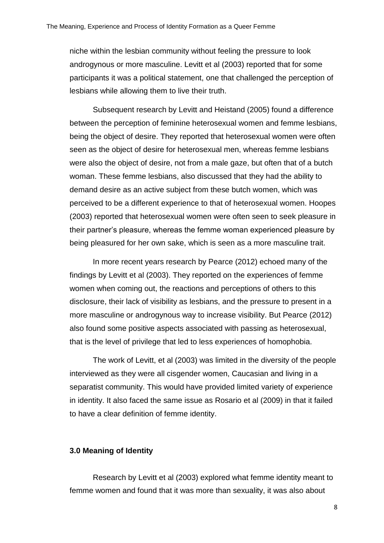niche within the lesbian community without feeling the pressure to look androgynous or more masculine. Levitt et al (2003) reported that for some participants it was a political statement, one that challenged the perception of lesbians while allowing them to live their truth.

Subsequent research by Levitt and Heistand (2005) found a difference between the perception of feminine heterosexual women and femme lesbians, being the object of desire. They reported that heterosexual women were often seen as the object of desire for heterosexual men, whereas femme lesbians were also the object of desire, not from a male gaze, but often that of a butch woman. These femme lesbians, also discussed that they had the ability to demand desire as an active subject from these butch women, which was perceived to be a different experience to that of heterosexual women. Hoopes (2003) reported that heterosexual women were often seen to seek pleasure in their partner's pleasure, whereas the femme woman experienced pleasure by being pleasured for her own sake, which is seen as a more masculine trait.

In more recent years research by Pearce (2012) echoed many of the findings by Levitt et al (2003). They reported on the experiences of femme women when coming out, the reactions and perceptions of others to this disclosure, their lack of visibility as lesbians, and the pressure to present in a more masculine or androgynous way to increase visibility. But Pearce (2012) also found some positive aspects associated with passing as heterosexual, that is the level of privilege that led to less experiences of homophobia.

The work of Levitt, et al (2003) was limited in the diversity of the people interviewed as they were all cisgender women, Caucasian and living in a separatist community. This would have provided limited variety of experience in identity. It also faced the same issue as Rosario et al (2009) in that it failed to have a clear definition of femme identity.

#### **3.0 Meaning of Identity**

Research by Levitt et al (2003) explored what femme identity meant to femme women and found that it was more than sexuality, it was also about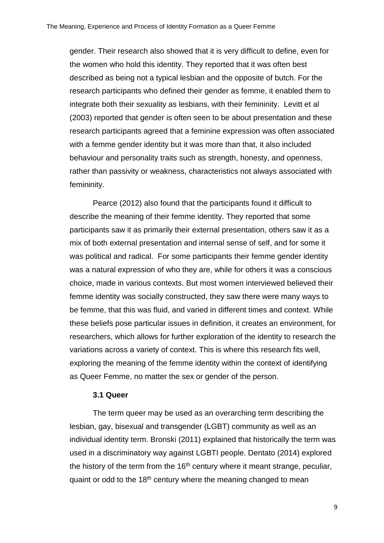gender. Their research also showed that it is very difficult to define, even for the women who hold this identity. They reported that it was often best described as being not a typical lesbian and the opposite of butch. For the research participants who defined their gender as femme, it enabled them to integrate both their sexuality as lesbians, with their femininity. Levitt et al (2003) reported that gender is often seen to be about presentation and these research participants agreed that a feminine expression was often associated with a femme gender identity but it was more than that, it also included behaviour and personality traits such as strength, honesty, and openness, rather than passivity or weakness, characteristics not always associated with femininity.

Pearce (2012) also found that the participants found it difficult to describe the meaning of their femme identity. They reported that some participants saw it as primarily their external presentation, others saw it as a mix of both external presentation and internal sense of self, and for some it was political and radical. For some participants their femme gender identity was a natural expression of who they are, while for others it was a conscious choice, made in various contexts. But most women interviewed believed their femme identity was socially constructed, they saw there were many ways to be femme, that this was fluid, and varied in different times and context. While these beliefs pose particular issues in definition, it creates an environment, for researchers, which allows for further exploration of the identity to research the variations across a variety of context. This is where this research fits well, exploring the meaning of the femme identity within the context of identifying as Queer Femme, no matter the sex or gender of the person.

#### **3.1 Queer**

The term queer may be used as an overarching term describing the lesbian, gay, bisexual and transgender (LGBT) community as well as an individual identity term. Bronski (2011) explained that historically the term was used in a discriminatory way against LGBTI people. Dentato (2014) explored the history of the term from the  $16<sup>th</sup>$  century where it meant strange, peculiar, quaint or odd to the 18<sup>th</sup> century where the meaning changed to mean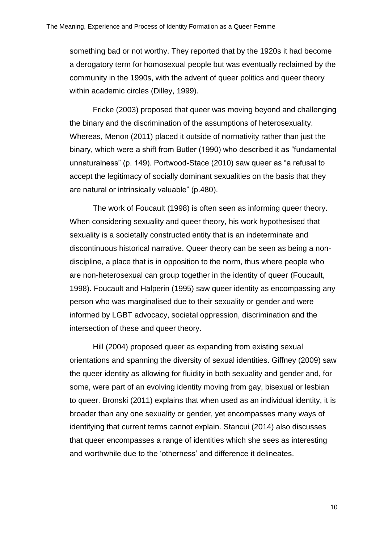something bad or not worthy. They reported that by the 1920s it had become a derogatory term for homosexual people but was eventually reclaimed by the community in the 1990s, with the advent of queer politics and queer theory within academic circles (Dilley, 1999).

Fricke (2003) proposed that queer was moving beyond and challenging the binary and the discrimination of the assumptions of heterosexuality. Whereas, Menon (2011) placed it outside of normativity rather than just the binary, which were a shift from Butler (1990) who described it as "fundamental unnaturalness" (p. 149). Portwood-Stace (2010) saw queer as "a refusal to accept the legitimacy of socially dominant sexualities on the basis that they are natural or intrinsically valuable" (p.480).

The work of Foucault (1998) is often seen as informing queer theory. When considering sexuality and queer theory, his work hypothesised that sexuality is a societally constructed entity that is an indeterminate and discontinuous historical narrative. Queer theory can be seen as being a nondiscipline, a place that is in opposition to the norm, thus where people who are non-heterosexual can group together in the identity of queer (Foucault, 1998). Foucault and Halperin (1995) saw queer identity as encompassing any person who was marginalised due to their sexuality or gender and were informed by LGBT advocacy, societal oppression, discrimination and the intersection of these and queer theory.

Hill (2004) proposed queer as expanding from existing sexual orientations and spanning the diversity of sexual identities. Giffney (2009) saw the queer identity as allowing for fluidity in both sexuality and gender and, for some, were part of an evolving identity moving from gay, bisexual or lesbian to queer. Bronski (2011) explains that when used as an individual identity, it is broader than any one sexuality or gender, yet encompasses many ways of identifying that current terms cannot explain. Stancui (2014) also discusses that queer encompasses a range of identities which she sees as interesting and worthwhile due to the 'otherness' and difference it delineates.

10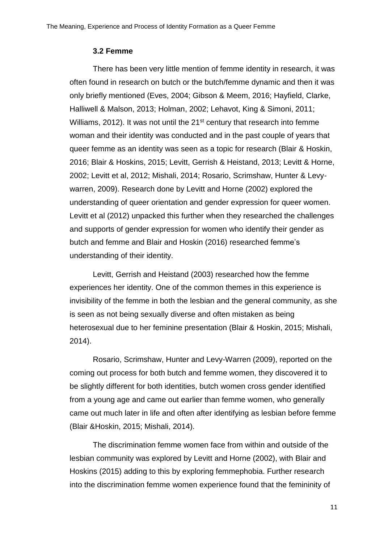#### **3.2 Femme**

There has been very little mention of femme identity in research, it was often found in research on butch or the butch/femme dynamic and then it was only briefly mentioned (Eves, 2004; Gibson & Meem, 2016; Hayfield, Clarke, Halliwell & Malson, 2013; Holman, 2002; Lehavot, King & Simoni, 2011; Williams, 2012). It was not until the 21<sup>st</sup> century that research into femme woman and their identity was conducted and in the past couple of years that queer femme as an identity was seen as a topic for research (Blair & Hoskin, 2016; Blair & Hoskins, 2015; Levitt, Gerrish & Heistand, 2013; Levitt & Horne, 2002; Levitt et al, 2012; Mishali, 2014; Rosario, Scrimshaw, Hunter & Levywarren, 2009). Research done by Levitt and Horne (2002) explored the understanding of queer orientation and gender expression for queer women. Levitt et al (2012) unpacked this further when they researched the challenges and supports of gender expression for women who identify their gender as butch and femme and Blair and Hoskin (2016) researched femme's understanding of their identity.

Levitt, Gerrish and Heistand (2003) researched how the femme experiences her identity. One of the common themes in this experience is invisibility of the femme in both the lesbian and the general community, as she is seen as not being sexually diverse and often mistaken as being heterosexual due to her feminine presentation (Blair & Hoskin, 2015; Mishali, 2014).

Rosario, Scrimshaw, Hunter and Levy-Warren (2009), reported on the coming out process for both butch and femme women, they discovered it to be slightly different for both identities, butch women cross gender identified from a young age and came out earlier than femme women, who generally came out much later in life and often after identifying as lesbian before femme (Blair &Hoskin, 2015; Mishali, 2014).

The discrimination femme women face from within and outside of the lesbian community was explored by Levitt and Horne (2002), with Blair and Hoskins (2015) adding to this by exploring femmephobia. Further research into the discrimination femme women experience found that the femininity of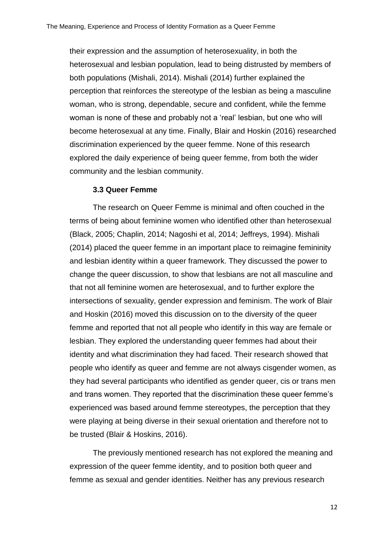their expression and the assumption of heterosexuality, in both the heterosexual and lesbian population, lead to being distrusted by members of both populations (Mishali, 2014). Mishali (2014) further explained the perception that reinforces the stereotype of the lesbian as being a masculine woman, who is strong, dependable, secure and confident, while the femme woman is none of these and probably not a 'real' lesbian, but one who will become heterosexual at any time. Finally, Blair and Hoskin (2016) researched discrimination experienced by the queer femme. None of this research explored the daily experience of being queer femme, from both the wider community and the lesbian community.

#### **3.3 Queer Femme**

The research on Queer Femme is minimal and often couched in the terms of being about feminine women who identified other than heterosexual (Black, 2005; Chaplin, 2014; Nagoshi et al, 2014; Jeffreys, 1994). Mishali (2014) placed the queer femme in an important place to reimagine femininity and lesbian identity within a queer framework. They discussed the power to change the queer discussion, to show that lesbians are not all masculine and that not all feminine women are heterosexual, and to further explore the intersections of sexuality, gender expression and feminism. The work of Blair and Hoskin (2016) moved this discussion on to the diversity of the queer femme and reported that not all people who identify in this way are female or lesbian. They explored the understanding queer femmes had about their identity and what discrimination they had faced. Their research showed that people who identify as queer and femme are not always cisgender women, as they had several participants who identified as gender queer, cis or trans men and trans women. They reported that the discrimination these queer femme's experienced was based around femme stereotypes, the perception that they were playing at being diverse in their sexual orientation and therefore not to be trusted (Blair & Hoskins, 2016).

The previously mentioned research has not explored the meaning and expression of the queer femme identity, and to position both queer and femme as sexual and gender identities. Neither has any previous research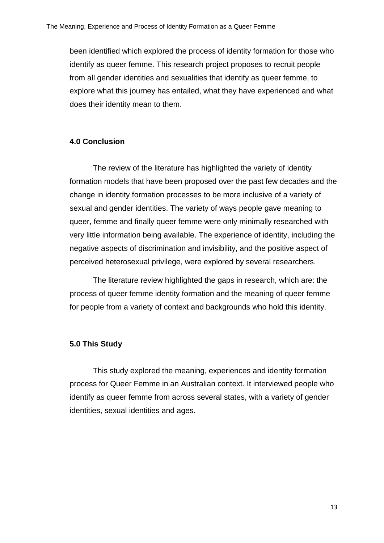been identified which explored the process of identity formation for those who identify as queer femme. This research project proposes to recruit people from all gender identities and sexualities that identify as queer femme, to explore what this journey has entailed, what they have experienced and what does their identity mean to them.

#### **4.0 Conclusion**

The review of the literature has highlighted the variety of identity formation models that have been proposed over the past few decades and the change in identity formation processes to be more inclusive of a variety of sexual and gender identities. The variety of ways people gave meaning to queer, femme and finally queer femme were only minimally researched with very little information being available. The experience of identity, including the negative aspects of discrimination and invisibility, and the positive aspect of perceived heterosexual privilege, were explored by several researchers.

The literature review highlighted the gaps in research, which are: the process of queer femme identity formation and the meaning of queer femme for people from a variety of context and backgrounds who hold this identity.

#### **5.0 This Study**

This study explored the meaning, experiences and identity formation process for Queer Femme in an Australian context. It interviewed people who identify as queer femme from across several states, with a variety of gender identities, sexual identities and ages.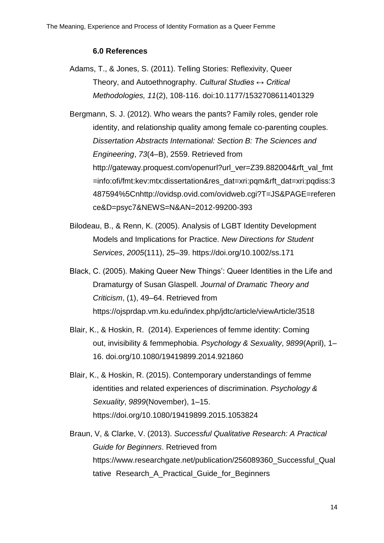#### **6.0 References**

Adams, T., & Jones, S. (2011). Telling Stories: Reflexivity, Queer Theory, and Autoethnography. *Cultural Studies ↔ Critical Methodologies, 11*(2), 108-116. doi:10.1177/1532708611401329

Bergmann, S. J. (2012). Who wears the pants? Family roles, gender role identity, and relationship quality among female co-parenting couples. *Dissertation Abstracts International: Section B: The Sciences and Engineering*, *73*(4–B), 2559. Retrieved from [http://gateway.proquest.com/openurl?url\\_ver=Z39.882004&rft\\_val\\_fmt](http://gateway.proquest.com/openurl?url_ver=Z39.882004&rft_val_fmt=info:ofi%09/fmt:kev:mtx:dissertation&res_dat=xri:pqm&rft_dat=xri:pqdiss:3487594%5Cnh%09ttp://ovidsp.ovid.com/ovidweb.cgi?T=JS&PAGE=reference&D=psyc7&NEWS%09=N&AN=2012-99200-393) [=info:ofi/fmt:kev:mtx:dissertation&res\\_dat=xri:pqm&rft\\_dat=xri:pqdiss:3](http://gateway.proquest.com/openurl?url_ver=Z39.882004&rft_val_fmt=info:ofi%09/fmt:kev:mtx:dissertation&res_dat=xri:pqm&rft_dat=xri:pqdiss:3487594%5Cnh%09ttp://ovidsp.ovid.com/ovidweb.cgi?T=JS&PAGE=reference&D=psyc7&NEWS%09=N&AN=2012-99200-393) [487594%5Cnhttp://ovidsp.ovid.com/ovidweb.cgi?T=JS&PAGE=referen](http://gateway.proquest.com/openurl?url_ver=Z39.882004&rft_val_fmt=info:ofi%09/fmt:kev:mtx:dissertation&res_dat=xri:pqm&rft_dat=xri:pqdiss:3487594%5Cnh%09ttp://ovidsp.ovid.com/ovidweb.cgi?T=JS&PAGE=reference&D=psyc7&NEWS%09=N&AN=2012-99200-393) [ce&D=psyc7&NEWS=N&AN=2012-99200-393](http://gateway.proquest.com/openurl?url_ver=Z39.882004&rft_val_fmt=info:ofi%09/fmt:kev:mtx:dissertation&res_dat=xri:pqm&rft_dat=xri:pqdiss:3487594%5Cnh%09ttp://ovidsp.ovid.com/ovidweb.cgi?T=JS&PAGE=reference&D=psyc7&NEWS%09=N&AN=2012-99200-393)

- Bilodeau, B., & Renn, K. (2005). Analysis of LGBT Identity Development Models and Implications for Practice. *New Directions for Student Services*, *2005*(111), 25–39.<https://doi.org/10.1002/ss.171>
- Black, C. (2005). Making Queer New Things': Queer Identities in the Life and Dramaturgy of Susan Glaspell. *Journal of Dramatic Theory and Criticism*, (1), 49–64. Retrieved from <https://ojsprdap.vm.ku.edu/index.php/jdtc/article/viewArticle/3518>
- Blair, K., & Hoskin, R. (2014). Experiences of femme identity: Coming out, invisibility & femmephobia. *Psychology & Sexuality*, *9899*(April), 1– 16. doi.org/10.1080/19419899.2014.921860
- Blair, K., & Hoskin, R. (2015). Contemporary understandings of femme identities and related experiences of discrimination. *Psychology & Sexuality*, *9899*(November), 1–15. <https://doi.org/10.1080/19419899.2015.1053824>
- Braun, V, & Clarke, V. (2013). *Successful Qualitative Research: A Practical Guide for Beginners*. Retrieved from [https://www.researchgate.net/publication/256089360\\_Successful\\_Qual](https://www.researchgate.net/publication/256089360_Successful_Qual%09tative%20%09Research_A_Practical_Guide_for_Beginners)\_ tative Research A Practical Guide for Beginners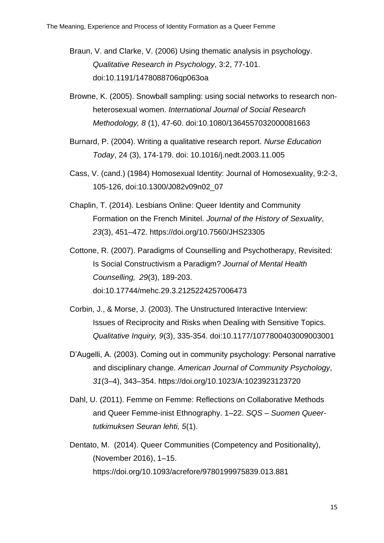- Braun, V. and Clarke, V. (2006) Using thematic analysis in psychology. *Qualitative Research in Psychology*, 3:2, 77-101. doi:10.1191/1478088706qp063oa
- Browne, K. (2005). Snowball sampling: using social networks to research non‐ heterosexual women. *International Journal of Social Research Methodology, 8* (1), 47-60. doi:10.1080/1364557032000081663
- Burnard, P. (2004). Writing a qualitative research report. *Nurse Education Today*, 24 (3), 174-179. doi: 10.1016/j.nedt.2003.11.005
- Cass, V. (cand.) (1984) Homosexual Identity: Journal of Homosexuality, 9:2-3, 105-126, doi:10.1300/J082v09n02\_07
- Chaplin, T. (2014). Lesbians Online: Queer Identity and Community Formation on the French Minitel. *Journal of the History of Sexuality*, *23*(3), 451–472. https://doi.org/10.7560/JHS23305
- Cottone, R. (2007). Paradigms of Counselling and Psychotherapy, Revisited: Is Social Constructivism a Paradigm? *Journal of Mental Health Counselling, 29*(3), 189-203. doi:10.17744/mehc.29.3.2125224257006473
- Corbin, J., & Morse, J. (2003). The Unstructured Interactive Interview: Issues of Reciprocity and Risks when Dealing with Sensitive Topics. *Qualitative Inquiry, 9*(3), 335-354. doi:10.1177/1077800403009003001
- D'Augelli, A. (2003). Coming out in community psychology: Personal narrative and disciplinary change. *American Journal of Community Psychology*, *31*(3–4), 343–354.<https://doi.org/10.1023/A:1023923123720>
- Dahl, U. (2011). Femme on Femme: Reflections on Collaborative Methods and Queer Femme-inist Ethnography. 1–22. *SQS – Suomen Queertutkimuksen Seuran lehti, 5*(1).
- Dentato, M. (2014). Queer Communities (Competency and Positionality), (November 2016), 1–15. <https://doi.org/10.1093/acrefore/9780199975839.013.881>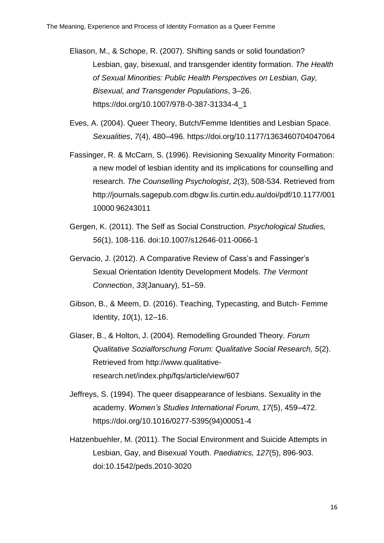Eliason, M., & Schope, R. (2007). Shifting sands or solid foundation? Lesbian, gay, bisexual, and transgender identity formation. *The Health of Sexual Minorities: Public Health Perspectives on Lesbian, Gay, Bisexual, and Transgender Populations*, 3–26. [https://doi.org/10.1007/978-0-387-31334-4\\_1](https://doi.org/10.1007/978-0-387-31334-4_1)

- Eves, A. (2004). Queer Theory, Butch/Femme Identities and Lesbian Space. *Sexualities*, *7*(4), 480–496.<https://doi.org/10.1177/1363460704047064>
- Fassinger, R. & McCarn, S. (1996). Revisioning Sexuality Minority Formation: a new model of lesbian identity and its implications for counselling and research. *The Counselling Psychologist*, *2*(3), 508-534. Retrieved from [http://journals.sagepub.com.dbgw.lis.curtin.edu.au/doi/pdf/10.1177/001](http://journals.sagepub.com.dbgw.lis.curtin.edu.au/doi/pdf/10.1177/001%0910000%0996243011) 10000 [96243011](http://journals.sagepub.com.dbgw.lis.curtin.edu.au/doi/pdf/10.1177/001%0910000%0996243011)
- Gergen, K. (2011). The Self as Social Construction. *Psychological Studies, 56*(1), 108-116. doi:10.1007/s12646-011-0066-1
- Gervacio, J. (2012). A Comparative Review of Cass's and Fassinger's Sexual Orientation Identity Development Models. *The Vermont Connection*, *33*(January), 51–59.
- Gibson, B., & Meem, D. (2016). Teaching, Typecasting, and Butch- Femme Identity, *10*(1), 12–16.
- Glaser, B., & Holton, J. (2004). Remodelling Grounded Theory. *Forum Qualitative Sozialforschung Forum: Qualitative Social Research, 5*(2). Retrieved from http://www.qualitativeresearch.net/index.php/fqs/article/view/607
- Jeffreys, S. (1994). The queer disappearance of lesbians. Sexuality in the academy. *Women's Studies International Forum*, *17*(5), 459–472. [https://doi.org/10.1016/0277-5395\(94\)00051-4](https://doi.org/10.1016/0277-5395(94)00051-4)
- Hatzenbuehler, M. (2011). The Social Environment and Suicide Attempts in Lesbian, Gay, and Bisexual Youth. *Paediatrics, 127*(5), 896-903. doi:10.1542/peds.2010-3020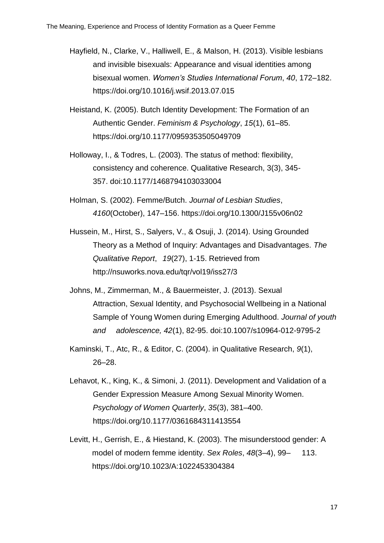- Hayfield, N., Clarke, V., Halliwell, E., & Malson, H. (2013). Visible lesbians and invisible bisexuals: Appearance and visual identities among bisexual women. *Women's Studies International Forum*, *40*, 172–182. <https://doi.org/10.1016/j.wsif.2013.07.015>
- Heistand, K. (2005). Butch Identity Development: The Formation of an Authentic Gender. *Feminism & Psychology*, *15*(1), 61–85. https://doi.org/10.1177/0959353505049709
- Holloway, I., & Todres, L. (2003). The status of method: flexibility, consistency and coherence. Qualitative Research, 3(3), 345- 357. doi:10.1177/1468794103033004
- Holman, S. (2002). Femme/Butch. *Journal of Lesbian Studies*, *4160*(October), 147–156. https://doi.org/10.1300/J155v06n02
- Hussein, M., Hirst, S., Salyers, V., & Osuji, J. (2014). Using Grounded Theory as a Method of Inquiry: Advantages and Disadvantages. *The Qualitative Report*, *19*(27), 1-15. Retrieved from <http://nsuworks.nova.edu/tqr/vol19/iss27/3>
- Johns, M., Zimmerman, M., & Bauermeister, J. (2013). Sexual Attraction, Sexual Identity, and Psychosocial Wellbeing in a National Sample of Young Women during Emerging Adulthood. *Journal of youth and adolescence, 42*(1), 82-95. doi:10.1007/s10964-012-9795-2
- Kaminski, T., Atc, R., & Editor, C. (2004). in Qualitative Research, *9*(1), 26–28.
- Lehavot, K., King, K., & Simoni, J. (2011). Development and Validation of a Gender Expression Measure Among Sexual Minority Women. *Psychology of Women Quarterly*, *35*(3), 381–400. <https://doi.org/10.1177/0361684311413554>
- Levitt, H., Gerrish, E., & Hiestand, K. (2003). The misunderstood gender: A model of modern femme identity. *Sex Roles*, *48*(3–4), 99– 113. <https://doi.org/10.1023/A:1022453304384>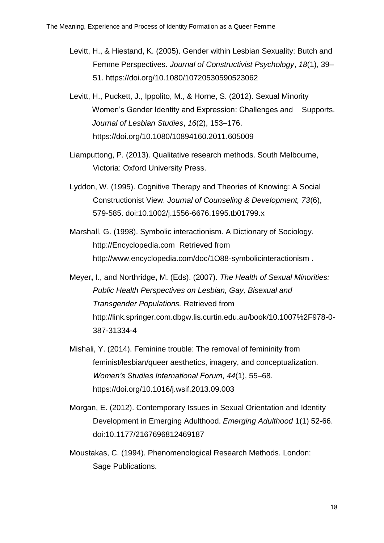- Levitt, H., & Hiestand, K. (2005). Gender within Lesbian Sexuality: Butch and Femme Perspectives. *Journal of Constructivist Psychology*, *18*(1), 39– 51.<https://doi.org/10.1080/10720530590523062>
- Levitt, H., Puckett, J., Ippolito, M., & Horne, S. (2012). Sexual Minority Women's Gender Identity and Expression: Challenges and Supports. *Journal of Lesbian Studies*, *16*(2), 153–176. https://doi.org/10.1080/10894160.2011.605009
- Liamputtong, P. (2013). Qualitative research methods. South Melbourne, Victoria: Oxford University Press.
- Lyddon, W. (1995). Cognitive Therapy and Theories of Knowing: A Social Constructionist View. *Journal of Counseling & Development, 73*(6), 579-585. doi:10.1002/j.1556-6676.1995.tb01799.x
- Marshall, G. (1998). Symbolic interactionism. A Dictionary of Sociology. [http://Encyclopedia.com](http://encyclopedia.com/)Retrieved from <http://www.encyclopedia.com/doc/1O88-symbolicinteractionism> **.**
- Meyer**,** I., and Northridge**,** M. (Eds). (2007). *The Health of Sexual Minorities: Public Health Perspectives on Lesbian, Gay, Bisexual and Transgender Populations.* Retrieved from [http://link.springer.com.dbgw.lis.curtin.edu.au/book/10.1007%2F978-0-](http://link.springer.com.dbgw.lis.curtin.edu.au/book/10.1007%2F978-0-387-%0931334-4) [387-31334-4](http://link.springer.com.dbgw.lis.curtin.edu.au/book/10.1007%2F978-0-387-%0931334-4)
- Mishali, Y. (2014). Feminine trouble: The removal of femininity from feminist/lesbian/queer aesthetics, imagery, and conceptualization. *Women's Studies International Forum*, *44*(1), 55–68. <https://doi.org/10.1016/j.wsif.2013.09.003>
- Morgan, E. (2012). Contemporary Issues in Sexual Orientation and Identity Development in Emerging Adulthood. *Emerging Adulthood* 1(1) 52-66. doi:10.1177/2167696812469187
- Moustakas, C. (1994). Phenomenological Research Methods. London: Sage Publications.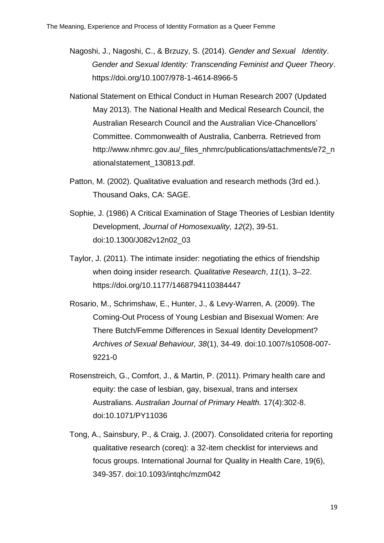- Nagoshi, J., Nagoshi, C., & Brzuzy, S. (2014). *Gender and Sexual Identity*. *Gender and Sexual Identity: Transcending Feminist and Queer Theory*. https://doi.org/10.1007/978-1-4614-8966-5
- National Statement on Ethical Conduct in Human Research 2007 (Updated May 2013). The National Health and Medical Research Council, the Australian Research Council and the Australian Vice-Chancellors' Committee. Commonwealth of Australia, Canberra. Retrieved from [http://www.nhmrc.gov.au/\\_files\\_nhmrc/publications/attachments/e72\\_n](http://www.nhmrc.gov.au/_files_nhmrc/publications/attachments/e72_n%09ational%09statement_130813.pdf) [ationalstatement\\_130813.pdf.](http://www.nhmrc.gov.au/_files_nhmrc/publications/attachments/e72_n%09ational%09statement_130813.pdf)
- Patton, M. (2002). Qualitative evaluation and research methods (3rd ed.). Thousand Oaks, CA: SAGE.
- Sophie, J. (1986) A Critical Examination of Stage Theories of Lesbian Identity Development, *Journal of Homosexuality, 12*(2), 39-51. doi:10.1300/J082v12n02\_03
- Taylor, J. (2011). The intimate insider: negotiating the ethics of friendship when doing insider research. *Qualitative Research*, *11*(1), 3–22. https://doi.org/10.1177/1468794110384447
- Rosario, M., Schrimshaw, E., Hunter, J., & Levy-Warren, A. (2009). The Coming-Out Process of Young Lesbian and Bisexual Women: Are There Butch/Femme Differences in Sexual Identity Development? *Archives of Sexual Behaviour, 38*(1), 34-49. doi:10.1007/s10508-007- 9221-0
- Rosenstreich, G., Comfort, J., & Martin, P. (2011). Primary health care and equity: the case of lesbian, gay, bisexual, trans and intersex Australians. *Australian Journal of Primary Health.* 17(4):302-8. doi:10.1071/PY11036
- Tong, A., Sainsbury, P., & Craig, J. (2007). Consolidated criteria for reporting qualitative research (coreq): a 32-item checklist for interviews and focus groups. International Journal for Quality in Health Care, 19(6), 349-357. doi:10.1093/intqhc/mzm042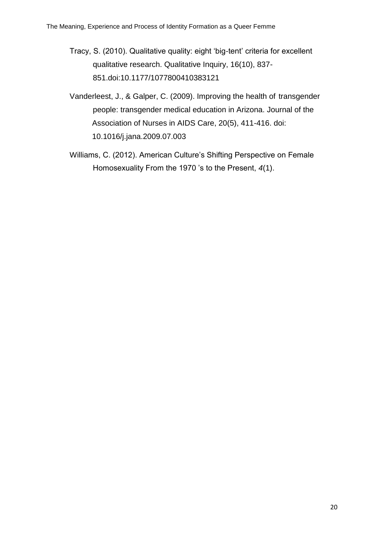- Tracy, S. (2010). Qualitative quality: eight 'big-tent' criteria for excellent qualitative research. Qualitative Inquiry, 16(10), 837- 851.doi:10.1177/1077800410383121
- Vanderleest, J., & Galper, C. (2009). Improving the health of transgender people: transgender medical education in Arizona. Journal of the Association of Nurses in AIDS Care, 20(5), 411-416. doi: 10.1016/j.jana.2009.07.003
- Williams, C. (2012). American Culture's Shifting Perspective on Female Homosexuality From the 1970 's to the Present, *4*(1).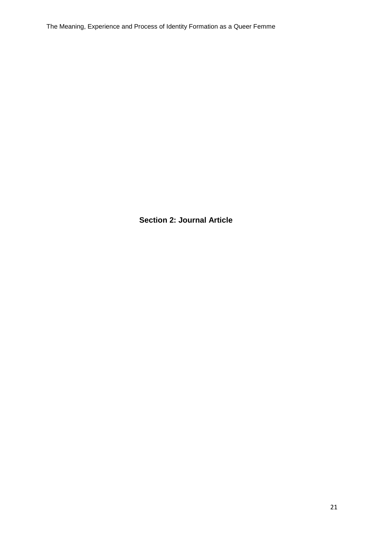The Meaning, Experience and Process of Identity Formation as a Queer Femme

**Section 2: Journal Article**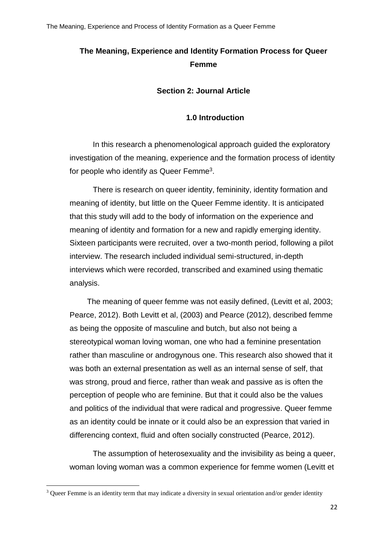## **The Meaning, Experience and Identity Formation Process for Queer Femme**

**Section 2: Journal Article**

## **1.0 Introduction**

In this research a phenomenological approach guided the exploratory investigation of the meaning, experience and the formation process of identity for people who identify as Queer Femme<sup>3</sup>.

There is research on queer identity, femininity, identity formation and meaning of identity, but little on the Queer Femme identity. It is anticipated that this study will add to the body of information on the experience and meaning of identity and formation for a new and rapidly emerging identity. Sixteen participants were recruited, over a two-month period, following a pilot interview. The research included individual semi-structured, in-depth interviews which were recorded, transcribed and examined using thematic analysis.

The meaning of queer femme was not easily defined, (Levitt et al, 2003; Pearce, 2012). Both Levitt et al, (2003) and Pearce (2012), described femme as being the opposite of masculine and butch, but also not being a stereotypical woman loving woman, one who had a feminine presentation rather than masculine or androgynous one. This research also showed that it was both an external presentation as well as an internal sense of self, that was strong, proud and fierce, rather than weak and passive as is often the perception of people who are feminine. But that it could also be the values and politics of the individual that were radical and progressive. Queer femme as an identity could be innate or it could also be an expression that varied in differencing context, fluid and often socially constructed (Pearce, 2012).

The assumption of heterosexuality and the invisibility as being a queer, woman loving woman was a common experience for femme women (Levitt et

**.** 

<sup>&</sup>lt;sup>3</sup> Queer Femme is an identity term that may indicate a diversity in sexual orientation and/or gender identity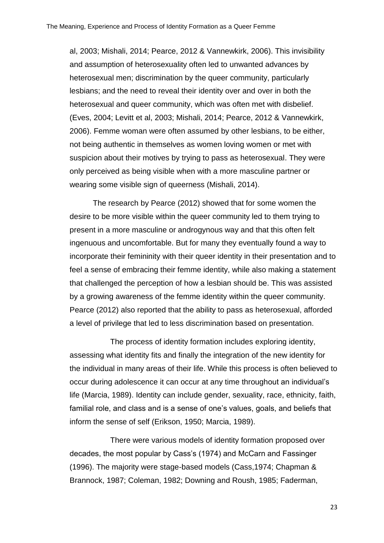al, 2003; Mishali, 2014; Pearce, 2012 & Vannewkirk, 2006). This invisibility and assumption of heterosexuality often led to unwanted advances by heterosexual men; discrimination by the queer community, particularly lesbians; and the need to reveal their identity over and over in both the heterosexual and queer community, which was often met with disbelief. (Eves, 2004; Levitt et al, 2003; Mishali, 2014; Pearce, 2012 & Vannewkirk, 2006). Femme woman were often assumed by other lesbians, to be either, not being authentic in themselves as women loving women or met with suspicion about their motives by trying to pass as heterosexual. They were only perceived as being visible when with a more masculine partner or wearing some visible sign of queerness (Mishali, 2014).

The research by Pearce (2012) showed that for some women the desire to be more visible within the queer community led to them trying to present in a more masculine or androgynous way and that this often felt ingenuous and uncomfortable. But for many they eventually found a way to incorporate their femininity with their queer identity in their presentation and to feel a sense of embracing their femme identity, while also making a statement that challenged the perception of how a lesbian should be. This was assisted by a growing awareness of the femme identity within the queer community. Pearce (2012) also reported that the ability to pass as heterosexual, afforded a level of privilege that led to less discrimination based on presentation.

The process of identity formation includes exploring identity, assessing what identity fits and finally the integration of the new identity for the individual in many areas of their life. While this process is often believed to occur during adolescence it can occur at any time throughout an individual's life (Marcia, 1989). Identity can include gender, sexuality, race, ethnicity, faith, familial role, and class and is a sense of one's values, goals, and beliefs that inform the sense of self (Erikson, 1950; Marcia, 1989).

There were various models of identity formation proposed over decades, the most popular by Cass's (1974) and McCarn and Fassinger (1996). The majority were stage-based models (Cass,1974; Chapman & Brannock, 1987; Coleman, 1982; Downing and Roush, 1985; Faderman,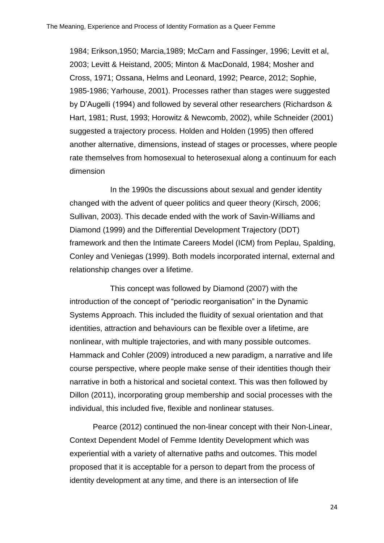1984; Erikson,1950; Marcia,1989; McCarn and Fassinger, 1996; Levitt et al, 2003; Levitt & Heistand, 2005; Minton & MacDonald, 1984; Mosher and Cross, 1971; Ossana, Helms and Leonard, 1992; Pearce, 2012; Sophie, 1985-1986; Yarhouse, 2001). Processes rather than stages were suggested by D'Augelli (1994) and followed by several other researchers (Richardson & Hart, 1981; Rust, 1993; Horowitz & Newcomb, 2002), while Schneider (2001) suggested a trajectory process. Holden and Holden (1995) then offered another alternative, dimensions, instead of stages or processes, where people rate themselves from homosexual to heterosexual along a continuum for each dimension

In the 1990s the discussions about sexual and gender identity changed with the advent of queer politics and queer theory (Kirsch, 2006; Sullivan, 2003). This decade ended with the work of Savin-Williams and Diamond (1999) and the Differential Development Trajectory (DDT) framework and then the Intimate Careers Model (ICM) from Peplau, Spalding, Conley and Veniegas (1999). Both models incorporated internal, external and relationship changes over a lifetime.

This concept was followed by Diamond (2007) with the introduction of the concept of "periodic reorganisation" in the Dynamic Systems Approach. This included the fluidity of sexual orientation and that identities, attraction and behaviours can be flexible over a lifetime, are nonlinear, with multiple trajectories, and with many possible outcomes. Hammack and Cohler (2009) introduced a new paradigm, a narrative and life course perspective, where people make sense of their identities though their narrative in both a historical and societal context. This was then followed by Dillon (2011), incorporating group membership and social processes with the individual, this included five, flexible and nonlinear statuses.

Pearce (2012) continued the non-linear concept with their Non-Linear, Context Dependent Model of Femme Identity Development which was experiential with a variety of alternative paths and outcomes. This model proposed that it is acceptable for a person to depart from the process of identity development at any time, and there is an intersection of life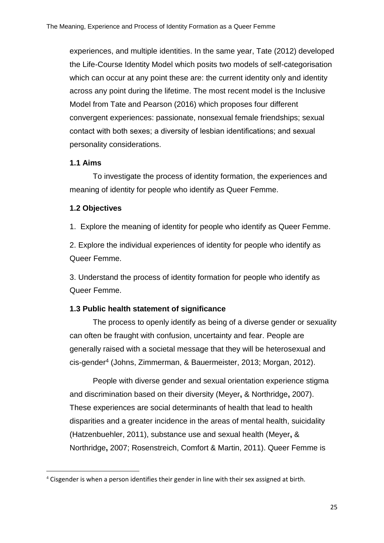experiences, and multiple identities. In the same year, Tate (2012) developed the Life-Course Identity Model which posits two models of self-categorisation which can occur at any point these are: the current identity only and identity across any point during the lifetime. The most recent model is the Inclusive Model from Tate and Pearson (2016) which proposes four different convergent experiences: passionate, nonsexual female friendships; sexual contact with both sexes; a diversity of lesbian identifications; and sexual personality considerations.

#### **1.1 Aims**

**.** 

To investigate the process of identity formation, the experiences and meaning of identity for people who identify as Queer Femme.

#### **1.2 Objectives**

1. Explore the meaning of identity for people who identify as Queer Femme.

2. Explore the individual experiences of identity for people who identify as Queer Femme.

3. Understand the process of identity formation for people who identify as Queer Femme.

#### **1.3 Public health statement of significance**

The process to openly identify as being of a diverse gender or sexuality can often be fraught with confusion, uncertainty and fear. People are generally raised with a societal message that they will be heterosexual and cis-gender<sup>4</sup> (Johns, Zimmerman, & Bauermeister, 2013; Morgan, 2012).

People with diverse gender and sexual orientation experience stigma and discrimination based on their diversity (Meyer**,** & Northridge**,** 2007). These experiences are social determinants of health that lead to health disparities and a greater incidence in the areas of mental health, suicidality (Hatzenbuehler, 2011), substance use and sexual health (Meyer**,** & Northridge**,** 2007; Rosenstreich, Comfort & Martin, 2011). Queer Femme is

<sup>&</sup>lt;sup>4</sup> Cisgender is when a person identifies their gender in line with their sex assigned at birth.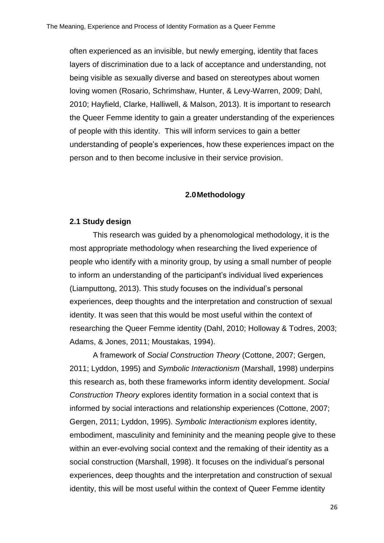often experienced as an invisible, but newly emerging, identity that faces layers of discrimination due to a lack of acceptance and understanding, not being visible as sexually diverse and based on stereotypes about women loving women (Rosario, Schrimshaw, Hunter, & Levy-Warren, 2009; Dahl, 2010; Hayfield, Clarke, Halliwell, & Malson, 2013). It is important to research the Queer Femme identity to gain a greater understanding of the experiences of people with this identity. This will inform services to gain a better understanding of people's experiences, how these experiences impact on the person and to then become inclusive in their service provision.

#### **2.0Methodology**

#### **2.1 Study design**

This research was guided by a phenomological methodology, it is the most appropriate methodology when researching the lived experience of people who identify with a minority group, by using a small number of people to inform an understanding of the participant's individual lived experiences (Liamputtong, 2013). This study focuses on the individual's personal experiences, deep thoughts and the interpretation and construction of sexual identity. It was seen that this would be most useful within the context of researching the Queer Femme identity (Dahl, 2010; Holloway & Todres, 2003; Adams, & Jones, 2011; Moustakas, 1994).

A framework of *Social Construction Theory* (Cottone, 2007; Gergen, 2011; Lyddon, 1995) and *Symbolic Interactionism* (Marshall, 1998) underpins this research as, both these frameworks inform identity development. *Social Construction Theory* explores identity formation in a social context that is informed by social interactions and relationship experiences (Cottone, 2007; Gergen, 2011; Lyddon, 1995). *Symbolic Interactionism* explores identity, embodiment, masculinity and femininity and the meaning people give to these within an ever-evolving social context and the remaking of their identity as a social construction (Marshall, 1998). It focuses on the individual's personal experiences, deep thoughts and the interpretation and construction of sexual identity, this will be most useful within the context of Queer Femme identity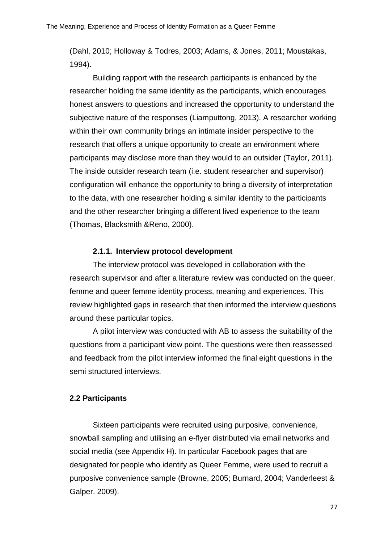(Dahl, 2010; Holloway & Todres, 2003; Adams, & Jones, 2011; Moustakas, 1994).

Building rapport with the research participants is enhanced by the researcher holding the same identity as the participants, which encourages honest answers to questions and increased the opportunity to understand the subjective nature of the responses (Liamputtong, 2013). A researcher working within their own community brings an intimate insider perspective to the research that offers a unique opportunity to create an environment where participants may disclose more than they would to an outsider (Taylor, 2011). The inside outsider research team (i.e. student researcher and supervisor) configuration will enhance the opportunity to bring a diversity of interpretation to the data, with one researcher holding a similar identity to the participants and the other researcher bringing a different lived experience to the team (Thomas, Blacksmith &Reno, 2000).

#### **2.1.1. Interview protocol development**

The interview protocol was developed in collaboration with the research supervisor and after a literature review was conducted on the queer, femme and queer femme identity process, meaning and experiences. This review highlighted gaps in research that then informed the interview questions around these particular topics.

A pilot interview was conducted with AB to assess the suitability of the questions from a participant view point. The questions were then reassessed and feedback from the pilot interview informed the final eight questions in the semi structured interviews.

#### **2.2 Participants**

Sixteen participants were recruited using purposive, convenience, snowball sampling and utilising an e-flyer distributed via email networks and social media (see Appendix H). In particular Facebook pages that are designated for people who identify as Queer Femme, were used to recruit a purposive convenience sample (Browne, 2005; Burnard, 2004; Vanderleest & Galper. 2009).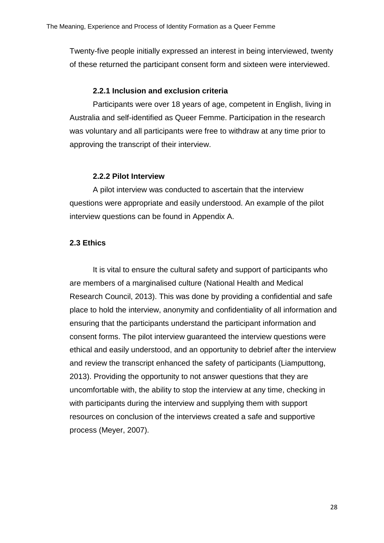Twenty-five people initially expressed an interest in being interviewed, twenty of these returned the participant consent form and sixteen were interviewed.

#### **2.2.1 Inclusion and exclusion criteria**

Participants were over 18 years of age, competent in English, living in Australia and self-identified as Queer Femme. Participation in the research was voluntary and all participants were free to withdraw at any time prior to approving the transcript of their interview.

#### **2.2.2 Pilot Interview**

A pilot interview was conducted to ascertain that the interview questions were appropriate and easily understood. An example of the pilot interview questions can be found in Appendix A.

#### **2.3 Ethics**

It is vital to ensure the cultural safety and support of participants who are members of a marginalised culture (National Health and Medical Research Council, 2013). This was done by providing a confidential and safe place to hold the interview, anonymity and confidentiality of all information and ensuring that the participants understand the participant information and consent forms. The pilot interview guaranteed the interview questions were ethical and easily understood, and an opportunity to debrief after the interview and review the transcript enhanced the safety of participants (Liamputtong, 2013). Providing the opportunity to not answer questions that they are uncomfortable with, the ability to stop the interview at any time, checking in with participants during the interview and supplying them with support resources on conclusion of the interviews created a safe and supportive process (Meyer, 2007).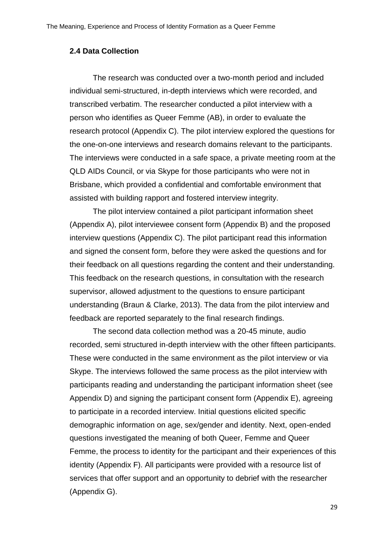#### **2.4 Data Collection**

The research was conducted over a two-month period and included individual semi-structured, in-depth interviews which were recorded, and transcribed verbatim. The researcher conducted a pilot interview with a person who identifies as Queer Femme (AB), in order to evaluate the research protocol (Appendix C). The pilot interview explored the questions for the one-on-one interviews and research domains relevant to the participants. The interviews were conducted in a safe space, a private meeting room at the QLD AIDs Council, or via Skype for those participants who were not in Brisbane, which provided a confidential and comfortable environment that assisted with building rapport and fostered interview integrity.

The pilot interview contained a pilot participant information sheet (Appendix A), pilot interviewee consent form (Appendix B) and the proposed interview questions (Appendix C). The pilot participant read this information and signed the consent form, before they were asked the questions and for their feedback on all questions regarding the content and their understanding. This feedback on the research questions, in consultation with the research supervisor, allowed adjustment to the questions to ensure participant understanding (Braun & Clarke, 2013). The data from the pilot interview and feedback are reported separately to the final research findings.

The second data collection method was a 20-45 minute, audio recorded, semi structured in-depth interview with the other fifteen participants. These were conducted in the same environment as the pilot interview or via Skype. The interviews followed the same process as the pilot interview with participants reading and understanding the participant information sheet (see Appendix D) and signing the participant consent form (Appendix E), agreeing to participate in a recorded interview. Initial questions elicited specific demographic information on age, sex/gender and identity. Next, open-ended questions investigated the meaning of both Queer, Femme and Queer Femme, the process to identity for the participant and their experiences of this identity (Appendix F). All participants were provided with a resource list of services that offer support and an opportunity to debrief with the researcher (Appendix G).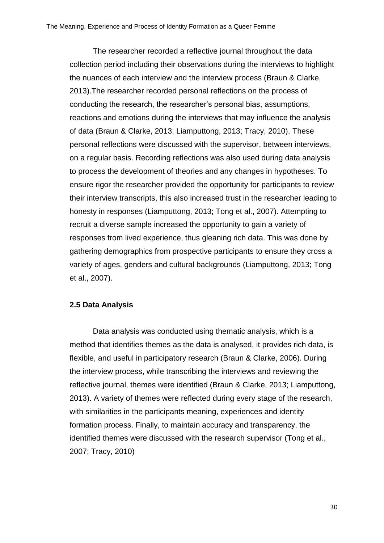The researcher recorded a reflective journal throughout the data collection period including their observations during the interviews to highlight the nuances of each interview and the interview process (Braun & Clarke, 2013).The researcher recorded personal reflections on the process of conducting the research, the researcher's personal bias, assumptions, reactions and emotions during the interviews that may influence the analysis of data (Braun & Clarke, 2013; Liamputtong, 2013; Tracy, 2010). These personal reflections were discussed with the supervisor, between interviews, on a regular basis. Recording reflections was also used during data analysis to process the development of theories and any changes in hypotheses. To ensure rigor the researcher provided the opportunity for participants to review their interview transcripts, this also increased trust in the researcher leading to honesty in responses (Liamputtong, 2013; Tong et al., 2007). Attempting to recruit a diverse sample increased the opportunity to gain a variety of responses from lived experience, thus gleaning rich data. This was done by gathering demographics from prospective participants to ensure they cross a variety of ages, genders and cultural backgrounds (Liamputtong, 2013; Tong et al., 2007).

#### **2.5 Data Analysis**

Data analysis was conducted using thematic analysis, which is a method that identifies themes as the data is analysed, it provides rich data, is flexible, and useful in participatory research (Braun & Clarke, 2006). During the interview process, while transcribing the interviews and reviewing the reflective journal, themes were identified (Braun & Clarke, 2013; Liamputtong, 2013). A variety of themes were reflected during every stage of the research, with similarities in the participants meaning, experiences and identity formation process. Finally, to maintain accuracy and transparency, the identified themes were discussed with the research supervisor (Tong et al., 2007; Tracy, 2010)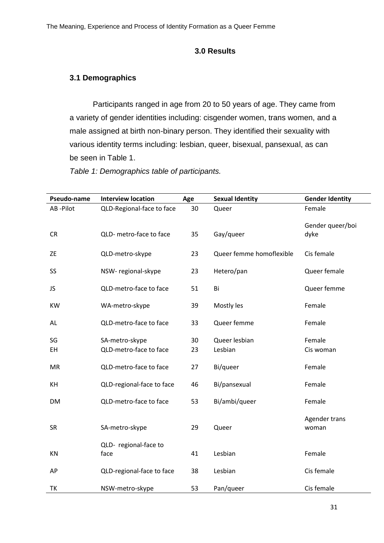#### **3.0 Results**

## **3.1 Demographics**

Participants ranged in age from 20 to 50 years of age. They came from a variety of gender identities including: cisgender women, trans women, and a male assigned at birth non-binary person. They identified their sexuality with various identity terms including: lesbian, queer, bisexual, pansexual, as can be seen in Table 1.

*Table 1: Demographics table of participants.*

| Pseudo-name | <b>Interview location</b>     | Age | <b>Sexual Identity</b>   | <b>Gender Identity</b>   |
|-------------|-------------------------------|-----|--------------------------|--------------------------|
| AB-Pilot    | QLD-Regional-face to face     | 30  | Queer                    | Female                   |
| CR          | QLD- metro-face to face       | 35  | Gay/queer                | Gender queer/boi<br>dyke |
| ZE          | QLD-metro-skype               | 23  | Queer femme homoflexible | Cis female               |
| SS          | NSW-regional-skype            | 23  | Hetero/pan               | Queer female             |
| JS          | QLD-metro-face to face        | 51  | Bi                       | Queer femme              |
| <b>KW</b>   | WA-metro-skype                | 39  | Mostly les               | Female                   |
| AL          | QLD-metro-face to face        | 33  | Queer femme              | Female                   |
| SG          | SA-metro-skype                | 30  | Queer lesbian            | Female                   |
| EH          | QLD-metro-face to face        | 23  | Lesbian                  | Cis woman                |
| MR          | QLD-metro-face to face        | 27  | Bi/queer                 | Female                   |
| KH          | QLD-regional-face to face     | 46  | Bi/pansexual             | Female                   |
| DM          | QLD-metro-face to face        | 53  | Bi/ambi/queer            | Female                   |
| <b>SR</b>   | SA-metro-skype                | 29  | Queer                    | Agender trans<br>woman   |
| KN          | QLD- regional-face to<br>face | 41  | Lesbian                  | Female                   |
| AP          | QLD-regional-face to face     | 38  | Lesbian                  | Cis female               |
| TK          | NSW-metro-skype               | 53  | Pan/queer                | Cis female               |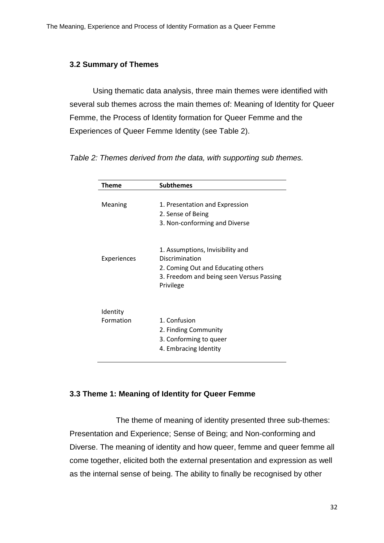## **3.2 Summary of Themes**

Using thematic data analysis, three main themes were identified with several sub themes across the main themes of: Meaning of Identity for Queer Femme, the Process of Identity formation for Queer Femme and the Experiences of Queer Femme Identity (see Table 2).

*Table 2: Themes derived from the data, with supporting sub themes.*

| Theme       | <b>Subthemes</b>                                                                            |
|-------------|---------------------------------------------------------------------------------------------|
|             |                                                                                             |
| Meaning     | 1. Presentation and Expression                                                              |
|             | 2. Sense of Being                                                                           |
|             | 3. Non-conforming and Diverse                                                               |
| Experiences | 1. Assumptions, Invisibility and<br>Discrimination                                          |
|             | 2. Coming Out and Educating others<br>3. Freedom and being seen Versus Passing<br>Privilege |
| Identity    |                                                                                             |
| Formation   | 1. Confusion                                                                                |
|             | 2. Finding Community                                                                        |
|             | 3. Conforming to queer<br>4. Embracing Identity                                             |
|             |                                                                                             |

# **3.3 Theme 1: Meaning of Identity for Queer Femme**

The theme of meaning of identity presented three sub-themes: Presentation and Experience; Sense of Being; and Non-conforming and Diverse. The meaning of identity and how queer, femme and queer femme all come together, elicited both the external presentation and expression as well as the internal sense of being. The ability to finally be recognised by other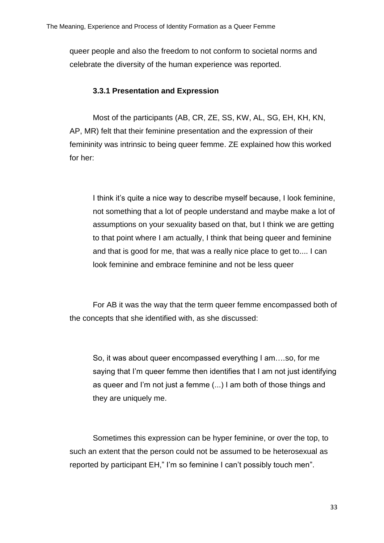queer people and also the freedom to not conform to societal norms and celebrate the diversity of the human experience was reported.

## **3.3.1 Presentation and Expression**

Most of the participants (AB, CR, ZE, SS, KW, AL, SG, EH, KH, KN, AP, MR) felt that their feminine presentation and the expression of their femininity was intrinsic to being queer femme. ZE explained how this worked for her:

I think it's quite a nice way to describe myself because, I look feminine, not something that a lot of people understand and maybe make a lot of assumptions on your sexuality based on that, but I think we are getting to that point where I am actually, I think that being queer and feminine and that is good for me, that was a really nice place to get to.... I can look feminine and embrace feminine and not be less queer

For AB it was the way that the term queer femme encompassed both of the concepts that she identified with, as she discussed:

So, it was about queer encompassed everything I am….so, for me saying that I'm queer femme then identifies that I am not just identifying as queer and I'm not just a femme (...) I am both of those things and they are uniquely me.

Sometimes this expression can be hyper feminine, or over the top, to such an extent that the person could not be assumed to be heterosexual as reported by participant EH," I'm so feminine I can't possibly touch men".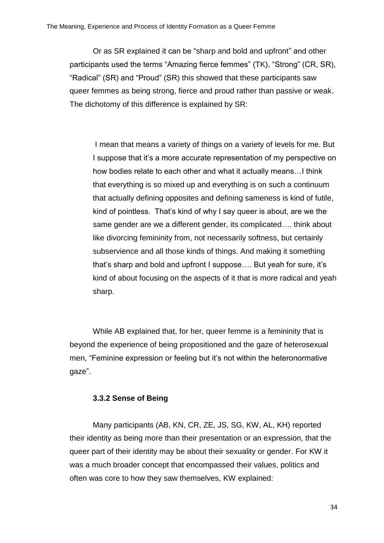Or as SR explained it can be "sharp and bold and upfront" and other participants used the terms "Amazing fierce femmes" (TK), "Strong" (CR, SR), "Radical" (SR) and "Proud" (SR) this showed that these participants saw queer femmes as being strong, fierce and proud rather than passive or weak. The dichotomy of this difference is explained by SR:

I mean that means a variety of things on a variety of levels for me. But I suppose that it's a more accurate representation of my perspective on how bodies relate to each other and what it actually means…I think that everything is so mixed up and everything is on such a continuum that actually defining opposites and defining sameness is kind of futile, kind of pointless. That's kind of why I say queer is about, are we the same gender are we a different gender, its complicated…. think about like divorcing femininity from, not necessarily softness, but certainly subservience and all those kinds of things. And making it something that's sharp and bold and upfront I suppose…. But yeah for sure, it's kind of about focusing on the aspects of it that is more radical and yeah sharp.

While AB explained that, for her, queer femme is a femininity that is beyond the experience of being propositioned and the gaze of heterosexual men, "Feminine expression or feeling but it's not within the heteronormative gaze".

# **3.3.2 Sense of Being**

Many participants (AB, KN, CR, ZE, JS, SG, KW, AL, KH) reported their identity as being more than their presentation or an expression, that the queer part of their identity may be about their sexuality or gender. For KW it was a much broader concept that encompassed their values, politics and often was core to how they saw themselves, KW explained: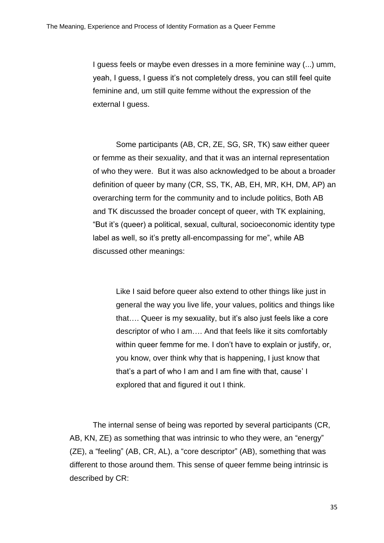I guess feels or maybe even dresses in a more feminine way (...) umm, yeah, I guess, I guess it's not completely dress, you can still feel quite feminine and, um still quite femme without the expression of the external I guess.

Some participants (AB, CR, ZE, SG, SR, TK) saw either queer or femme as their sexuality, and that it was an internal representation of who they were. But it was also acknowledged to be about a broader definition of queer by many (CR, SS, TK, AB, EH, MR, KH, DM, AP) an overarching term for the community and to include politics, Both AB and TK discussed the broader concept of queer, with TK explaining, "But it's (queer) a political, sexual, cultural, socioeconomic identity type label as well, so it's pretty all-encompassing for me", while AB discussed other meanings:

Like I said before queer also extend to other things like just in general the way you live life, your values, politics and things like that…. Queer is my sexuality, but it's also just feels like a core descriptor of who I am…. And that feels like it sits comfortably within queer femme for me. I don't have to explain or justify, or, you know, over think why that is happening, I just know that that's a part of who I am and I am fine with that, cause' I explored that and figured it out I think.

The internal sense of being was reported by several participants (CR, AB, KN, ZE) as something that was intrinsic to who they were, an "energy" (ZE), a "feeling" (AB, CR, AL), a "core descriptor" (AB), something that was different to those around them. This sense of queer femme being intrinsic is described by CR: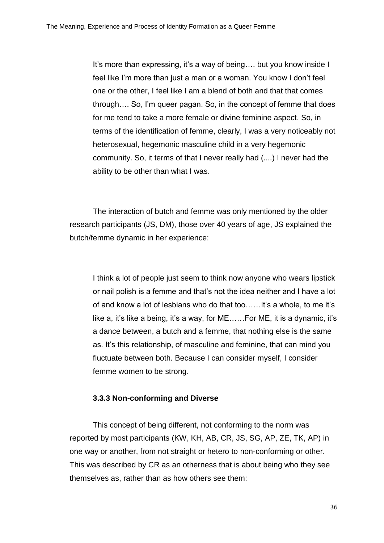It's more than expressing, it's a way of being.... but you know inside I feel like I'm more than just a man or a woman. You know I don't feel one or the other, I feel like I am a blend of both and that that comes through…. So, I'm queer pagan. So, in the concept of femme that does for me tend to take a more female or divine feminine aspect. So, in terms of the identification of femme, clearly, I was a very noticeably not heterosexual, hegemonic masculine child in a very hegemonic community. So, it terms of that I never really had (....) I never had the ability to be other than what I was.

The interaction of butch and femme was only mentioned by the older research participants (JS, DM), those over 40 years of age, JS explained the butch/femme dynamic in her experience:

I think a lot of people just seem to think now anyone who wears lipstick or nail polish is a femme and that's not the idea neither and I have a lot of and know a lot of lesbians who do that too……It's a whole, to me it's like a, it's like a being, it's a way, for ME……For ME, it is a dynamic, it's a dance between, a butch and a femme, that nothing else is the same as. It's this relationship, of masculine and feminine, that can mind you fluctuate between both. Because I can consider myself, I consider femme women to be strong.

# **3.3.3 Non-conforming and Diverse**

This concept of being different, not conforming to the norm was reported by most participants (KW, KH, AB, CR, JS, SG, AP, ZE, TK, AP) in one way or another, from not straight or hetero to non-conforming or other. This was described by CR as an otherness that is about being who they see themselves as, rather than as how others see them: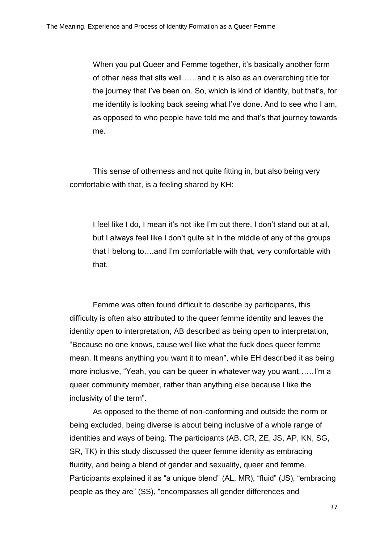When you put Queer and Femme together, it's basically another form of other ness that sits well……and it is also as an overarching title for the journey that I've been on. So, which is kind of identity, but that's, for me identity is looking back seeing what I've done. And to see who I am, as opposed to who people have told me and that's that journey towards me.

This sense of otherness and not quite fitting in, but also being very comfortable with that, is a feeling shared by KH:

I feel like I do, I mean it's not like I'm out there, I don't stand out at all, but I always feel like I don't quite sit in the middle of any of the groups that I belong to….and I'm comfortable with that, very comfortable with that.

Femme was often found difficult to describe by participants, this difficulty is often also attributed to the queer femme identity and leaves the identity open to interpretation, AB described as being open to interpretation, "Because no one knows, cause well like what the fuck does queer femme mean. It means anything you want it to mean", while EH described it as being more inclusive, "Yeah, you can be queer in whatever way you want……I'm a queer community member, rather than anything else because I like the inclusivity of the term".

As opposed to the theme of non-conforming and outside the norm or being excluded, being diverse is about being inclusive of a whole range of identities and ways of being. The participants (AB, CR, ZE, JS, AP, KN, SG, SR, TK) in this study discussed the queer femme identity as embracing fluidity, and being a blend of gender and sexuality, queer and femme. Participants explained it as "a unique blend" (AL, MR), "fluid" (JS), "embracing people as they are" (SS), "encompasses all gender differences and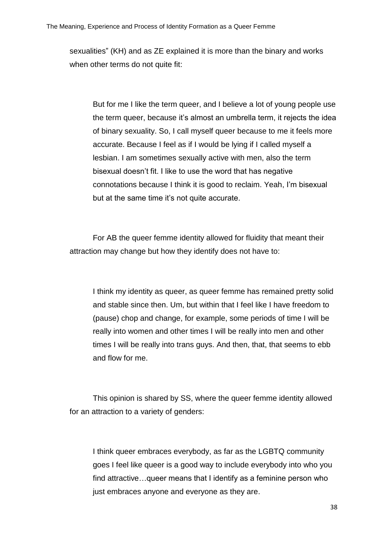sexualities" (KH) and as ZE explained it is more than the binary and works when other terms do not quite fit:

But for me I like the term queer, and I believe a lot of young people use the term queer, because it's almost an umbrella term, it rejects the idea of binary sexuality. So, I call myself queer because to me it feels more accurate. Because I feel as if I would be lying if I called myself a lesbian. I am sometimes sexually active with men, also the term bisexual doesn't fit. I like to use the word that has negative connotations because I think it is good to reclaim. Yeah, I'm bisexual but at the same time it's not quite accurate.

For AB the queer femme identity allowed for fluidity that meant their attraction may change but how they identify does not have to:

I think my identity as queer, as queer femme has remained pretty solid and stable since then. Um, but within that I feel like I have freedom to (pause) chop and change, for example, some periods of time I will be really into women and other times I will be really into men and other times I will be really into trans guys. And then, that, that seems to ebb and flow for me.

This opinion is shared by SS, where the queer femme identity allowed for an attraction to a variety of genders:

I think queer embraces everybody, as far as the LGBTQ community goes I feel like queer is a good way to include everybody into who you find attractive…queer means that I identify as a feminine person who just embraces anyone and everyone as they are.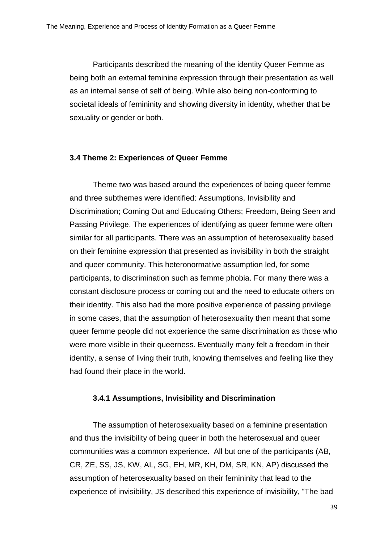Participants described the meaning of the identity Queer Femme as being both an external feminine expression through their presentation as well as an internal sense of self of being. While also being non-conforming to societal ideals of femininity and showing diversity in identity, whether that be sexuality or gender or both.

#### **3.4 Theme 2: Experiences of Queer Femme**

Theme two was based around the experiences of being queer femme and three subthemes were identified: Assumptions, Invisibility and Discrimination; Coming Out and Educating Others; Freedom, Being Seen and Passing Privilege. The experiences of identifying as queer femme were often similar for all participants. There was an assumption of heterosexuality based on their feminine expression that presented as invisibility in both the straight and queer community. This heteronormative assumption led, for some participants, to discrimination such as femme phobia. For many there was a constant disclosure process or coming out and the need to educate others on their identity. This also had the more positive experience of passing privilege in some cases, that the assumption of heterosexuality then meant that some queer femme people did not experience the same discrimination as those who were more visible in their queerness. Eventually many felt a freedom in their identity, a sense of living their truth, knowing themselves and feeling like they had found their place in the world.

# **3.4.1 Assumptions, Invisibility and Discrimination**

The assumption of heterosexuality based on a feminine presentation and thus the invisibility of being queer in both the heterosexual and queer communities was a common experience. All but one of the participants (AB, CR, ZE, SS, JS, KW, AL, SG, EH, MR, KH, DM, SR, KN, AP) discussed the assumption of heterosexuality based on their femininity that lead to the experience of invisibility, JS described this experience of invisibility, "The bad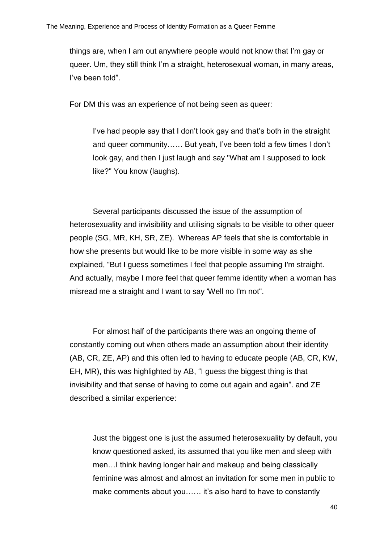things are, when I am out anywhere people would not know that I'm gay or queer. Um, they still think I'm a straight, heterosexual woman, in many areas, I've been told".

For DM this was an experience of not being seen as queer:

I've had people say that I don't look gay and that's both in the straight and queer community…… But yeah, I've been told a few times I don't look gay, and then I just laugh and say "What am I supposed to look like?" You know (laughs).

Several participants discussed the issue of the assumption of heterosexuality and invisibility and utilising signals to be visible to other queer people (SG, MR, KH, SR, ZE). Whereas AP feels that she is comfortable in how she presents but would like to be more visible in some way as she explained, "But I guess sometimes I feel that people assuming I'm straight. And actually, maybe I more feel that queer femme identity when a woman has misread me a straight and I want to say 'Well no I'm not".

For almost half of the participants there was an ongoing theme of constantly coming out when others made an assumption about their identity (AB, CR, ZE, AP) and this often led to having to educate people (AB, CR, KW, EH, MR), this was highlighted by AB, "I guess the biggest thing is that invisibility and that sense of having to come out again and again". and ZE described a similar experience:

Just the biggest one is just the assumed heterosexuality by default, you know questioned asked, its assumed that you like men and sleep with men…I think having longer hair and makeup and being classically feminine was almost and almost an invitation for some men in public to make comments about you…… it's also hard to have to constantly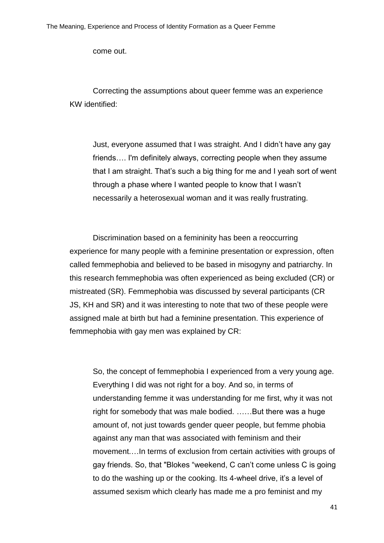come out.

Correcting the assumptions about queer femme was an experience KW identified:

Just, everyone assumed that I was straight. And I didn't have any gay friends…. I'm definitely always, correcting people when they assume that I am straight. That's such a big thing for me and I yeah sort of went through a phase where I wanted people to know that I wasn't necessarily a heterosexual woman and it was really frustrating.

Discrimination based on a femininity has been a reoccurring experience for many people with a feminine presentation or expression, often called femmephobia and believed to be based in misogyny and patriarchy. In this research femmephobia was often experienced as being excluded (CR) or mistreated (SR). Femmephobia was discussed by several participants (CR JS, KH and SR) and it was interesting to note that two of these people were assigned male at birth but had a feminine presentation. This experience of femmephobia with gay men was explained by CR:

So, the concept of femmephobia I experienced from a very young age. Everything I did was not right for a boy. And so, in terms of understanding femme it was understanding for me first, why it was not right for somebody that was male bodied. ……But there was a huge amount of, not just towards gender queer people, but femme phobia against any man that was associated with feminism and their movement.…In terms of exclusion from certain activities with groups of gay friends. So, that "Blokes "weekend, C can't come unless C is going to do the washing up or the cooking. Its 4-wheel drive, it's a level of assumed sexism which clearly has made me a pro feminist and my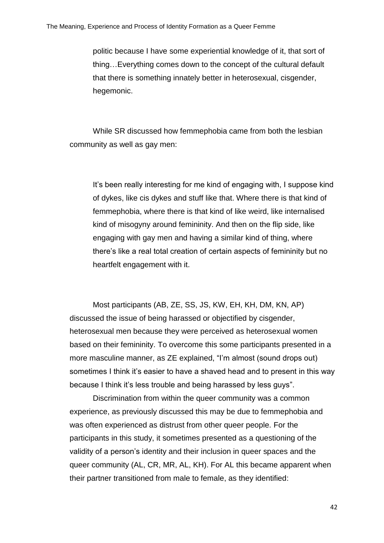politic because I have some experiential knowledge of it, that sort of thing…Everything comes down to the concept of the cultural default that there is something innately better in heterosexual, cisgender, hegemonic.

While SR discussed how femmephobia came from both the lesbian community as well as gay men:

It's been really interesting for me kind of engaging with, I suppose kind of dykes, like cis dykes and stuff like that. Where there is that kind of femmephobia, where there is that kind of like weird, like internalised kind of misogyny around femininity. And then on the flip side, like engaging with gay men and having a similar kind of thing, where there's like a real total creation of certain aspects of femininity but no heartfelt engagement with it.

Most participants (AB, ZE, SS, JS, KW, EH, KH, DM, KN, AP) discussed the issue of being harassed or objectified by cisgender, heterosexual men because they were perceived as heterosexual women based on their femininity. To overcome this some participants presented in a more masculine manner, as ZE explained, "I'm almost (sound drops out) sometimes I think it's easier to have a shaved head and to present in this way because I think it's less trouble and being harassed by less guys".

Discrimination from within the queer community was a common experience, as previously discussed this may be due to femmephobia and was often experienced as distrust from other queer people. For the participants in this study, it sometimes presented as a questioning of the validity of a person's identity and their inclusion in queer spaces and the queer community (AL, CR, MR, AL, KH). For AL this became apparent when their partner transitioned from male to female, as they identified: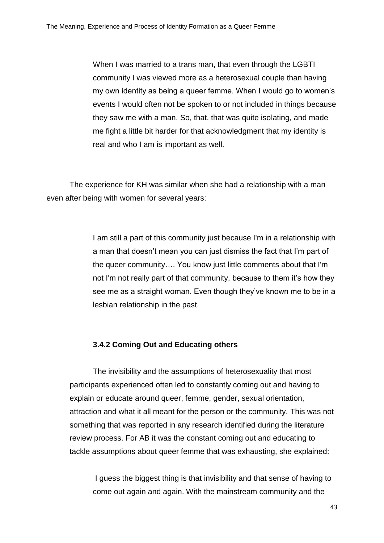When I was married to a trans man, that even through the LGBTI community I was viewed more as a heterosexual couple than having my own identity as being a queer femme. When I would go to women's events I would often not be spoken to or not included in things because they saw me with a man. So, that, that was quite isolating, and made me fight a little bit harder for that acknowledgment that my identity is real and who I am is important as well.

The experience for KH was similar when she had a relationship with a man even after being with women for several years:

> I am still a part of this community just because I'm in a relationship with a man that doesn't mean you can just dismiss the fact that I'm part of the queer community…. You know just little comments about that I'm not I'm not really part of that community, because to them it's how they see me as a straight woman. Even though they've known me to be in a lesbian relationship in the past.

## **3.4.2 Coming Out and Educating others**

The invisibility and the assumptions of heterosexuality that most participants experienced often led to constantly coming out and having to explain or educate around queer, femme, gender, sexual orientation, attraction and what it all meant for the person or the community. This was not something that was reported in any research identified during the literature review process. For AB it was the constant coming out and educating to tackle assumptions about queer femme that was exhausting, she explained:

I guess the biggest thing is that invisibility and that sense of having to come out again and again. With the mainstream community and the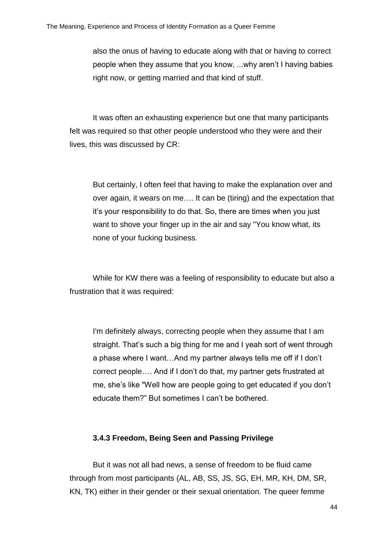also the onus of having to educate along with that or having to correct people when they assume that you know, ...why aren't I having babies right now, or getting married and that kind of stuff.

It was often an exhausting experience but one that many participants felt was required so that other people understood who they were and their lives, this was discussed by CR:

But certainly, I often feel that having to make the explanation over and over again, it wears on me…. It can be (tiring) and the expectation that it's your responsibility to do that. So, there are times when you just want to shove your finger up in the air and say "You know what, its none of your fucking business.

While for KW there was a feeling of responsibility to educate but also a frustration that it was required:

I'm definitely always, correcting people when they assume that I am straight. That's such a big thing for me and I yeah sort of went through a phase where I want…And my partner always tells me off if I don't correct people…. And if I don't do that, my partner gets frustrated at me, she's like "Well how are people going to get educated if you don't educate them?" But sometimes I can't be bothered.

## **3.4.3 Freedom, Being Seen and Passing Privilege**

But it was not all bad news, a sense of freedom to be fluid came through from most participants (AL, AB, SS, JS, SG, EH, MR, KH, DM, SR, KN, TK) either in their gender or their sexual orientation. The queer femme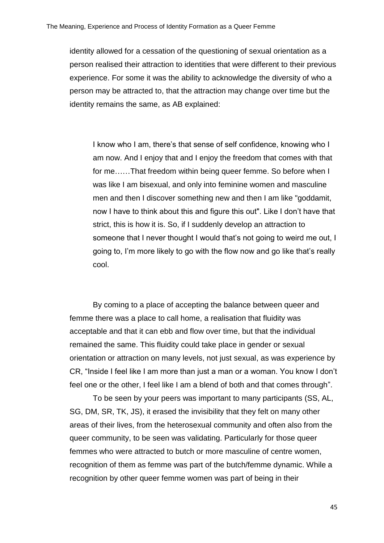identity allowed for a cessation of the questioning of sexual orientation as a person realised their attraction to identities that were different to their previous experience. For some it was the ability to acknowledge the diversity of who a person may be attracted to, that the attraction may change over time but the identity remains the same, as AB explained:

I know who I am, there's that sense of self confidence, knowing who I am now. And I enjoy that and I enjoy the freedom that comes with that for me……That freedom within being queer femme. So before when I was like I am bisexual, and only into feminine women and masculine men and then I discover something new and then I am like "goddamit, now I have to think about this and figure this out". Like I don't have that strict, this is how it is. So, if I suddenly develop an attraction to someone that I never thought I would that's not going to weird me out, I going to, I'm more likely to go with the flow now and go like that's really cool.

By coming to a place of accepting the balance between queer and femme there was a place to call home, a realisation that fluidity was acceptable and that it can ebb and flow over time, but that the individual remained the same. This fluidity could take place in gender or sexual orientation or attraction on many levels, not just sexual, as was experience by CR, "Inside I feel like I am more than just a man or a woman. You know I don't feel one or the other, I feel like I am a blend of both and that comes through".

To be seen by your peers was important to many participants (SS, AL, SG, DM, SR, TK, JS), it erased the invisibility that they felt on many other areas of their lives, from the heterosexual community and often also from the queer community, to be seen was validating. Particularly for those queer femmes who were attracted to butch or more masculine of centre women, recognition of them as femme was part of the butch/femme dynamic. While a recognition by other queer femme women was part of being in their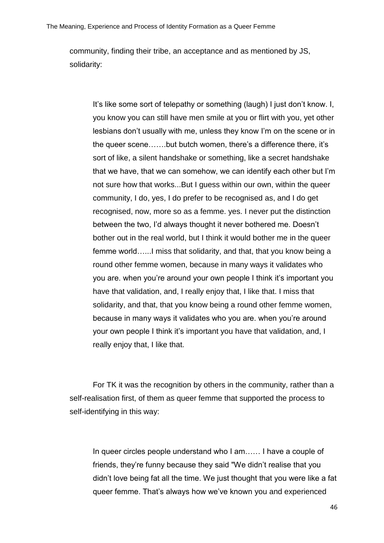community, finding their tribe, an acceptance and as mentioned by JS, solidarity:

It's like some sort of telepathy or something (laugh) I just don't know. I, you know you can still have men smile at you or flirt with you, yet other lesbians don't usually with me, unless they know I'm on the scene or in the queer scene…….but butch women, there's a difference there, it's sort of like, a silent handshake or something, like a secret handshake that we have, that we can somehow, we can identify each other but I'm not sure how that works...But I guess within our own, within the queer community, I do, yes, I do prefer to be recognised as, and I do get recognised, now, more so as a femme. yes. I never put the distinction between the two, I'd always thought it never bothered me. Doesn't bother out in the real world, but I think it would bother me in the queer femme world…...I miss that solidarity, and that, that you know being a round other femme women, because in many ways it validates who you are. when you're around your own people I think it's important you have that validation, and, I really enjoy that, I like that. I miss that solidarity, and that, that you know being a round other femme women, because in many ways it validates who you are. when you're around your own people I think it's important you have that validation, and, I really enjoy that, I like that.

For TK it was the recognition by others in the community, rather than a self-realisation first, of them as queer femme that supported the process to self-identifying in this way:

In queer circles people understand who I am…… I have a couple of friends, they're funny because they said "We didn't realise that you didn't love being fat all the time. We just thought that you were like a fat queer femme. That's always how we've known you and experienced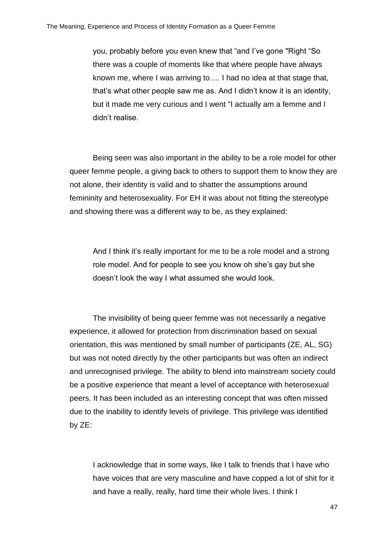you, probably before you even knew that "and I've gone "Right "So there was a couple of moments like that where people have always known me, where I was arriving to…. I had no idea at that stage that, that's what other people saw me as. And I didn't know it is an identity, but it made me very curious and I went "I actually am a femme and I didn't realise.

Being seen was also important in the ability to be a role model for other queer femme people, a giving back to others to support them to know they are not alone, their identity is valid and to shatter the assumptions around femininity and heterosexuality. For EH it was about not fitting the stereotype and showing there was a different way to be, as they explained:

And I think it's really important for me to be a role model and a strong role model. And for people to see you know oh she's gay but she doesn't look the way I what assumed she would look.

The invisibility of being queer femme was not necessarily a negative experience, it allowed for protection from discrimination based on sexual orientation, this was mentioned by small number of participants (ZE, AL, SG) but was not noted directly by the other participants but was often an indirect and unrecognised privilege. The ability to blend into mainstream society could be a positive experience that meant a level of acceptance with heterosexual peers. It has been included as an interesting concept that was often missed due to the inability to identify levels of privilege. This privilege was identified by ZE:

I acknowledge that in some ways, like I talk to friends that I have who have voices that are very masculine and have copped a lot of shit for it and have a really, really, hard time their whole lives. I think I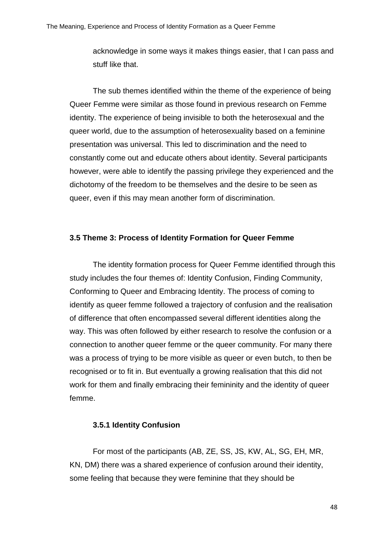acknowledge in some ways it makes things easier, that I can pass and stuff like that.

The sub themes identified within the theme of the experience of being Queer Femme were similar as those found in previous research on Femme identity. The experience of being invisible to both the heterosexual and the queer world, due to the assumption of heterosexuality based on a feminine presentation was universal. This led to discrimination and the need to constantly come out and educate others about identity. Several participants however, were able to identify the passing privilege they experienced and the dichotomy of the freedom to be themselves and the desire to be seen as queer, even if this may mean another form of discrimination.

# **3.5 Theme 3: Process of Identity Formation for Queer Femme**

The identity formation process for Queer Femme identified through this study includes the four themes of: Identity Confusion, Finding Community, Conforming to Queer and Embracing Identity. The process of coming to identify as queer femme followed a trajectory of confusion and the realisation of difference that often encompassed several different identities along the way. This was often followed by either research to resolve the confusion or a connection to another queer femme or the queer community. For many there was a process of trying to be more visible as queer or even butch, to then be recognised or to fit in. But eventually a growing realisation that this did not work for them and finally embracing their femininity and the identity of queer femme.

#### **3.5.1 Identity Confusion**

For most of the participants (AB, ZE, SS, JS, KW, AL, SG, EH, MR, KN, DM) there was a shared experience of confusion around their identity, some feeling that because they were feminine that they should be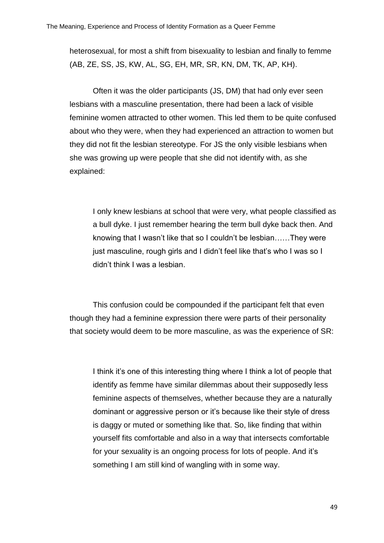heterosexual, for most a shift from bisexuality to lesbian and finally to femme (AB, ZE, SS, JS, KW, AL, SG, EH, MR, SR, KN, DM, TK, AP, KH).

Often it was the older participants (JS, DM) that had only ever seen lesbians with a masculine presentation, there had been a lack of visible feminine women attracted to other women. This led them to be quite confused about who they were, when they had experienced an attraction to women but they did not fit the lesbian stereotype. For JS the only visible lesbians when she was growing up were people that she did not identify with, as she explained:

I only knew lesbians at school that were very, what people classified as a bull dyke. I just remember hearing the term bull dyke back then. And knowing that I wasn't like that so I couldn't be lesbian……They were just masculine, rough girls and I didn't feel like that's who I was so I didn't think I was a lesbian.

This confusion could be compounded if the participant felt that even though they had a feminine expression there were parts of their personality that society would deem to be more masculine, as was the experience of SR:

I think it's one of this interesting thing where I think a lot of people that identify as femme have similar dilemmas about their supposedly less feminine aspects of themselves, whether because they are a naturally dominant or aggressive person or it's because like their style of dress is daggy or muted or something like that. So, like finding that within yourself fits comfortable and also in a way that intersects comfortable for your sexuality is an ongoing process for lots of people. And it's something I am still kind of wangling with in some way.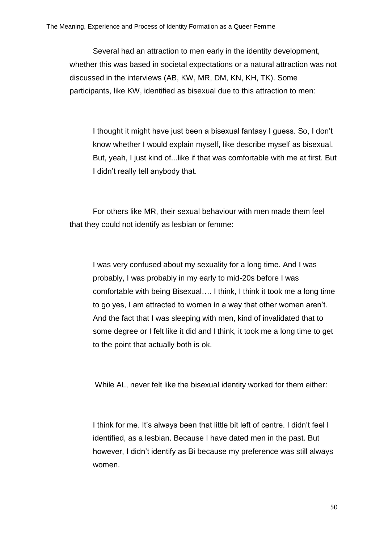Several had an attraction to men early in the identity development, whether this was based in societal expectations or a natural attraction was not discussed in the interviews (AB, KW, MR, DM, KN, KH, TK). Some participants, like KW, identified as bisexual due to this attraction to men:

I thought it might have just been a bisexual fantasy I guess. So, I don't know whether I would explain myself, like describe myself as bisexual. But, yeah, I just kind of...like if that was comfortable with me at first. But I didn't really tell anybody that.

For others like MR, their sexual behaviour with men made them feel that they could not identify as lesbian or femme:

I was very confused about my sexuality for a long time. And I was probably, I was probably in my early to mid-20s before I was comfortable with being Bisexual…. I think, I think it took me a long time to go yes, I am attracted to women in a way that other women aren't. And the fact that I was sleeping with men, kind of invalidated that to some degree or I felt like it did and I think, it took me a long time to get to the point that actually both is ok.

While AL, never felt like the bisexual identity worked for them either:

I think for me. It's always been that little bit left of centre. I didn't feel I identified, as a lesbian. Because I have dated men in the past. But however, I didn't identify as Bi because my preference was still always women.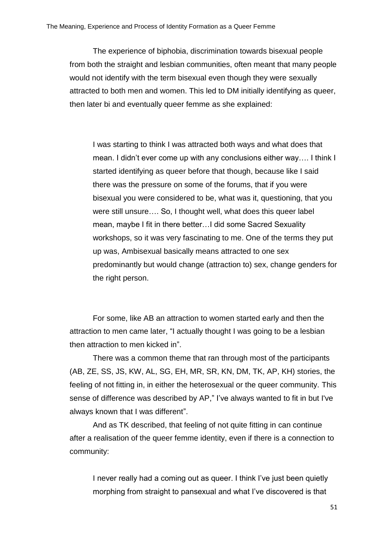The experience of biphobia, discrimination towards bisexual people from both the straight and lesbian communities, often meant that many people would not identify with the term bisexual even though they were sexually attracted to both men and women. This led to DM initially identifying as queer, then later bi and eventually queer femme as she explained:

I was starting to think I was attracted both ways and what does that mean. I didn't ever come up with any conclusions either way…. I think I started identifying as queer before that though, because like I said there was the pressure on some of the forums, that if you were bisexual you were considered to be, what was it, questioning, that you were still unsure…. So, I thought well, what does this queer label mean, maybe I fit in there better…I did some Sacred Sexuality workshops, so it was very fascinating to me. One of the terms they put up was, Ambisexual basically means attracted to one sex predominantly but would change (attraction to) sex, change genders for the right person.

For some, like AB an attraction to women started early and then the attraction to men came later, "I actually thought I was going to be a lesbian then attraction to men kicked in".

There was a common theme that ran through most of the participants (AB, ZE, SS, JS, KW, AL, SG, EH, MR, SR, KN, DM, TK, AP, KH) stories, the feeling of not fitting in, in either the heterosexual or the queer community. This sense of difference was described by AP," I've always wanted to fit in but I've always known that I was different".

And as TK described, that feeling of not quite fitting in can continue after a realisation of the queer femme identity, even if there is a connection to community:

I never really had a coming out as queer. I think I've just been quietly morphing from straight to pansexual and what I've discovered is that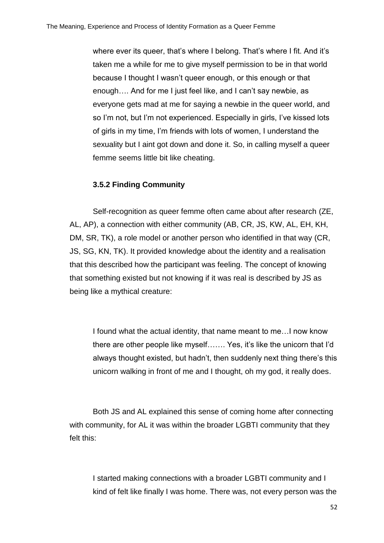where ever its queer, that's where I belong. That's where I fit. And it's taken me a while for me to give myself permission to be in that world because I thought I wasn't queer enough, or this enough or that enough…. And for me I just feel like, and I can't say newbie, as everyone gets mad at me for saying a newbie in the queer world, and so I'm not, but I'm not experienced. Especially in girls, I've kissed lots of girls in my time, I'm friends with lots of women, I understand the sexuality but I aint got down and done it. So, in calling myself a queer femme seems little bit like cheating.

## **3.5.2 Finding Community**

Self-recognition as queer femme often came about after research (ZE, AL, AP), a connection with either community (AB, CR, JS, KW, AL, EH, KH, DM, SR, TK), a role model or another person who identified in that way (CR, JS, SG, KN, TK). It provided knowledge about the identity and a realisation that this described how the participant was feeling. The concept of knowing that something existed but not knowing if it was real is described by JS as being like a mythical creature:

I found what the actual identity, that name meant to me…I now know there are other people like myself……. Yes, it's like the unicorn that I'd always thought existed, but hadn't, then suddenly next thing there's this unicorn walking in front of me and I thought, oh my god, it really does.

Both JS and AL explained this sense of coming home after connecting with community, for AL it was within the broader LGBTI community that they felt this:

I started making connections with a broader LGBTI community and I kind of felt like finally I was home. There was, not every person was the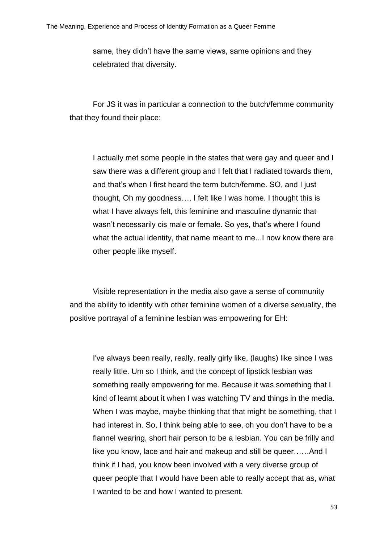same, they didn't have the same views, same opinions and they celebrated that diversity.

For JS it was in particular a connection to the butch/femme community that they found their place:

I actually met some people in the states that were gay and queer and I saw there was a different group and I felt that I radiated towards them, and that's when I first heard the term butch/femme. SO, and I just thought, Oh my goodness…. I felt like I was home. I thought this is what I have always felt, this feminine and masculine dynamic that wasn't necessarily cis male or female. So yes, that's where I found what the actual identity, that name meant to me...I now know there are other people like myself.

Visible representation in the media also gave a sense of community and the ability to identify with other feminine women of a diverse sexuality, the positive portrayal of a feminine lesbian was empowering for EH:

I've always been really, really, really girly like, (laughs) like since I was really little. Um so I think, and the concept of lipstick lesbian was something really empowering for me. Because it was something that I kind of learnt about it when I was watching TV and things in the media. When I was maybe, maybe thinking that that might be something, that I had interest in. So, I think being able to see, oh you don't have to be a flannel wearing, short hair person to be a lesbian. You can be frilly and like you know, lace and hair and makeup and still be queer……And I think if I had, you know been involved with a very diverse group of queer people that I would have been able to really accept that as, what I wanted to be and how I wanted to present.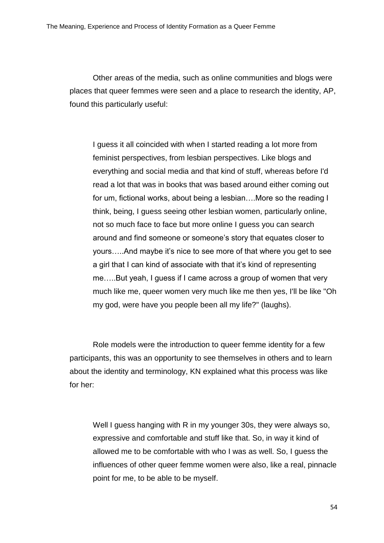Other areas of the media, such as online communities and blogs were places that queer femmes were seen and a place to research the identity, AP, found this particularly useful:

I guess it all coincided with when I started reading a lot more from feminist perspectives, from lesbian perspectives. Like blogs and everything and social media and that kind of stuff, whereas before I'd read a lot that was in books that was based around either coming out for um, fictional works, about being a lesbian….More so the reading I think, being, I guess seeing other lesbian women, particularly online, not so much face to face but more online I guess you can search around and find someone or someone's story that equates closer to yours…..And maybe it's nice to see more of that where you get to see a girl that I can kind of associate with that it's kind of representing me…..But yeah, I guess if I came across a group of women that very much like me, queer women very much like me then yes, I'll be like "Oh my god, were have you people been all my life?" (laughs).

Role models were the introduction to queer femme identity for a few participants, this was an opportunity to see themselves in others and to learn about the identity and terminology, KN explained what this process was like for her:

Well I guess hanging with R in my younger 30s, they were always so, expressive and comfortable and stuff like that. So, in way it kind of allowed me to be comfortable with who I was as well. So, I guess the influences of other queer femme women were also, like a real, pinnacle point for me, to be able to be myself.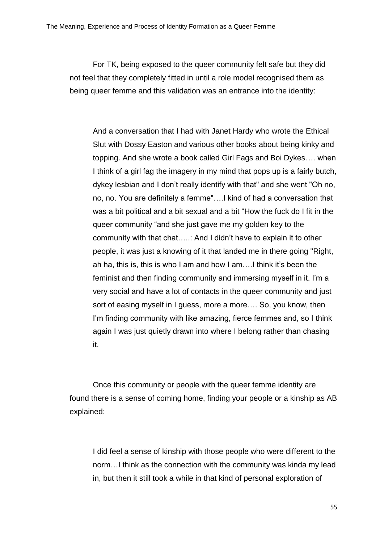For TK, being exposed to the queer community felt safe but they did not feel that they completely fitted in until a role model recognised them as being queer femme and this validation was an entrance into the identity:

And a conversation that I had with Janet Hardy who wrote the Ethical Slut with Dossy Easton and various other books about being kinky and topping. And she wrote a book called Girl Fags and Boi Dykes…. when I think of a girl fag the imagery in my mind that pops up is a fairly butch, dykey lesbian and I don't really identify with that" and she went "Oh no, no, no. You are definitely a femme"….I kind of had a conversation that was a bit political and a bit sexual and a bit "How the fuck do I fit in the queer community "and she just gave me my golden key to the community with that chat…..: And I didn't have to explain it to other people, it was just a knowing of it that landed me in there going "Right, ah ha, this is, this is who I am and how I am….I think it's been the feminist and then finding community and immersing myself in it. I'm a very social and have a lot of contacts in the queer community and just sort of easing myself in I guess, more a more…. So, you know, then I'm finding community with like amazing, fierce femmes and, so I think again I was just quietly drawn into where I belong rather than chasing it.

Once this community or people with the queer femme identity are found there is a sense of coming home, finding your people or a kinship as AB explained:

I did feel a sense of kinship with those people who were different to the norm…I think as the connection with the community was kinda my lead in, but then it still took a while in that kind of personal exploration of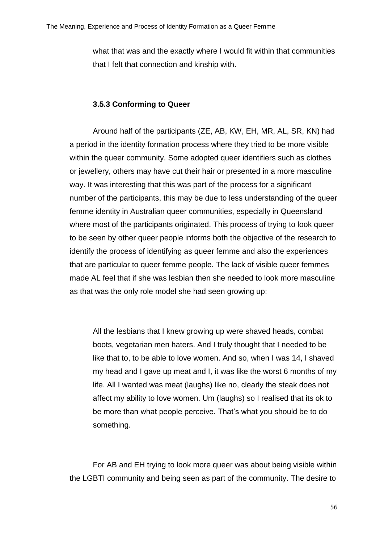what that was and the exactly where I would fit within that communities that I felt that connection and kinship with.

# **3.5.3 Conforming to Queer**

Around half of the participants (ZE, AB, KW, EH, MR, AL, SR, KN) had a period in the identity formation process where they tried to be more visible within the queer community. Some adopted queer identifiers such as clothes or jewellery, others may have cut their hair or presented in a more masculine way. It was interesting that this was part of the process for a significant number of the participants, this may be due to less understanding of the queer femme identity in Australian queer communities, especially in Queensland where most of the participants originated. This process of trying to look queer to be seen by other queer people informs both the objective of the research to identify the process of identifying as queer femme and also the experiences that are particular to queer femme people. The lack of visible queer femmes made AL feel that if she was lesbian then she needed to look more masculine as that was the only role model she had seen growing up:

All the lesbians that I knew growing up were shaved heads, combat boots, vegetarian men haters. And I truly thought that I needed to be like that to, to be able to love women. And so, when I was 14, I shaved my head and I gave up meat and I, it was like the worst 6 months of my life. All I wanted was meat (laughs) like no, clearly the steak does not affect my ability to love women. Um (laughs) so I realised that its ok to be more than what people perceive. That's what you should be to do something.

For AB and EH trying to look more queer was about being visible within the LGBTI community and being seen as part of the community. The desire to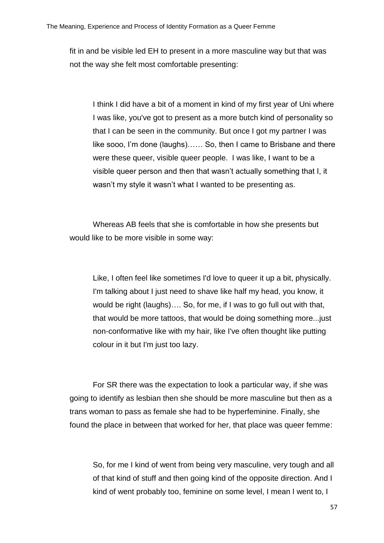fit in and be visible led EH to present in a more masculine way but that was not the way she felt most comfortable presenting:

I think I did have a bit of a moment in kind of my first year of Uni where I was like, you've got to present as a more butch kind of personality so that I can be seen in the community. But once I got my partner I was like sooo, I'm done (laughs)…… So, then I came to Brisbane and there were these queer, visible queer people. I was like, I want to be a visible queer person and then that wasn't actually something that I, it wasn't my style it wasn't what I wanted to be presenting as.

Whereas AB feels that she is comfortable in how she presents but would like to be more visible in some way:

Like, I often feel like sometimes I'd love to queer it up a bit, physically. I'm talking about I just need to shave like half my head, you know, it would be right (laughs)…. So, for me, if I was to go full out with that, that would be more tattoos, that would be doing something more...just non-conformative like with my hair, like I've often thought like putting colour in it but I'm just too lazy.

For SR there was the expectation to look a particular way, if she was going to identify as lesbian then she should be more masculine but then as a trans woman to pass as female she had to be hyperfeminine. Finally, she found the place in between that worked for her, that place was queer femme:

So, for me I kind of went from being very masculine, very tough and all of that kind of stuff and then going kind of the opposite direction. And I kind of went probably too, feminine on some level, I mean I went to, I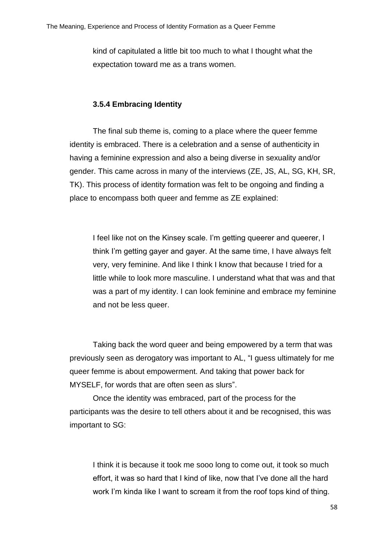kind of capitulated a little bit too much to what I thought what the expectation toward me as a trans women.

## **3.5.4 Embracing Identity**

The final sub theme is, coming to a place where the queer femme identity is embraced. There is a celebration and a sense of authenticity in having a feminine expression and also a being diverse in sexuality and/or gender. This came across in many of the interviews (ZE, JS, AL, SG, KH, SR, TK). This process of identity formation was felt to be ongoing and finding a place to encompass both queer and femme as ZE explained:

I feel like not on the Kinsey scale. I'm getting queerer and queerer, I think I'm getting gayer and gayer. At the same time, I have always felt very, very feminine. And like I think I know that because I tried for a little while to look more masculine. I understand what that was and that was a part of my identity. I can look feminine and embrace my feminine and not be less queer.

Taking back the word queer and being empowered by a term that was previously seen as derogatory was important to AL, "I guess ultimately for me queer femme is about empowerment. And taking that power back for MYSELF, for words that are often seen as slurs".

Once the identity was embraced, part of the process for the participants was the desire to tell others about it and be recognised, this was important to SG:

I think it is because it took me sooo long to come out, it took so much effort, it was so hard that I kind of like, now that I've done all the hard work I'm kinda like I want to scream it from the roof tops kind of thing.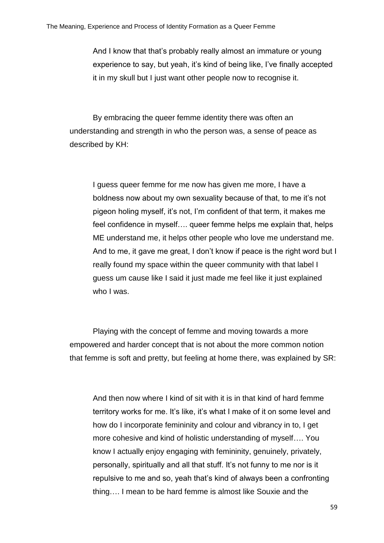And I know that that's probably really almost an immature or young experience to say, but yeah, it's kind of being like, I've finally accepted it in my skull but I just want other people now to recognise it.

By embracing the queer femme identity there was often an understanding and strength in who the person was, a sense of peace as described by KH:

I guess queer femme for me now has given me more, I have a boldness now about my own sexuality because of that, to me it's not pigeon holing myself, it's not, I'm confident of that term, it makes me feel confidence in myself…. queer femme helps me explain that, helps ME understand me, it helps other people who love me understand me. And to me, it gave me great, I don't know if peace is the right word but I really found my space within the queer community with that label I guess um cause like I said it just made me feel like it just explained who I was.

Playing with the concept of femme and moving towards a more empowered and harder concept that is not about the more common notion that femme is soft and pretty, but feeling at home there, was explained by SR:

And then now where I kind of sit with it is in that kind of hard femme territory works for me. It's like, it's what I make of it on some level and how do I incorporate femininity and colour and vibrancy in to, I get more cohesive and kind of holistic understanding of myself…. You know I actually enjoy engaging with femininity, genuinely, privately, personally, spiritually and all that stuff. It's not funny to me nor is it repulsive to me and so, yeah that's kind of always been a confronting thing…. I mean to be hard femme is almost like Souxie and the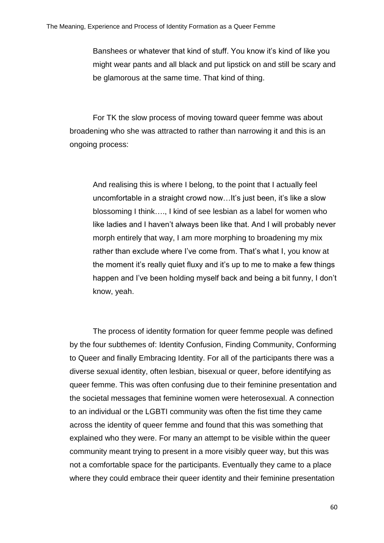Banshees or whatever that kind of stuff. You know it's kind of like you might wear pants and all black and put lipstick on and still be scary and be glamorous at the same time. That kind of thing.

For TK the slow process of moving toward queer femme was about broadening who she was attracted to rather than narrowing it and this is an ongoing process:

And realising this is where I belong, to the point that I actually feel uncomfortable in a straight crowd now…It's just been, it's like a slow blossoming I think…., I kind of see lesbian as a label for women who like ladies and I haven't always been like that. And I will probably never morph entirely that way, I am more morphing to broadening my mix rather than exclude where I've come from. That's what I, you know at the moment it's really quiet fluxy and it's up to me to make a few things happen and I've been holding myself back and being a bit funny, I don't know, yeah.

The process of identity formation for queer femme people was defined by the four subthemes of: Identity Confusion, Finding Community, Conforming to Queer and finally Embracing Identity. For all of the participants there was a diverse sexual identity, often lesbian, bisexual or queer, before identifying as queer femme. This was often confusing due to their feminine presentation and the societal messages that feminine women were heterosexual. A connection to an individual or the LGBTI community was often the fist time they came across the identity of queer femme and found that this was something that explained who they were. For many an attempt to be visible within the queer community meant trying to present in a more visibly queer way, but this was not a comfortable space for the participants. Eventually they came to a place where they could embrace their queer identity and their feminine presentation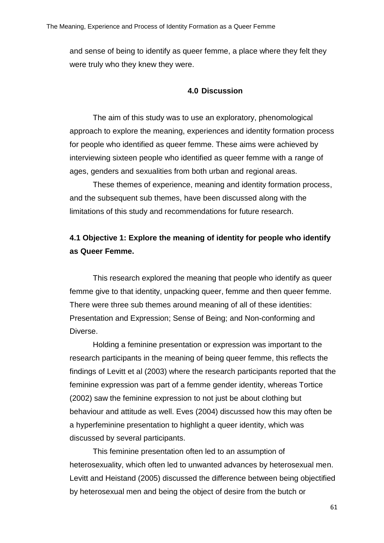and sense of being to identify as queer femme, a place where they felt they were truly who they knew they were.

## **4.0 Discussion**

The aim of this study was to use an exploratory, phenomological approach to explore the meaning, experiences and identity formation process for people who identified as queer femme. These aims were achieved by interviewing sixteen people who identified as queer femme with a range of ages, genders and sexualities from both urban and regional areas.

These themes of experience, meaning and identity formation process, and the subsequent sub themes, have been discussed along with the limitations of this study and recommendations for future research.

# **4.1 Objective 1: Explore the meaning of identity for people who identify as Queer Femme.**

This research explored the meaning that people who identify as queer femme give to that identity, unpacking queer, femme and then queer femme. There were three sub themes around meaning of all of these identities: Presentation and Expression; Sense of Being; and Non-conforming and Diverse.

Holding a feminine presentation or expression was important to the research participants in the meaning of being queer femme, this reflects the findings of Levitt et al (2003) where the research participants reported that the feminine expression was part of a femme gender identity, whereas Tortice (2002) saw the feminine expression to not just be about clothing but behaviour and attitude as well. Eves (2004) discussed how this may often be a hyperfeminine presentation to highlight a queer identity, which was discussed by several participants.

This feminine presentation often led to an assumption of heterosexuality, which often led to unwanted advances by heterosexual men. Levitt and Heistand (2005) discussed the difference between being objectified by heterosexual men and being the object of desire from the butch or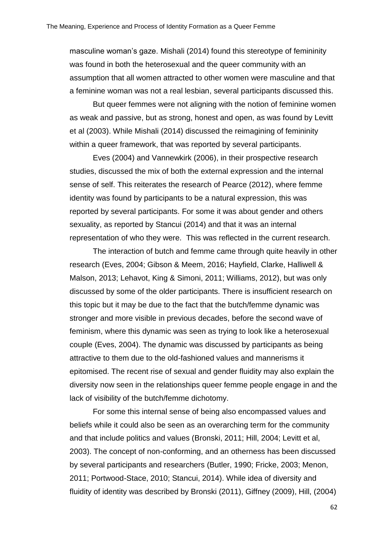masculine woman's gaze. Mishali (2014) found this stereotype of femininity was found in both the heterosexual and the queer community with an assumption that all women attracted to other women were masculine and that a feminine woman was not a real lesbian, several participants discussed this.

But queer femmes were not aligning with the notion of feminine women as weak and passive, but as strong, honest and open, as was found by Levitt et al (2003). While Mishali (2014) discussed the reimagining of femininity within a queer framework, that was reported by several participants.

Eves (2004) and Vannewkirk (2006), in their prospective research studies, discussed the mix of both the external expression and the internal sense of self. This reiterates the research of Pearce (2012), where femme identity was found by participants to be a natural expression, this was reported by several participants. For some it was about gender and others sexuality, as reported by Stancui (2014) and that it was an internal representation of who they were. This was reflected in the current research.

The interaction of butch and femme came through quite heavily in other research (Eves, 2004; Gibson & Meem, 2016; Hayfield, Clarke, Halliwell & Malson, 2013; Lehavot, King & Simoni, 2011; Williams, 2012), but was only discussed by some of the older participants. There is insufficient research on this topic but it may be due to the fact that the butch/femme dynamic was stronger and more visible in previous decades, before the second wave of feminism, where this dynamic was seen as trying to look like a heterosexual couple (Eves, 2004). The dynamic was discussed by participants as being attractive to them due to the old-fashioned values and mannerisms it epitomised. The recent rise of sexual and gender fluidity may also explain the diversity now seen in the relationships queer femme people engage in and the lack of visibility of the butch/femme dichotomy.

For some this internal sense of being also encompassed values and beliefs while it could also be seen as an overarching term for the community and that include politics and values (Bronski, 2011; Hill, 2004; Levitt et al, 2003). The concept of non-conforming, and an otherness has been discussed by several participants and researchers (Butler, 1990; Fricke, 2003; Menon, 2011; Portwood-Stace, 2010; Stancui, 2014). While idea of diversity and fluidity of identity was described by Bronski (2011), Giffney (2009), Hill, (2004)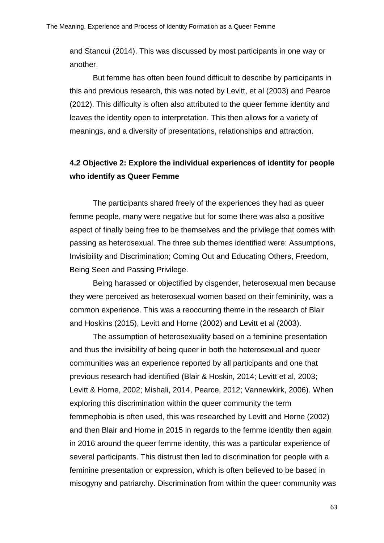and Stancui (2014). This was discussed by most participants in one way or another.

But femme has often been found difficult to describe by participants in this and previous research, this was noted by Levitt, et al (2003) and Pearce (2012). This difficulty is often also attributed to the queer femme identity and leaves the identity open to interpretation. This then allows for a variety of meanings, and a diversity of presentations, relationships and attraction.

# **4.2 Objective 2: Explore the individual experiences of identity for people who identify as Queer Femme**

The participants shared freely of the experiences they had as queer femme people, many were negative but for some there was also a positive aspect of finally being free to be themselves and the privilege that comes with passing as heterosexual. The three sub themes identified were: Assumptions, Invisibility and Discrimination; Coming Out and Educating Others, Freedom, Being Seen and Passing Privilege.

Being harassed or objectified by cisgender, heterosexual men because they were perceived as heterosexual women based on their femininity, was a common experience. This was a reoccurring theme in the research of Blair and Hoskins (2015), Levitt and Horne (2002) and Levitt et al (2003).

The assumption of heterosexuality based on a feminine presentation and thus the invisibility of being queer in both the heterosexual and queer communities was an experience reported by all participants and one that previous research had identified (Blair & Hoskin, 2014; Levitt et al, 2003; Levitt & Horne, 2002; Mishali, 2014, Pearce, 2012; Vannewkirk, 2006). When exploring this discrimination within the queer community the term femmephobia is often used, this was researched by Levitt and Horne (2002) and then Blair and Horne in 2015 in regards to the femme identity then again in 2016 around the queer femme identity, this was a particular experience of several participants. This distrust then led to discrimination for people with a feminine presentation or expression, which is often believed to be based in misogyny and patriarchy. Discrimination from within the queer community was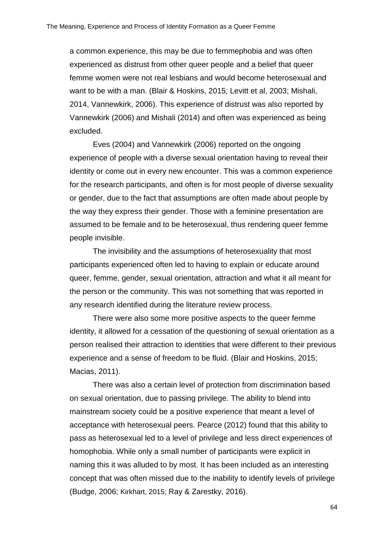a common experience, this may be due to femmephobia and was often experienced as distrust from other queer people and a belief that queer femme women were not real lesbians and would become heterosexual and want to be with a man. (Blair & Hoskins, 2015; Levitt et al, 2003; Mishali, 2014, Vannewkirk, 2006). This experience of distrust was also reported by Vannewkirk (2006) and Mishali (2014) and often was experienced as being excluded.

Eves (2004) and Vannewkirk (2006) reported on the ongoing experience of people with a diverse sexual orientation having to reveal their identity or come out in every new encounter. This was a common experience for the research participants, and often is for most people of diverse sexuality or gender, due to the fact that assumptions are often made about people by the way they express their gender. Those with a feminine presentation are assumed to be female and to be heterosexual, thus rendering queer femme people invisible.

The invisibility and the assumptions of heterosexuality that most participants experienced often led to having to explain or educate around queer, femme, gender, sexual orientation, attraction and what it all meant for the person or the community. This was not something that was reported in any research identified during the literature review process.

There were also some more positive aspects to the queer femme identity, it allowed for a cessation of the questioning of sexual orientation as a person realised their attraction to identities that were different to their previous experience and a sense of freedom to be fluid. (Blair and Hoskins, 2015; Macias, 2011).

There was also a certain level of protection from discrimination based on sexual orientation, due to passing privilege. The ability to blend into mainstream society could be a positive experience that meant a level of acceptance with heterosexual peers. Pearce (2012) found that this ability to pass as heterosexual led to a level of privilege and less direct experiences of homophobia. While only a small number of participants were explicit in naming this it was alluded to by most. It has been included as an interesting concept that was often missed due to the inability to identify levels of privilege (Budge, 2006; Kirkhart, 2015; Ray & Zarestky, 2016).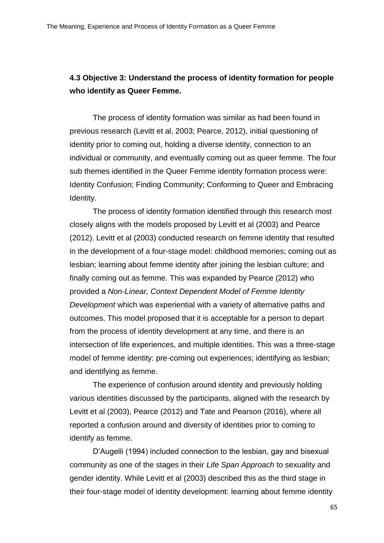# **4.3 Objective 3: Understand the process of identity formation for people who identify as Queer Femme.**

The process of identity formation was similar as had been found in previous research (Levitt et al, 2003; Pearce, 2012), initial questioning of identity prior to coming out, holding a diverse identity, connection to an individual or community, and eventually coming out as queer femme. The four sub themes identified in the Queer Femme identity formation process were: Identity Confusion; Finding Community; Conforming to Queer and Embracing Identity.

The process of identity formation identified through this research most closely aligns with the models proposed by Levitt et al (2003) and Pearce (2012). Levitt et al (2003) conducted research on femme identity that resulted in the development of a four-stage model: childhood memories; coming out as lesbian; learning about femme identity after joining the lesbian culture; and finally coming out as femme. This was expanded by Pearce (2012) who provided a *Non-Linear, Context Dependent Model of Femme Identity Development* which was experiential with a variety of alternative paths and outcomes. This model proposed that it is acceptable for a person to depart from the process of identity development at any time, and there is an intersection of life experiences, and multiple identities. This was a three-stage model of femme identity: pre-coming out experiences; identifying as lesbian; and identifying as femme.

The experience of confusion around identity and previously holding various identities discussed by the participants, aligned with the research by Levitt et al (2003), Pearce (2012) and Tate and Pearson (2016), where all reported a confusion around and diversity of identities prior to coming to identify as femme.

D'Augelli (1994) included connection to the lesbian, gay and bisexual community as one of the stages in their *Life Span Approach* to sexuality and gender identity. While Levitt et al (2003) described this as the third stage in their four-stage model of identity development: learning about femme identity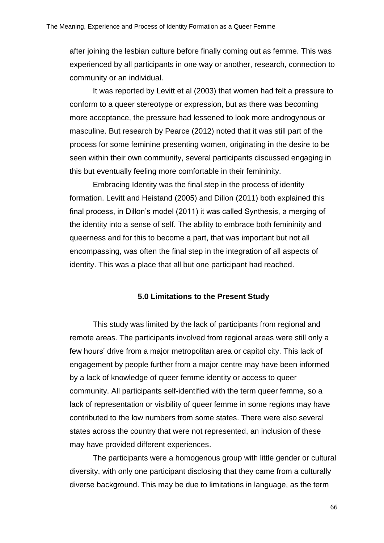after joining the lesbian culture before finally coming out as femme. This was experienced by all participants in one way or another, research, connection to community or an individual.

It was reported by Levitt et al (2003) that women had felt a pressure to conform to a queer stereotype or expression, but as there was becoming more acceptance, the pressure had lessened to look more androgynous or masculine. But research by Pearce (2012) noted that it was still part of the process for some feminine presenting women, originating in the desire to be seen within their own community, several participants discussed engaging in this but eventually feeling more comfortable in their femininity.

Embracing Identity was the final step in the process of identity formation. Levitt and Heistand (2005) and Dillon (2011) both explained this final process, in Dillon's model (2011) it was called Synthesis, a merging of the identity into a sense of self. The ability to embrace both femininity and queerness and for this to become a part, that was important but not all encompassing, was often the final step in the integration of all aspects of identity. This was a place that all but one participant had reached.

### **5.0 Limitations to the Present Study**

This study was limited by the lack of participants from regional and remote areas. The participants involved from regional areas were still only a few hours' drive from a major metropolitan area or capitol city. This lack of engagement by people further from a major centre may have been informed by a lack of knowledge of queer femme identity or access to queer community. All participants self-identified with the term queer femme, so a lack of representation or visibility of queer femme in some regions may have contributed to the low numbers from some states. There were also several states across the country that were not represented, an inclusion of these may have provided different experiences.

The participants were a homogenous group with little gender or cultural diversity, with only one participant disclosing that they came from a culturally diverse background. This may be due to limitations in language, as the term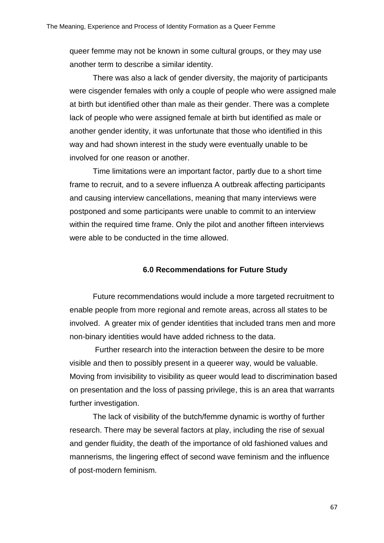queer femme may not be known in some cultural groups, or they may use another term to describe a similar identity.

There was also a lack of gender diversity, the majority of participants were cisgender females with only a couple of people who were assigned male at birth but identified other than male as their gender. There was a complete lack of people who were assigned female at birth but identified as male or another gender identity, it was unfortunate that those who identified in this way and had shown interest in the study were eventually unable to be involved for one reason or another.

Time limitations were an important factor, partly due to a short time frame to recruit, and to a severe influenza A outbreak affecting participants and causing interview cancellations, meaning that many interviews were postponed and some participants were unable to commit to an interview within the required time frame. Only the pilot and another fifteen interviews were able to be conducted in the time allowed.

# **6.0 Recommendations for Future Study**

Future recommendations would include a more targeted recruitment to enable people from more regional and remote areas, across all states to be involved. A greater mix of gender identities that included trans men and more non-binary identities would have added richness to the data.

Further research into the interaction between the desire to be more visible and then to possibly present in a queerer way, would be valuable. Moving from invisibility to visibility as queer would lead to discrimination based on presentation and the loss of passing privilege, this is an area that warrants further investigation.

The lack of visibility of the butch/femme dynamic is worthy of further research. There may be several factors at play, including the rise of sexual and gender fluidity, the death of the importance of old fashioned values and mannerisms, the lingering effect of second wave feminism and the influence of post-modern feminism.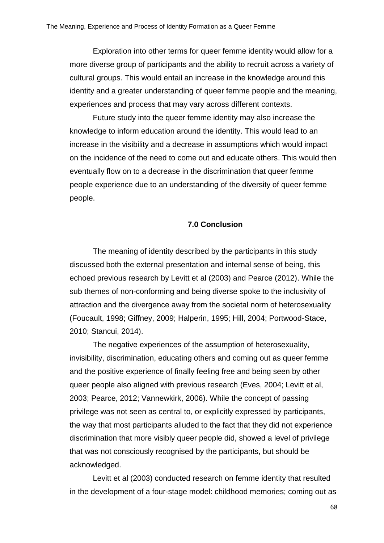Exploration into other terms for queer femme identity would allow for a more diverse group of participants and the ability to recruit across a variety of cultural groups. This would entail an increase in the knowledge around this identity and a greater understanding of queer femme people and the meaning, experiences and process that may vary across different contexts.

Future study into the queer femme identity may also increase the knowledge to inform education around the identity. This would lead to an increase in the visibility and a decrease in assumptions which would impact on the incidence of the need to come out and educate others. This would then eventually flow on to a decrease in the discrimination that queer femme people experience due to an understanding of the diversity of queer femme people.

### **7.0 Conclusion**

The meaning of identity described by the participants in this study discussed both the external presentation and internal sense of being, this echoed previous research by Levitt et al (2003) and Pearce (2012). While the sub themes of non-conforming and being diverse spoke to the inclusivity of attraction and the divergence away from the societal norm of heterosexuality (Foucault, 1998; Giffney, 2009; Halperin, 1995; Hill, 2004; Portwood-Stace, 2010; Stancui, 2014).

The negative experiences of the assumption of heterosexuality, invisibility, discrimination, educating others and coming out as queer femme and the positive experience of finally feeling free and being seen by other queer people also aligned with previous research (Eves, 2004; Levitt et al, 2003; Pearce, 2012; Vannewkirk, 2006). While the concept of passing privilege was not seen as central to, or explicitly expressed by participants, the way that most participants alluded to the fact that they did not experience discrimination that more visibly queer people did, showed a level of privilege that was not consciously recognised by the participants, but should be acknowledged.

Levitt et al (2003) conducted research on femme identity that resulted in the development of a four-stage model: childhood memories; coming out as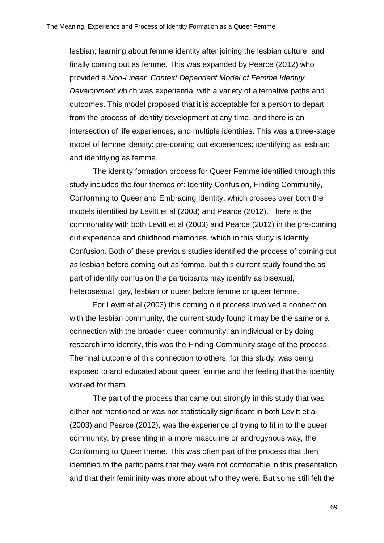lesbian; learning about femme identity after joining the lesbian culture; and finally coming out as femme. This was expanded by Pearce (2012) who provided a *Non-Linear, Context Dependent Model of Femme Identity Development* which was experiential with a variety of alternative paths and outcomes. This model proposed that it is acceptable for a person to depart from the process of identity development at any time, and there is an intersection of life experiences, and multiple identities. This was a three-stage model of femme identity: pre-coming out experiences; identifying as lesbian; and identifying as femme.

The identity formation process for Queer Femme identified through this study includes the four themes of: Identity Confusion, Finding Community, Conforming to Queer and Embracing Identity, which crosses over both the models identified by Levitt et al (2003) and Pearce (2012). There is the commonality with both Levitt et al (2003) and Pearce (2012) in the pre-coming out experience and childhood memories, which in this study is Identity Confusion. Both of these previous studies identified the process of coming out as lesbian before coming out as femme, but this current study found the as part of identity confusion the participants may identify as bisexual, heterosexual, gay, lesbian or queer before femme or queer femme.

For Levitt et al (2003) this coming out process involved a connection with the lesbian community, the current study found it may be the same or a connection with the broader queer community, an individual or by doing research into identity, this was the Finding Community stage of the process. The final outcome of this connection to others, for this study, was being exposed to and educated about queer femme and the feeling that this identity worked for them.

The part of the process that came out strongly in this study that was either not mentioned or was not statistically significant in both Levitt et al (2003) and Pearce (2012), was the experience of trying to fit in to the queer community, by presenting in a more masculine or androgynous way, the Conforming to Queer theme. This was often part of the process that then identified to the participants that they were not comfortable in this presentation and that their femininity was more about who they were. But some still felt the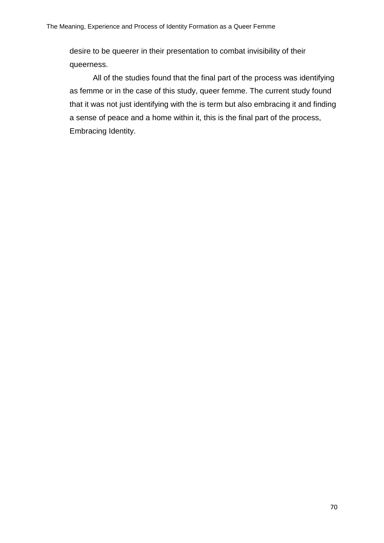desire to be queerer in their presentation to combat invisibility of their queerness.

All of the studies found that the final part of the process was identifying as femme or in the case of this study, queer femme. The current study found that it was not just identifying with the is term but also embracing it and finding a sense of peace and a home within it, this is the final part of the process, Embracing Identity.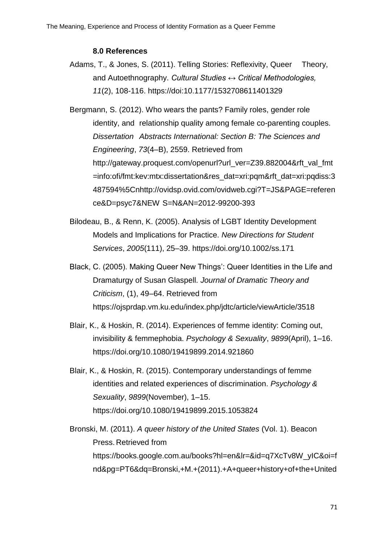#### **8.0 References**

- Adams, T., & Jones, S. (2011). Telling Stories: Reflexivity, Queer Theory, and Autoethnography. *Cultural Studies ↔ Critical Methodologies, 11*(2), 108-116.<https://doi:10.1177/1532708611401329>
- Bergmann, S. (2012). Who wears the pants? Family roles, gender role identity, and relationship quality among female co-parenting couples. *Dissertation Abstracts International: Section B: The Sciences and Engineering*, *73*(4–B), 2559. Retrieved from [http://gateway.proquest.com/openurl?url\\_ver=Z39.882004&rft\\_val\\_fmt](http://gateway.proquest.com/openurl?url_ver=Z39.882004&rft_val_fmt%09=info:ofi/fmt:kev:mtx:dissertation&res_dat=xri:pqm&rft_dat=xri:pqdiss:3%09487594%5Cnhttp://ovidsp.ovid.com/ovidweb.cgi?T=JS&PAGE=referen%09ce&D=psyc7&NEW%09S=N&AN=2012-99200-393) [=info:ofi/fmt:kev:mtx:dissertation&res\\_dat=xri:pqm&rft\\_dat=xri:pqdiss:3](http://gateway.proquest.com/openurl?url_ver=Z39.882004&rft_val_fmt%09=info:ofi/fmt:kev:mtx:dissertation&res_dat=xri:pqm&rft_dat=xri:pqdiss:3%09487594%5Cnhttp://ovidsp.ovid.com/ovidweb.cgi?T=JS&PAGE=referen%09ce&D=psyc7&NEW%09S=N&AN=2012-99200-393) [487594%5Cnhttp://ovidsp.ovid.com/ovidweb.cgi?T=JS&PAGE=referen](http://gateway.proquest.com/openurl?url_ver=Z39.882004&rft_val_fmt%09=info:ofi/fmt:kev:mtx:dissertation&res_dat=xri:pqm&rft_dat=xri:pqdiss:3%09487594%5Cnhttp://ovidsp.ovid.com/ovidweb.cgi?T=JS&PAGE=referen%09ce&D=psyc7&NEW%09S=N&AN=2012-99200-393) ce&D=psyc7&NEW [S=N&AN=2012-99200-393](http://gateway.proquest.com/openurl?url_ver=Z39.882004&rft_val_fmt%09=info:ofi/fmt:kev:mtx:dissertation&res_dat=xri:pqm&rft_dat=xri:pqdiss:3%09487594%5Cnhttp://ovidsp.ovid.com/ovidweb.cgi?T=JS&PAGE=referen%09ce&D=psyc7&NEW%09S=N&AN=2012-99200-393)
- Bilodeau, B., & Renn, K. (2005). Analysis of LGBT Identity Development Models and Implications for Practice. *New Directions for Student Services*, *2005*(111), 25–39.<https://doi.org/10.1002/ss.171>
- Black, C. (2005). Making Queer New Things': Queer Identities in the Life and Dramaturgy of Susan Glaspell. *Journal of Dramatic Theory and Criticism*, (1), 49–64. Retrieved from <https://ojsprdap.vm.ku.edu/index.php/jdtc/article/viewArticle/3518>
- Blair, K., & Hoskin, R. (2014). Experiences of femme identity: Coming out, invisibility & femmephobia. *Psychology & Sexuality*, *9899*(April), 1–16. <https://doi.org/10.1080/19419899.2014.921860>
- Blair, K., & Hoskin, R. (2015). Contemporary understandings of femme identities and related experiences of discrimination. *Psychology & Sexuality*, *9899*(November), 1–15. <https://doi.org/10.1080/19419899.2015.1053824>
- Bronski, M. (2011). *A queer history of the United States* (Vol. 1). Beacon Press. Retrieved from [https://books.google.com.au/books?hl=en&lr=&id=q7XcTv8W\\_yIC&oi=f](https://books.google.com.au/books?hl=en&lr=&id=q7XcTv8W_yIC&oi=f%09nd&pg=PT6&dq=Bronski,+M.+(2011).+A+queer+history+of+the+United%09+States.+Boston,+MA:+Beacon+Press&ots=BZNFTAgVjY&sig=RMfwn%09uXNLjHT-UGCBtAqRfnmgwk#v=onepage&q&f=false) [nd&pg=PT6&dq=Bronski,+M.+\(2011\).+A+queer+history+of+the+United](https://books.google.com.au/books?hl=en&lr=&id=q7XcTv8W_yIC&oi=f%09nd&pg=PT6&dq=Bronski,+M.+(2011).+A+queer+history+of+the+United%09+States.+Boston,+MA:+Beacon+Press&ots=BZNFTAgVjY&sig=RMfwn%09uXNLjHT-UGCBtAqRfnmgwk#v=onepage&q&f=false)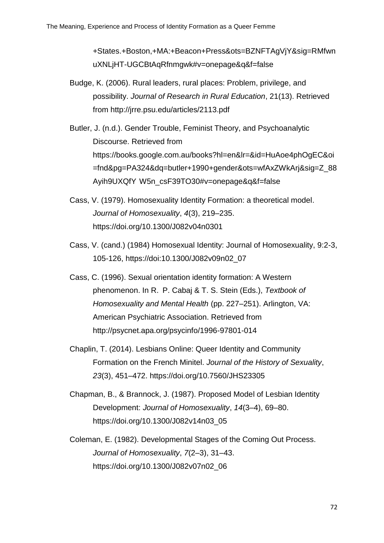[+States.+Boston,+MA:+Beacon+Press&ots=BZNFTAgVjY&sig=RMfwn](https://books.google.com.au/books?hl=en&lr=&id=q7XcTv8W_yIC&oi=f%09nd&pg=PT6&dq=Bronski,+M.+(2011).+A+queer+history+of+the+United%09+States.+Boston,+MA:+Beacon+Press&ots=BZNFTAgVjY&sig=RMfwn%09uXNLjHT-UGCBtAqRfnmgwk#v=onepage&q&f=false) [uXNLjHT-UGCBtAqRfnmgwk#v=onepage&q&f=false](https://books.google.com.au/books?hl=en&lr=&id=q7XcTv8W_yIC&oi=f%09nd&pg=PT6&dq=Bronski,+M.+(2011).+A+queer+history+of+the+United%09+States.+Boston,+MA:+Beacon+Press&ots=BZNFTAgVjY&sig=RMfwn%09uXNLjHT-UGCBtAqRfnmgwk#v=onepage&q&f=false)

- Budge, K. (2006). Rural leaders, rural places: Problem, privilege, and possibility. *Journal of Research in Rural Education*, 21(13). Retrieved from <http://jrre.psu.edu/articles/2113.pdf>
- Butler, J. (n.d.). Gender Trouble, Feminist Theory, and Psychoanalytic Discourse. Retrieved from [https://books.google.com.au/books?hl=en&lr=&id=HuAoe4phOgEC&oi](https://books.google.com.au/books?hl=en&lr=&id=HuAoe4phOgEC&oi%09=fnd&pg=PA324&dq=butler+1990+gender&ots=wfAxZWkArj&sig=Z_88%09Ayih9UXQfY%09W5n_csF39TO30#v=onepage&q&f=false) [=fnd&pg=PA324&dq=butler+1990+gender&ots=wfAxZWkArj&sig=Z\\_88](https://books.google.com.au/books?hl=en&lr=&id=HuAoe4phOgEC&oi%09=fnd&pg=PA324&dq=butler+1990+gender&ots=wfAxZWkArj&sig=Z_88%09Ayih9UXQfY%09W5n_csF39TO30#v=onepage&q&f=false) Ayih9UXQfY [W5n\\_csF39TO30#v=onepage&q&f=false](https://books.google.com.au/books?hl=en&lr=&id=HuAoe4phOgEC&oi%09=fnd&pg=PA324&dq=butler+1990+gender&ots=wfAxZWkArj&sig=Z_88%09Ayih9UXQfY%09W5n_csF39TO30#v=onepage&q&f=false)
- Cass, V. (1979). Homosexuality Identity Formation: a theoretical model. *Journal of Homosexuality*, *4*(3), 219–235. [https://doi.org/10.1300/J082v04n0301](https://doi.org/10.1300/J082v04n03_01)
- Cass, V. (cand.) (1984) Homosexual Identity: Journal of Homosexuality, 9:2-3, 105-126, [https://doi:10.1300/J082v09n02\\_07](https://doi:10.1300/J082v09n02_07)
- Cass, C. (1996). Sexual orientation identity formation: A Western phenomenon. In R. P. Cabaj & T. S. Stein (Eds.), *Textbook of Homosexuality and Mental Health* (pp. 227–251). Arlington, VA: American Psychiatric Association. Retrieved from <http://psycnet.apa.org/psycinfo/1996-97801-014>
- Chaplin, T. (2014). Lesbians Online: Queer Identity and Community Formation on the French Minitel. *Journal of the History of Sexuality*, *23*(3), 451–472.<https://doi.org/10.7560/JHS23305>
- Chapman, B., & Brannock, J. (1987). Proposed Model of Lesbian Identity Development: *Journal of Homosexuality*, *14*(3–4), 69–80. [https://doi.org/10.1300/J082v14n03\\_05](https://doi.org/10.1300/J082v14n03_05)
- Coleman, E. (1982). Developmental Stages of the Coming Out Process. *Journal of Homosexuality*, *7*(2–3), 31–43. [https://doi.org/10.1300/J082v07n02\\_06](https://doi.org/10.1300/J082v07n02_06)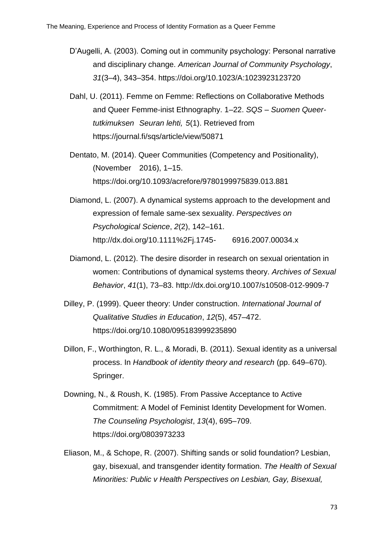- D'Augelli, A. (2003). Coming out in community psychology: Personal narrative and disciplinary change. *American Journal of Community Psychology*, *31*(3–4), 343–354.<https://doi.org/10.1023/A:1023923123720>
- Dahl, U. (2011). Femme on Femme: Reflections on Collaborative Methods and Queer Femme-inist Ethnography. 1–22. *SQS – Suomen Queertutkimuksen Seuran lehti, 5*(1). Retrieved from <https://journal.fi/sqs/article/view/50871>
- Dentato, M. (2014). Queer Communities (Competency and Positionality), (November 2016), 1–15. <https://doi.org/10.1093/acrefore/9780199975839.013.881>
- Diamond, L. (2007). A dynamical systems approach to the development and expression of female same-sex sexuality. *Perspectives on Psychological Science*, *2*(2), 142–161. [http://dx.doi.org/10.1111%2Fj.1745-](http://dx.doi.org/10.1111%2Fj.1745-6916.2007.00034.x) 6916.2007.00034.x
- Diamond, L. (2012). The desire disorder in research on sexual orientation in women: Contributions of dynamical systems theory. *Archives of Sexual Behavior*, *41*(1), 73–83.<http://dx.doi.org/10.1007/s10508-012-9909-7>
- Dilley, P. (1999). Queer theory: Under construction. *International Journal of Qualitative Studies in Education*, *12*(5), 457–472. <https://doi.org/10.1080/095183999235890>
- Dillon, F., Worthington, R. L., & Moradi, B. (2011). Sexual identity as a universal process. In *Handbook of identity theory and research* (pp. 649–670). Springer.
- Downing, N., & Roush, K. (1985). From Passive Acceptance to Active Commitment: A Model of Feminist Identity Development for Women. *The Counseling Psychologist*, *13*(4), 695–709. <https://doi.org/0803973233>
- Eliason, M., & Schope, R. (2007). Shifting sands or solid foundation? Lesbian, gay, bisexual, and transgender identity formation. *The Health of Sexual Minorities: Public v Health Perspectives on Lesbian, Gay, Bisexual,*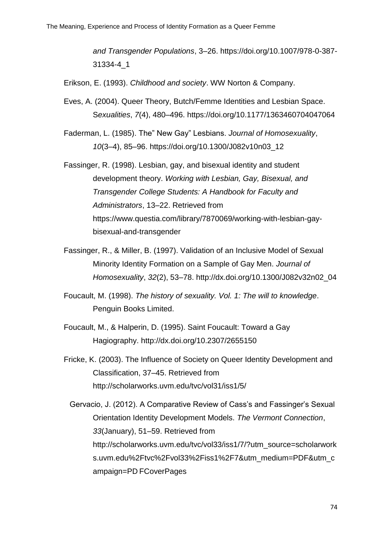*and Transgender Populations*, 3–26. [https://doi.org/10.1007/978-0-387-](https://doi.org/10.1007/978-0-387-31334-4_1) [31334-4\\_1](https://doi.org/10.1007/978-0-387-31334-4_1)

Erikson, E. (1993). *Childhood and society*. WW Norton & Company.

- Eves, A. (2004). Queer Theory, Butch/Femme Identities and Lesbian Space. S*exualities*, *7*(4), 480–496.<https://doi.org/10.1177/1363460704047064>
- Faderman, L. (1985). The" New Gay" Lesbians. *Journal of Homosexuality*, *10*(3–4), 85–96. [https://doi.org/10.1300/J082v10n03\\_12](https://doi.org/10.1300/J082v10n03_12)
- Fassinger, R. (1998). Lesbian, gay, and bisexual identity and student development theory. *Working with Lesbian, Gay, Bisexual, and Transgender College Students: A Handbook for Faculty and Administrators*, 13–22. Retrieved from [https://www.questia.com/library/7870069/working-with-lesbian-gay](https://www.questia.com/library/7870069/working-with-lesbian-gay-%09%09%09bisexual-and-transgender)[bisexual-and-transgender](https://www.questia.com/library/7870069/working-with-lesbian-gay-%09%09%09bisexual-and-transgender)
- Fassinger, R., & Miller, B. (1997). Validation of an Inclusive Model of Sexual Minority Identity Formation on a Sample of Gay Men. *Journal of Homosexuality*, *32*(2), 53–78. [http://dx.doi.org/10.1300/J082v32n02\\_04](http://dx.doi.org/10.1300/J082v32n02_04)
- Foucault, M. (1998). *The history of sexuality. Vol. 1: The will to knowledge*. Penguin Books Limited.
- Foucault, M., & Halperin, D. (1995). Saint Foucault: Toward a Gay Hagiography.<http://dx.doi.org/10.2307/2655150>
- Fricke, K. (2003). The Influence of Society on Queer Identity Development and Classification, 37–45. Retrieved from <http://scholarworks.uvm.edu/tvc/vol31/iss1/5/>
	- Gervacio, J. (2012). A Comparative Review of Cass's and Fassinger's Sexual Orientation Identity Development Models. *The Vermont Connection*, *33*(January), 51–59. Retrieved from [http://scholarworks.uvm.edu/tvc/vol33/iss1/7/?utm\\_source=scholarwork](http://scholarworks.uvm.edu/tvc/vol33/iss1/7/?utm_source=scholarwork%09s.uvm.edu%2Ftvc%2Fvol33%2Fiss1%2F7&utm_medium=PDF&utm_c%09ampaign=PD%09FCoverPages) [s.uvm.edu%2Ftvc%2Fvol33%2Fiss1%2F7&utm\\_medium=PDF&utm\\_c](http://scholarworks.uvm.edu/tvc/vol33/iss1/7/?utm_source=scholarwork%09s.uvm.edu%2Ftvc%2Fvol33%2Fiss1%2F7&utm_medium=PDF&utm_c%09ampaign=PD%09FCoverPages) ampaign=PD [FCoverPages](http://scholarworks.uvm.edu/tvc/vol33/iss1/7/?utm_source=scholarwork%09s.uvm.edu%2Ftvc%2Fvol33%2Fiss1%2F7&utm_medium=PDF&utm_c%09ampaign=PD%09FCoverPages)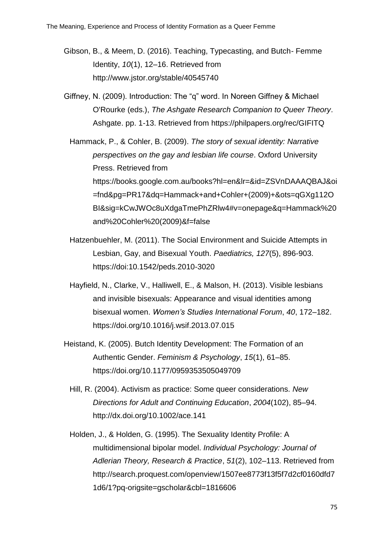- Gibson, B., & Meem, D. (2016). Teaching, Typecasting, and Butch- Femme Identity, *10*(1), 12–16. Retrieved from <http://www.jstor.org/stable/40545740>
- Giffney, N. (2009). Introduction: The "q" word. In Noreen Giffney & Michael O'Rourke (eds.), *The Ashgate Research Companion to Queer Theory*. Ashgate. pp. 1-13. Retrieved from<https://philpapers.org/rec/GIFITQ>

Hammack, P., & Cohler, B. (2009). *The story of sexual identity: Narrative perspectives on the gay and lesbian life course*. Oxford University Press. Retrieved from [https://books.google.com.au/books?hl=en&lr=&id=ZSVnDAAAQBAJ&oi](https://books.google.com.au/books?hl=en&lr=&id=ZSVnDAAAQBAJ&oi=fnd&%09pg=PR17&dq=Hammack+and+Cohler+(2009)+&ots=qGXg112OBI&sig=kCwJ%09WOc8uXdg-aTmeP-h-%09ZRlw4#v=onepage&q=Hammack%20and%20Cohler%20(2009)&f=false) [=fnd&pg=PR17&dq=Hammack+and+Cohler+\(2009\)+&ots=qGXg112O](https://books.google.com.au/books?hl=en&lr=&id=ZSVnDAAAQBAJ&oi=fnd&%09pg=PR17&dq=Hammack+and+Cohler+(2009)+&ots=qGXg112OBI&sig=kCwJ%09WOc8uXdg-aTmeP-h-%09ZRlw4#v=onepage&q=Hammack%20and%20Cohler%20(2009)&f=false) [BI&sig=kCwJWOc8uXdgaTmePhZRlw4#v=onepage&q=Hammack%20](https://books.google.com.au/books?hl=en&lr=&id=ZSVnDAAAQBAJ&oi=fnd&%09pg=PR17&dq=Hammack+and+Cohler+(2009)+&ots=qGXg112OBI&sig=kCwJ%09WOc8uXdg-aTmeP-h-%09ZRlw4#v=onepage&q=Hammack%20and%20Cohler%20(2009)&f=false) [and%20Cohler%20\(2009\)&f=false](https://books.google.com.au/books?hl=en&lr=&id=ZSVnDAAAQBAJ&oi=fnd&%09pg=PR17&dq=Hammack+and+Cohler+(2009)+&ots=qGXg112OBI&sig=kCwJ%09WOc8uXdg-aTmeP-h-%09ZRlw4#v=onepage&q=Hammack%20and%20Cohler%20(2009)&f=false)

- Hatzenbuehler, M. (2011). The Social Environment and Suicide Attempts in Lesbian, Gay, and Bisexual Youth. *Paediatrics, 127*(5), 896-903. <https://doi:10.1542/peds.2010-3020>
- Hayfield, N., Clarke, V., Halliwell, E., & Malson, H. (2013). Visible lesbians and invisible bisexuals: Appearance and visual identities among bisexual women. *Women's Studies International Forum*, *40*, 172–182. <https://doi.org/10.1016/j.wsif.2013.07.015>
- Heistand, K. (2005). Butch Identity Development: The Formation of an Authentic Gender. *Feminism & Psychology*, *15*(1), 61–85. <https://doi.org/10.1177/0959353505049709>
	- Hill, R. (2004). Activism as practice: Some queer considerations. *New Directions for Adult and Continuing Education*, *2004*(102), 85–94. <http://dx.doi.org/10.1002/ace.141>
	- Holden, J., & Holden, G. (1995). The Sexuality Identity Profile: A multidimensional bipolar model. *Individual Psychology: Journal of Adlerian Theory, Research & Practice*, *51*(2), 102–113. Retrieved from [http://search.proquest.com/openview/1507ee8773f13f5f7d2cf0160dfd7](http://search.proquest.com/openview/1507ee8773f13f5f7d2cf0160dfd7%091d6/1?pq-origsite=gscholar&cbl=1816606) [1d6/1?pq-origsite=gscholar&cbl=1816606](http://search.proquest.com/openview/1507ee8773f13f5f7d2cf0160dfd7%091d6/1?pq-origsite=gscholar&cbl=1816606)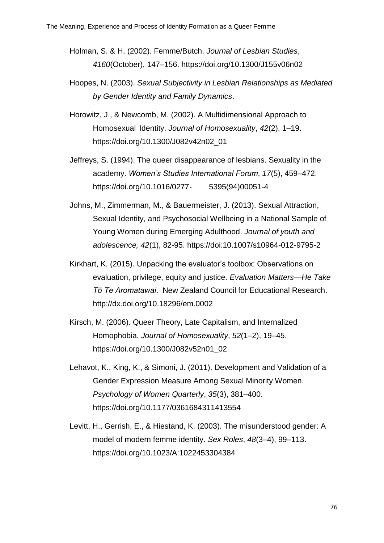- Holman, S. & H. (2002). Femme/Butch. *Journal of Lesbian Studies*, *4160*(October), 147–156.<https://doi.org/10.1300/J155v06n02>
- Hoopes, N. (2003). *Sexual Subjectivity in Lesbian Relationships as Mediated by Gender Identity and Family Dynamics*.
- Horowitz, J., & Newcomb, M. (2002). A Multidimensional Approach to Homosexual Identity. *Journal of Homosexuality*, *42*(2), 1–19. [https://doi.org/10.1300/J082v42n02\\_01](https://doi.org/10.1300/J082v42n02_01)
- Jeffreys, S. (1994). The queer disappearance of lesbians. Sexuality in the academy. *Women's Studies International Forum*, *17*(5), 459–472. [https://doi.org/10.1016/0277-](https://doi.org/10.1016/0277-%095395(94)00051-4) 5395(94)00051-4
- Johns, M., Zimmerman, M., & Bauermeister, J. (2013). Sexual Attraction, Sexual Identity, and Psychosocial Wellbeing in a National Sample of Young Women during Emerging Adulthood. *Journal of youth and adolescence, 42*(1), 82-95. [https://doi:10.1007/s10964-012-9795-2](https://doi:10.1007/s10964-012-%099795-2)
- Kirkhart, K. (2015). Unpacking the evaluator's toolbox: Observations on evaluation, privilege, equity and justice. *Evaluation Matters—He Take Tō Te Aromatawai*. New Zealand Council for Educational Research. <http://dx.doi.org/10.18296/em.0002>
- Kirsch, M. (2006). Queer Theory, Late Capitalism, and Internalized Homophobia. *Journal of Homosexuality*, *52*(1–2), 19–45. [https://doi.org/10.1300/J082v52n01\\_02](https://doi.org/10.1300/J082v52n01_02)
- Lehavot, K., King, K., & Simoni, J. (2011). Development and Validation of a Gender Expression Measure Among Sexual Minority Women. *Psychology of Women Quarterly*, *35*(3), 381–400. <https://doi.org/10.1177/0361684311413554>
- Levitt, H., Gerrish, E., & Hiestand, K. (2003). The misunderstood gender: A model of modern femme identity. *Sex Roles*, *48*(3–4), 99–113. <https://doi.org/10.1023/A:1022453304384>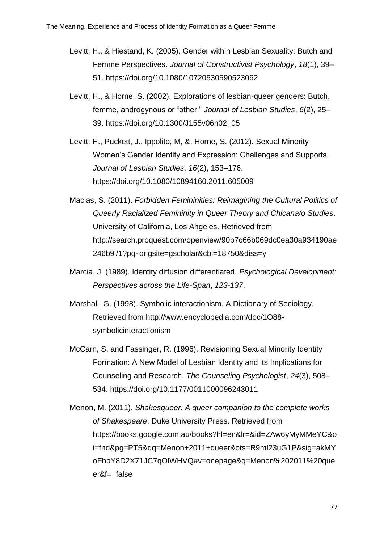- Levitt, H., & Hiestand, K. (2005). Gender within Lesbian Sexuality: Butch and Femme Perspectives. *Journal of Constructivist Psychology*, *18*(1), 39– 51.<https://doi.org/10.1080/10720530590523062>
- Levitt, H., & Horne, S. (2002). Explorations of lesbian-queer genders: Butch, femme, androgynous or "other." *Journal of Lesbian Studies*, *6*(2), 25– 39. [https://doi.org/10.1300/J155v06n02\\_05](https://doi.org/10.1300/J155v06n02_05)
- Levitt, H., Puckett, J., Ippolito, M, &. Horne, S. (2012). Sexual Minority Women's Gender Identity and Expression: Challenges and Supports. *Journal of Lesbian Studies*, *16*(2), 153–176. <https://doi.org/10.1080/10894160.2011.605009>
- Macias, S. (2011). *Forbidden Femininities: Reimagining the Cultural Politics of Queerly Racialized Femininity in Queer Theory and Chicana/o Studies*. University of California, Los Angeles. Retrieved from [http://search.proquest.com/openview/90b7c66b069dc0ea30a934190ae](http://search.proquest.com/openview/90b7c66b069dc0ea30a934190ae%09246b9%09/1?pq-%09origsite=gscholar&cbl=18750&diss=y) 246b9 /1?pq- [origsite=gscholar&cbl=18750&diss=y](http://search.proquest.com/openview/90b7c66b069dc0ea30a934190ae%09246b9%09/1?pq-%09origsite=gscholar&cbl=18750&diss=y)
- Marcia, J. (1989). Identity diffusion differentiated. *Psychological Development: Perspectives across the Life-Span*, *123-137*.
- Marshall, G. (1998). Symbolic interactionism. A Dictionary of Sociology. Retrieved from [http://www.encyclopedia.com/doc/1O88](http://www.encyclopedia.com/doc/1O88-symbolicinteractionism) [symbolicinteractionism](http://www.encyclopedia.com/doc/1O88-symbolicinteractionism)
- McCarn, S. and Fassinger, R. (1996). Revisioning Sexual Minority Identity Formation: A New Model of Lesbian Identity and its Implications for Counseling and Research. *The Counseling Psychologist*, *24*(3), 508– 534.<https://doi.org/10.1177/0011000096243011>
- Menon, M. (2011). *Shakesqueer: A queer companion to the complete works of Shakespeare*. Duke University Press. Retrieved from [https://books.google.com.au/books?hl=en&lr=&id=ZAw6yMyMMeYC&o](https://books.google.com.au/books?hl=en&lr=&id=ZAw6yMyMMeYC&o%09i=fnd&pg=PT5&dq=Menon+2011+queer&ots=R9ml23uG1P&sig=akMY%09oFhbY8D2X71JC7qOlWHVQ#v=onepage&q=Menon%202011%20que er&f= false) [i=fnd&pg=PT5&dq=Menon+2011+queer&ots=R9ml23uG1P&sig=akMY](https://books.google.com.au/books?hl=en&lr=&id=ZAw6yMyMMeYC&o%09i=fnd&pg=PT5&dq=Menon+2011+queer&ots=R9ml23uG1P&sig=akMY%09oFhbY8D2X71JC7qOlWHVQ#v=onepage&q=Menon%202011%20que er&f= false) [oFhbY8D2X71JC7qOlWHVQ#v=onepage&q=Menon%202011%20que](https://books.google.com.au/books?hl=en&lr=&id=ZAw6yMyMMeYC&o%09i=fnd&pg=PT5&dq=Menon+2011+queer&ots=R9ml23uG1P&sig=akMY%09oFhbY8D2X71JC7qOlWHVQ#v=onepage&q=Menon%202011%20que er&f= false) [er&f=](https://books.google.com.au/books?hl=en&lr=&id=ZAw6yMyMMeYC&o%09i=fnd&pg=PT5&dq=Menon+2011+queer&ots=R9ml23uG1P&sig=akMY%09oFhbY8D2X71JC7qOlWHVQ#v=onepage&q=Menon%202011%20que er&f= false) false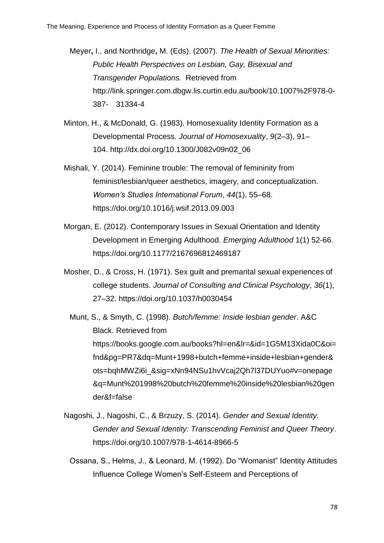Meyer**,** I., and Northridge**,** M. (Eds). (2007). *The Health of Sexual Minorities: Public Health Perspectives on Lesbian, Gay, Bisexual and Transgender Populations.* Retrieved from [http://link.springer.com.dbgw.lis.curtin.edu.au/book/10.1007%2F978-0-](http://link.springer.com.dbgw.lis.curtin.edu.au/book/10.1007%2F978-%090-387-31334-4) 387- [31334-4](http://link.springer.com.dbgw.lis.curtin.edu.au/book/10.1007%2F978-%090-387-31334-4)

- Minton, H., & McDonald, G. (1983). Homosexuality Identity Formation as a Developmental Process. *Journal of Homosexuality*, *9*(2–3), 91– 104. [http://dx.doi.org/10.1300/J082v09n02\\_06](http://dx.doi.org/10.1300/J082v09n02_06)
- Mishali, Y. (2014). Feminine trouble: The removal of femininity from feminist/lesbian/queer aesthetics, imagery, and conceptualization. *Women's Studies International Forum*, *44*(1), 55–68. <https://doi.org/10.1016/j.wsif.2013.09.003>
- Morgan, E. (2012). Contemporary Issues in Sexual Orientation and Identity Development in Emerging Adulthood. *Emerging Adulthood* 1(1) 52-66. <https://doi.org/10.1177/2167696812469187>
- Mosher, D., & Cross, H. (1971). Sex guilt and premarital sexual experiences of college students. *Journal of Consulting and Clinical Psychology*, *36*(1), 27–32.<https://doi.org/10.1037/h0030454>
	- Munt, S., & Smyth, C. (1998). *Butch/femme: Inside lesbian gender*. A&C Black. Retrieved from [https://books.google.com.au/books?hl=en&lr=&id=1G5M13Xida0C&oi=](https://books.google.com.au/books?hl=en&lr=&id=1G5M13Xida0C&oi=%09fnd&pg=PR7&dq=Munt+1998+butch+femme+inside+lesbian+gender&%09ots=bqhMWZi6i_&sig=xNn94NSu1hvVcaj2Qh7l37DUYuo#v=onepage &q=Munt%201998%20butch%20femme%20inside%20lesbian%20gen der&f=false) [fnd&pg=PR7&dq=Munt+1998+butch+femme+inside+lesbian+gender&](https://books.google.com.au/books?hl=en&lr=&id=1G5M13Xida0C&oi=%09fnd&pg=PR7&dq=Munt+1998+butch+femme+inside+lesbian+gender&%09ots=bqhMWZi6i_&sig=xNn94NSu1hvVcaj2Qh7l37DUYuo#v=onepage &q=Munt%201998%20butch%20femme%20inside%20lesbian%20gen der&f=false) [ots=bqhMWZi6i\\_&sig=xNn94NSu1hvVcaj2Qh7l37DUYuo#v=onepage](https://books.google.com.au/books?hl=en&lr=&id=1G5M13Xida0C&oi=%09fnd&pg=PR7&dq=Munt+1998+butch+femme+inside+lesbian+gender&%09ots=bqhMWZi6i_&sig=xNn94NSu1hvVcaj2Qh7l37DUYuo#v=onepage &q=Munt%201998%20butch%20femme%20inside%20lesbian%20gen der&f=false) [&q=Munt%201998%20butch%20femme%20inside%20lesbian%20gen](https://books.google.com.au/books?hl=en&lr=&id=1G5M13Xida0C&oi=%09fnd&pg=PR7&dq=Munt+1998+butch+femme+inside+lesbian+gender&%09ots=bqhMWZi6i_&sig=xNn94NSu1hvVcaj2Qh7l37DUYuo#v=onepage &q=Munt%201998%20butch%20femme%20inside%20lesbian%20gen der&f=false) [der&f=false](https://books.google.com.au/books?hl=en&lr=&id=1G5M13Xida0C&oi=%09fnd&pg=PR7&dq=Munt+1998+butch+femme+inside+lesbian+gender&%09ots=bqhMWZi6i_&sig=xNn94NSu1hvVcaj2Qh7l37DUYuo#v=onepage &q=Munt%201998%20butch%20femme%20inside%20lesbian%20gen der&f=false)
- Nagoshi, J., Nagoshi, C., & Brzuzy, S. (2014). *Gender and Sexual Identity*. *Gender and Sexual Identity: Transcending Feminist and Queer Theory*. <https://doi.org/10.1007/978-1-4614-8966-5>
	- Ossana, S., Helms, J., & Leonard, M. (1992). Do "Womanist" Identity Attitudes Influence College Women's Self-Esteem and Perceptions of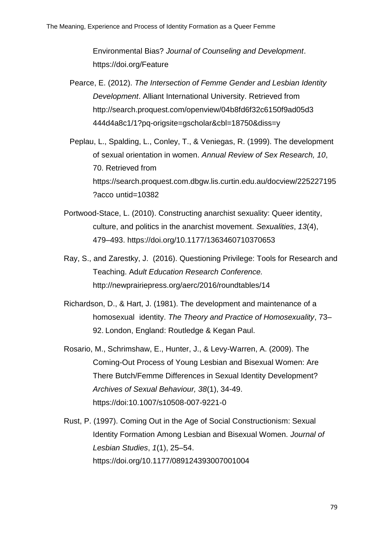Environmental Bias? *Journal of Counseling and Development*. <https://doi.org/Feature>

- Pearce, E. (2012). *The Intersection of Femme Gender and Lesbian Identity Development*. Alliant International University. Retrieved from [http://search.proquest.com/openview/04b8fd6f32c6150f9ad05d3](http://search.proquest.com/openview/04b8fd6f32c6150f9ad05d3%09444d4a8c1/1?pq-origsite=gscholar&cbl=18750&diss=y) [444d4a8c1/1?pq-origsite=gscholar&cbl=18750&diss=y](http://search.proquest.com/openview/04b8fd6f32c6150f9ad05d3%09444d4a8c1/1?pq-origsite=gscholar&cbl=18750&diss=y)
- Peplau, L., Spalding, L., Conley, T., & Veniegas, R. (1999). The development of sexual orientation in women. *Annual Review of Sex Research, 10*, 70. Retrieved from [https://search.proquest.com.dbgw.lis.curtin.edu.au/docview/225227195](https://search.proquest.com.dbgw.lis.curtin.edu.au/docview/225227195?acco%09untid=10382) ?acco [untid=10382](https://search.proquest.com.dbgw.lis.curtin.edu.au/docview/225227195?acco%09untid=10382)
- Portwood-Stace, L. (2010). Constructing anarchist sexuality: Queer identity, culture, and politics in the anarchist movement. *Sexualities*, *13*(4), 479–493.<https://doi.org/10.1177/1363460710370653>
- Ray, S., and Zarestky, J. (2016). Questioning Privilege: Tools for Research and Teaching. Ad*ult Education Research Conference.*  <http://newprairiepress.org/aerc/2016/roundtables/14>
- Richardson, D., & Hart, J. (1981). The development and maintenance of a homosexual identity. *The Theory and Practice of Homosexuality*, 73– 92. London, England: Routledge & Kegan Paul.
- Rosario, M., Schrimshaw, E., Hunter, J., & Levy-Warren, A. (2009). The Coming-Out Process of Young Lesbian and Bisexual Women: Are There Butch/Femme Differences in Sexual Identity Development? *Archives of Sexual Behaviour, 38*(1), 34-49. <https://doi:10.1007/s10508-007-9221-0>
- Rust, P. (1997). Coming Out in the Age of Social Constructionism: Sexual Identity Formation Among Lesbian and Bisexual Women. *Journal of Lesbian Studies*, *1*(1), 25–54. <https://doi.org/10.1177/089124393007001004>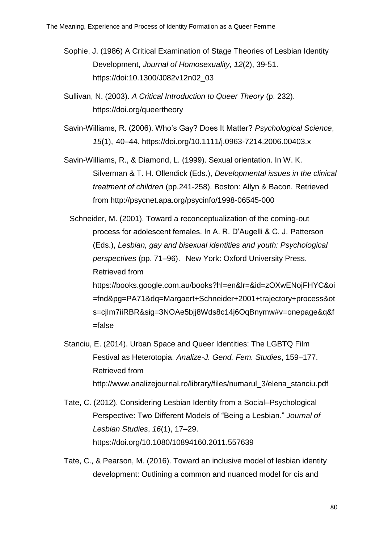- Sophie, J. (1986) A Critical Examination of Stage Theories of Lesbian Identity Development, *Journal of Homosexuality, 12*(2), 39-51. [https://doi:10.1300/J082v12n02\\_03](https://doi:10.1300/J082v12n02_03)
- Sullivan, N. (2003). *A Critical Introduction to Queer Theory* (p. 232). <https://doi.org/queertheory>
- Savin-Williams, R. (2006). Who's Gay? Does It Matter? *Psychological Science*, *15*(1), 40–44.<https://doi.org/10.1111/j.0963-7214.2006.00403.x>
- Savin-Williams, R., & Diamond, L. (1999). Sexual orientation. In W. K. Silverman & T. H. Ollendick (Eds.), *Developmental issues in the clinical treatment of children* (pp.241-258). Boston: Allyn & Bacon. Retrieved from<http://psycnet.apa.org/psycinfo/1998-06545-000>

Schneider, M. (2001). Toward a reconceptualization of the coming-out process for adolescent females. In A. R. D'Augelli & C. J. Patterson (Eds.), *Lesbian, gay and bisexual identities and youth: Psychological perspectives* (pp. 71–96). New York: Oxford University Press. Retrieved from [https://books.google.com.au/books?hl=en&lr=&id=zOXwENojFHYC&oi](https://books.google.com.au/books?hl=en&lr=&id=zOXwENojFHYC&oi%09=fnd&pg=PA71&dq=Margaert+Schneider+2001+trajectory+process&ot%09s=cjIm7iiRBR&sig=3NOAe5bjj8Wds8c14j6OqBnymw#v=onepage&q&f =false) [=fnd&pg=PA71&dq=Margaert+Schneider+2001+trajectory+process&ot](https://books.google.com.au/books?hl=en&lr=&id=zOXwENojFHYC&oi%09=fnd&pg=PA71&dq=Margaert+Schneider+2001+trajectory+process&ot%09s=cjIm7iiRBR&sig=3NOAe5bjj8Wds8c14j6OqBnymw#v=onepage&q&f =false) [s=cjIm7iiRBR&sig=3NOAe5bjj8Wds8c14j6OqBnymw#v=onepage&q&f](https://books.google.com.au/books?hl=en&lr=&id=zOXwENojFHYC&oi%09=fnd&pg=PA71&dq=Margaert+Schneider+2001+trajectory+process&ot%09s=cjIm7iiRBR&sig=3NOAe5bjj8Wds8c14j6OqBnymw#v=onepage&q&f =false) [=false](https://books.google.com.au/books?hl=en&lr=&id=zOXwENojFHYC&oi%09=fnd&pg=PA71&dq=Margaert+Schneider+2001+trajectory+process&ot%09s=cjIm7iiRBR&sig=3NOAe5bjj8Wds8c14j6OqBnymw#v=onepage&q&f =false)

- Stanciu, E. (2014). Urban Space and Queer Identities: The LGBTQ Film Festival as Heterotopia. *Analize-J. Gend. Fem. Studies*, 159–177. Retrieved from [http://www.analizejournal.ro/library/files/numarul\\_3/elena\\_stanciu.pdf](http://www.analize-journal.ro/library/files/numarul_3/elena_stanciu.pdf)
- Tate, C. (2012). Considering Lesbian Identity from a Social–Psychological Perspective: Two Different Models of "Being a Lesbian." *Journal of Lesbian Studies*, *16*(1), 17–29. <https://doi.org/10.1080/10894160.2011.557639>
- Tate, C., & Pearson, M. (2016). Toward an inclusive model of lesbian identity development: Outlining a common and nuanced model for cis and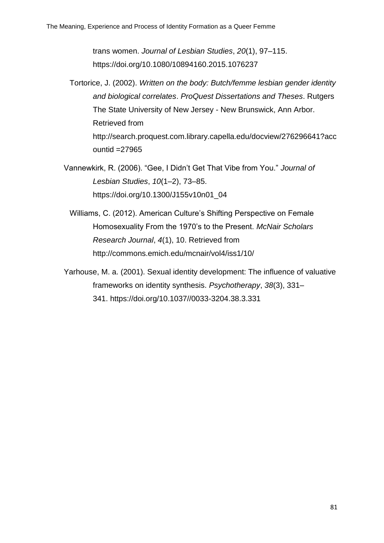trans women. *Journal of Lesbian Studies*, *20*(1), 97–115. <https://doi.org/10.1080/10894160.2015.1076237>

- Tortorice, J. (2002). *Written on the body: Butch/femme lesbian gender identity and biological correlates*. *ProQuest Dissertations and Theses*. Rutgers The State University of New Jersey - New Brunswick, Ann Arbor. Retrieved from [http://search.proquest.com.library.capella.edu/docview/276296641?acc](http://search.proquest.com.library.capella.edu/docview/276296641?acc%09ountid%09=27965) ountid [=27965](http://search.proquest.com.library.capella.edu/docview/276296641?acc%09ountid%09=27965)
- Vannewkirk, R. (2006). "Gee, I Didn't Get That Vibe from You." *Journal of Lesbian Studies*, *10*(1–2), 73–85. [https://doi.org/10.1300/J155v10n01\\_04](https://doi.org/10.1300/J155v10n01_04)
	- Williams, C. (2012). American Culture's Shifting Perspective on Female Homosexuality From the 1970's to the Present. *McNair Scholars Research Journal*, *4*(1), 10. Retrieved from <http://commons.emich.edu/mcnair/vol4/iss1/10/>
- Yarhouse, M. a. (2001). Sexual identity development: The influence of valuative frameworks on identity synthesis. *Psychotherapy*, *38*(3), 331– 341. [https://doi.org/10.1037//0033-3204.38.3.331](https://doi.org/10.1037/0033-3204.38.3.331)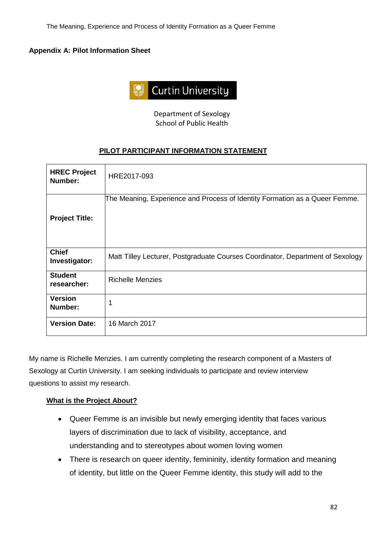#### **Appendix A: Pilot Information Sheet**



Department of Sexology School of Public Health

## **PILOT PARTICIPANT INFORMATION STATEMENT**

| <b>HREC Project</b><br>Number: | HRE2017-093                                                                    |
|--------------------------------|--------------------------------------------------------------------------------|
| <b>Project Title:</b>          | The Meaning, Experience and Process of Identity Formation as a Queer Femme.    |
| <b>Chief</b><br>Investigator:  | Matt Tilley Lecturer, Postgraduate Courses Coordinator, Department of Sexology |
| <b>Student</b><br>researcher:  | <b>Richelle Menzies</b>                                                        |
| <b>Version</b><br>Number:      | 1                                                                              |
| <b>Version Date:</b>           | 16 March 2017                                                                  |

My name is Richelle Menzies. I am currently completing the research component of a Masters of Sexology at Curtin University. I am seeking individuals to participate and review interview questions to assist my research.

#### **What is the Project About?**

- Queer Femme is an invisible but newly emerging identity that faces various layers of discrimination due to lack of visibility, acceptance, and understanding and to stereotypes about women loving women
- There is research on queer identity, femininity, identity formation and meaning of identity, but little on the Queer Femme identity, this study will add to the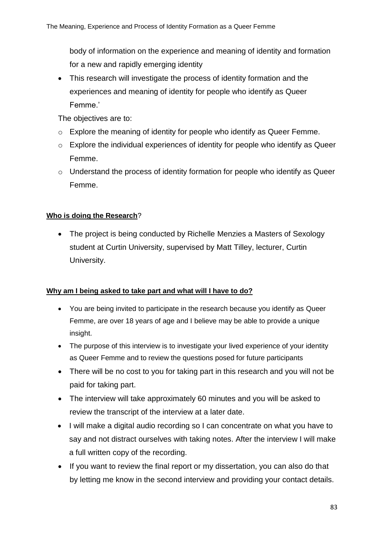body of information on the experience and meaning of identity and formation for a new and rapidly emerging identity

• This research will investigate the process of identity formation and the experiences and meaning of identity for people who identify as Queer Femme.'

The objectives are to:

- o Explore the meaning of identity for people who identify as Queer Femme.
- o Explore the individual experiences of identity for people who identify as Queer Femme.
- $\circ$  Understand the process of identity formation for people who identify as Queer Femme.

# **Who is doing the Research**?

• The project is being conducted by Richelle Menzies a Masters of Sexology student at Curtin University, supervised by Matt Tilley, lecturer, Curtin University.

## **Why am I being asked to take part and what will I have to do?**

- You are being invited to participate in the research because you identify as Queer Femme, are over 18 years of age and I believe may be able to provide a unique insight.
- The purpose of this interview is to investigate your lived experience of your identity as Queer Femme and to review the questions posed for future participants
- There will be no cost to you for taking part in this research and you will not be paid for taking part.
- The interview will take approximately 60 minutes and you will be asked to review the transcript of the interview at a later date.
- I will make a digital audio recording so I can concentrate on what you have to say and not distract ourselves with taking notes. After the interview I will make a full written copy of the recording.
- If you want to review the final report or my dissertation, you can also do that by letting me know in the second interview and providing your contact details.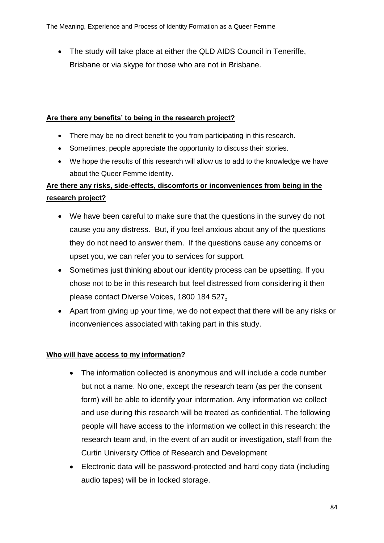• The study will take place at either the QLD AIDS Council in Teneriffe, Brisbane or via skype for those who are not in Brisbane*.*

### **Are there any benefits' to being in the research project?**

- There may be no direct benefit to you from participating in this research.
- Sometimes, people appreciate the opportunity to discuss their stories.
- We hope the results of this research will allow us to add to the knowledge we have about the Queer Femme identity.

# **Are there any risks, side-effects, discomforts or inconveniences from being in the research project?**

- We have been careful to make sure that the questions in the survey do not cause you any distress. But, if you feel anxious about any of the questions they do not need to answer them. If the questions cause any concerns or upset you, we can refer you to services for support.
- Sometimes just thinking about our identity process can be upsetting. If you chose not to be in this research but feel distressed from considering it then please contact Diverse Voices, 1800 184 527**.**
- Apart from giving up your time, we do not expect that there will be any risks or inconveniences associated with taking part in this study.

## **Who will have access to my information?**

- The information collected is anonymous and will include a code number but not a name. No one, except the research team (as per the consent form) will be able to identify your information. Any information we collect and use during this research will be treated as confidential. The following people will have access to the information we collect in this research: the research team and, in the event of an audit or investigation, staff from the Curtin University Office of Research and Development
- Electronic data will be password-protected and hard copy data (including audio tapes) will be in locked storage.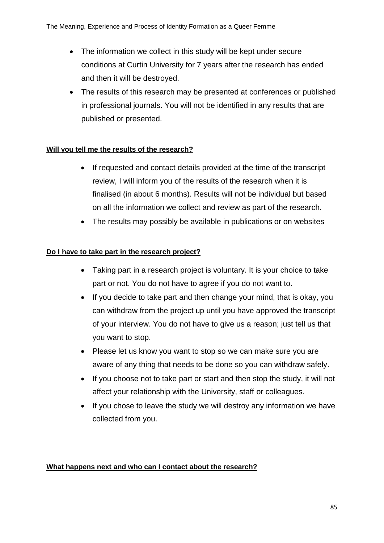- The information we collect in this study will be kept under secure conditions at Curtin University for 7 years after the research has ended and then it will be destroyed.
- The results of this research may be presented at conferences or published in professional journals. You will not be identified in any results that are published or presented.

## **Will you tell me the results of the research?**

- If requested and contact details provided at the time of the transcript review, I will inform you of the results of the research when it is finalised (in about 6 months). Results will not be individual but based on all the information we collect and review as part of the research.
- The results may possibly be available in publications or on websites

# **Do I have to take part in the research project?**

- Taking part in a research project is voluntary. It is your choice to take part or not. You do not have to agree if you do not want to.
- If you decide to take part and then change your mind, that is okay, you can withdraw from the project up until you have approved the transcript of your interview. You do not have to give us a reason; just tell us that you want to stop.
- Please let us know you want to stop so we can make sure you are aware of any thing that needs to be done so you can withdraw safely.
- If you choose not to take part or start and then stop the study, it will not affect your relationship with the University, staff or colleagues.
- If you chose to leave the study we will destroy any information we have collected from you.

## **What happens next and who can I contact about the research?**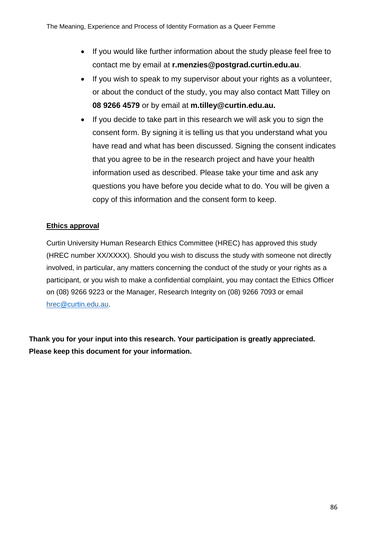- If you would like further information about the study please feel free to contact me by email at **r.menzies@postgrad.curtin.edu.au**.
- If you wish to speak to my supervisor about your rights as a volunteer, or about the conduct of the study, you may also contact Matt Tilley on **08 9266 4579** or by email at **m.tilley@curtin.edu.au.**
- If you decide to take part in this research we will ask you to sign the consent form. By signing it is telling us that you understand what you have read and what has been discussed. Signing the consent indicates that you agree to be in the research project and have your health information used as described. Please take your time and ask any questions you have before you decide what to do. You will be given a copy of this information and the consent form to keep.

# **Ethics approval**

Curtin University Human Research Ethics Committee (HREC) has approved this study (HREC number XX/XXXX). Should you wish to discuss the study with someone not directly involved, in particular, any matters concerning the conduct of the study or your rights as a participant, or you wish to make a confidential complaint, you may contact the Ethics Officer on (08) 9266 9223 or the Manager, Research Integrity on (08) 9266 7093 or email [hrec@curtin.edu.au.](mailto:hrec@curtin.edu.au)

**Thank you for your input into this research. Your participation is greatly appreciated. Please keep this document for your information.**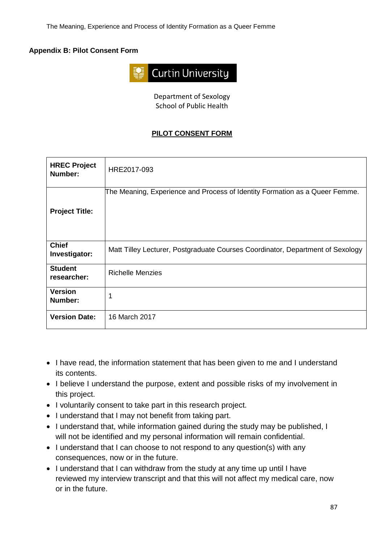## **Appendix B: Pilot Consent Form**



Department of Sexology School of Public Health

## **PILOT CONSENT FORM**

| <b>HREC Project</b><br>Number: | HRE2017-093                                                                    |
|--------------------------------|--------------------------------------------------------------------------------|
| <b>Project Title:</b>          | The Meaning, Experience and Process of Identity Formation as a Queer Femme.    |
| <b>Chief</b><br>Investigator:  | Matt Tilley Lecturer, Postgraduate Courses Coordinator, Department of Sexology |
| <b>Student</b><br>researcher:  | <b>Richelle Menzies</b>                                                        |
| <b>Version</b><br>Number:      | 1                                                                              |
| <b>Version Date:</b>           | 16 March 2017                                                                  |

- I have read, the information statement that has been given to me and I understand its contents.
- I believe I understand the purpose, extent and possible risks of my involvement in this project.
- I voluntarily consent to take part in this research project.
- I understand that I may not benefit from taking part.
- I understand that, while information gained during the study may be published, I will not be identified and my personal information will remain confidential.
- I understand that I can choose to not respond to any question(s) with any consequences, now or in the future.
- I understand that I can withdraw from the study at any time up until I have reviewed my interview transcript and that this will not affect my medical care, now or in the future.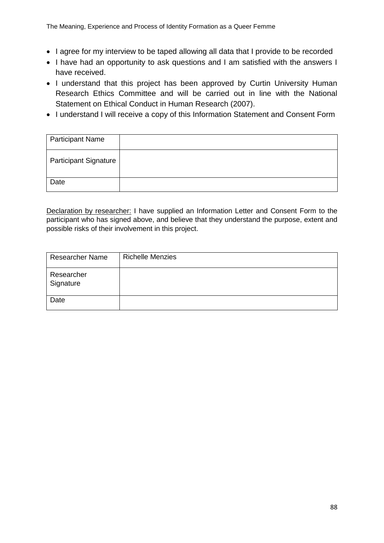- I agree for my interview to be taped allowing all data that I provide to be recorded
- I have had an opportunity to ask questions and I am satisfied with the answers I have received.
- I understand that this project has been approved by Curtin University Human Research Ethics Committee and will be carried out in line with the National Statement on Ethical Conduct in Human Research (2007).
- I understand I will receive a copy of this Information Statement and Consent Form

| <b>Participant Name</b>      |  |
|------------------------------|--|
| <b>Participant Signature</b> |  |
| Date                         |  |

Declaration by researcher: I have supplied an Information Letter and Consent Form to the participant who has signed above, and believe that they understand the purpose, extent and possible risks of their involvement in this project.

| <b>Researcher Name</b>  | <b>Richelle Menzies</b> |
|-------------------------|-------------------------|
| Researcher<br>Signature |                         |
| Date                    |                         |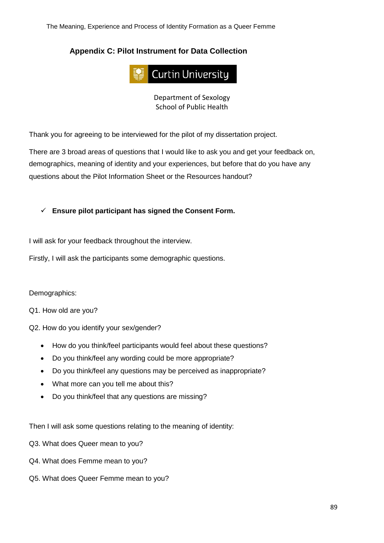The Meaning, Experience and Process of Identity Formation as a Queer Femme

# **Appendix C: Pilot Instrument for Data Collection**



Department of Sexology School of Public Health

Thank you for agreeing to be interviewed for the pilot of my dissertation project.

There are 3 broad areas of questions that I would like to ask you and get your feedback on, demographics, meaning of identity and your experiences, but before that do you have any questions about the Pilot Information Sheet or the Resources handout?

✓ **Ensure pilot participant has signed the Consent Form.** 

I will ask for your feedback throughout the interview.

Firstly, I will ask the participants some demographic questions.

Demographics:

Q1. How old are you?

Q2. How do you identify your sex/gender?

- How do you think/feel participants would feel about these questions?
- Do you think/feel any wording could be more appropriate?
- Do you think/feel any questions may be perceived as inappropriate?
- What more can you tell me about this?
- Do you think/feel that any questions are missing?

Then I will ask some questions relating to the meaning of identity:

Q3. What does Queer mean to you?

- Q4. What does Femme mean to you?
- Q5. What does Queer Femme mean to you?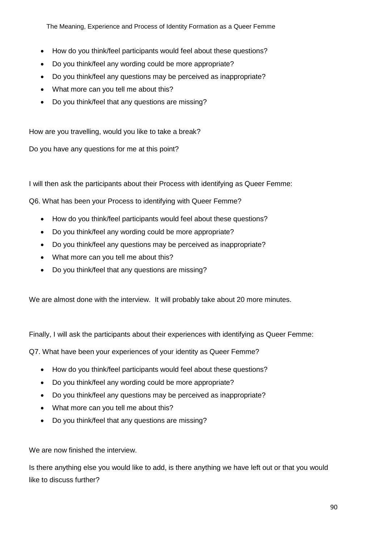The Meaning, Experience and Process of Identity Formation as a Queer Femme

- How do you think/feel participants would feel about these questions?
- Do you think/feel any wording could be more appropriate?
- Do you think/feel any questions may be perceived as inappropriate?
- What more can you tell me about this?
- Do you think/feel that any questions are missing?

How are you travelling, would you like to take a break?

Do you have any questions for me at this point?

I will then ask the participants about their Process with identifying as Queer Femme:

Q6. What has been your Process to identifying with Queer Femme?

- How do you think/feel participants would feel about these questions?
- Do you think/feel any wording could be more appropriate?
- Do you think/feel any questions may be perceived as inappropriate?
- What more can you tell me about this?
- Do you think/feel that any questions are missing?

We are almost done with the interview. It will probably take about 20 more minutes.

Finally, I will ask the participants about their experiences with identifying as Queer Femme:

Q7. What have been your experiences of your identity as Queer Femme?

- How do you think/feel participants would feel about these questions?
- Do you think/feel any wording could be more appropriate?
- Do you think/feel any questions may be perceived as inappropriate?
- What more can you tell me about this?
- Do you think/feel that any questions are missing?

We are now finished the interview.

Is there anything else you would like to add, is there anything we have left out or that you would like to discuss further?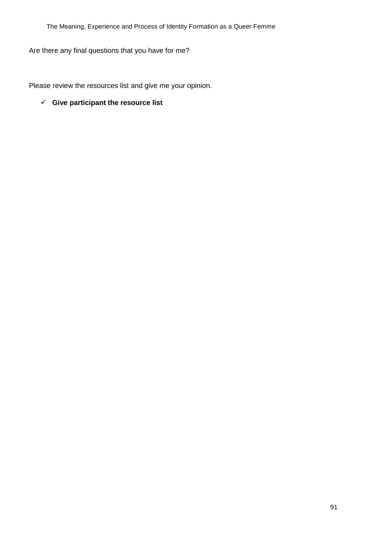Are there any final questions that you have for me?

Please review the resources list and give me your opinion.

✓ **Give participant the resource list**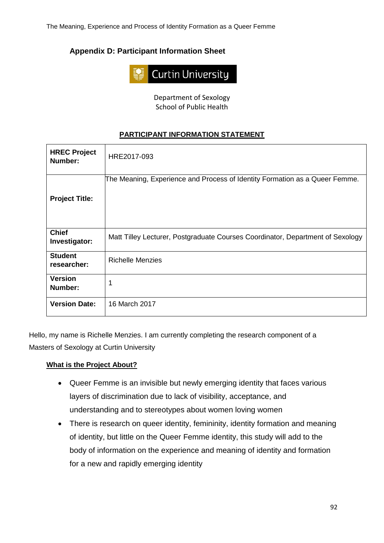# **Appendix D: Participant Information Sheet**



Department of Sexology School of Public Health

# **PARTICIPANT INFORMATION STATEMENT**

| <b>HREC Project</b><br>Number: | HRE2017-093                                                                    |
|--------------------------------|--------------------------------------------------------------------------------|
| <b>Project Title:</b>          | The Meaning, Experience and Process of Identity Formation as a Queer Femme.    |
| <b>Chief</b><br>Investigator:  | Matt Tilley Lecturer, Postgraduate Courses Coordinator, Department of Sexology |
| <b>Student</b><br>researcher:  | <b>Richelle Menzies</b>                                                        |
| <b>Version</b><br>Number:      | 1                                                                              |
| <b>Version Date:</b>           | 16 March 2017                                                                  |

Hello, my name is Richelle Menzies. I am currently completing the research component of a Masters of Sexology at Curtin University

# **What is the Project About?**

- Queer Femme is an invisible but newly emerging identity that faces various layers of discrimination due to lack of visibility, acceptance, and understanding and to stereotypes about women loving women
- There is research on queer identity, femininity, identity formation and meaning of identity, but little on the Queer Femme identity, this study will add to the body of information on the experience and meaning of identity and formation for a new and rapidly emerging identity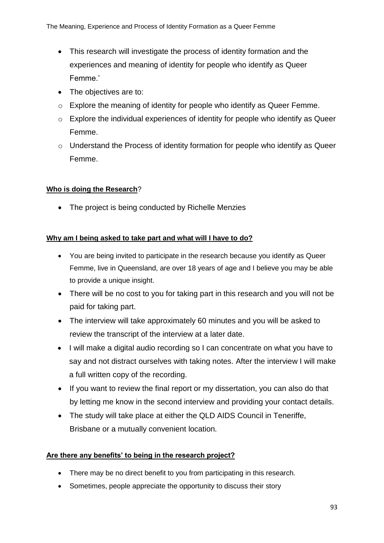- This research will investigate the process of identity formation and the experiences and meaning of identity for people who identify as Queer Femme.'
- The objectives are to:
- o Explore the meaning of identity for people who identify as Queer Femme.
- o Explore the individual experiences of identity for people who identify as Queer Femme.
- o Understand the Process of identity formation for people who identify as Queer Femme.

## **Who is doing the Research**?

• The project is being conducted by Richelle Menzies

## **Why am I being asked to take part and what will I have to do?**

- You are being invited to participate in the research because you identify as Queer Femme, live in Queensland, are over 18 years of age and I believe you may be able to provide a unique insight.
- There will be no cost to you for taking part in this research and you will not be paid for taking part.
- The interview will take approximately 60 minutes and you will be asked to review the transcript of the interview at a later date.
- I will make a digital audio recording so I can concentrate on what you have to say and not distract ourselves with taking notes. After the interview I will make a full written copy of the recording.
- If you want to review the final report or my dissertation, you can also do that by letting me know in the second interview and providing your contact details.
- The study will take place at either the QLD AIDS Council in Teneriffe, Brisbane or a mutually convenient location*.*

## **Are there any benefits' to being in the research project?**

- There may be no direct benefit to you from participating in this research.
- Sometimes, people appreciate the opportunity to discuss their story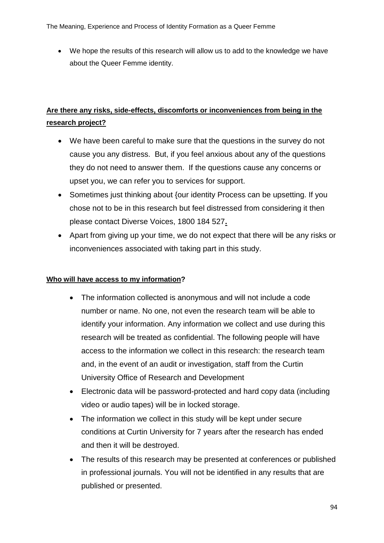• We hope the results of this research will allow us to add to the knowledge we have about the Queer Femme identity.

# **Are there any risks, side-effects, discomforts or inconveniences from being in the research project?**

- We have been careful to make sure that the questions in the survey do not cause you any distress. But, if you feel anxious about any of the questions they do not need to answer them. If the questions cause any concerns or upset you, we can refer you to services for support.
- Sometimes just thinking about {our identity Process can be upsetting. If you chose not to be in this research but feel distressed from considering it then please contact Diverse Voices, 1800 184 527**.**
- Apart from giving up your time, we do not expect that there will be any risks or inconveniences associated with taking part in this study.

## **Who will have access to my information?**

- The information collected is anonymous and will not include a code number or name. No one, not even the research team will be able to identify your information. Any information we collect and use during this research will be treated as confidential. The following people will have access to the information we collect in this research: the research team and, in the event of an audit or investigation, staff from the Curtin University Office of Research and Development
- Electronic data will be password-protected and hard copy data (including video or audio tapes) will be in locked storage.
- The information we collect in this study will be kept under secure conditions at Curtin University for 7 years after the research has ended and then it will be destroyed.
- The results of this research may be presented at conferences or published in professional journals. You will not be identified in any results that are published or presented.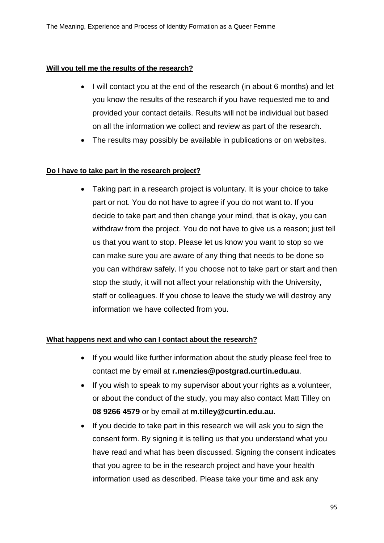### **Will you tell me the results of the research?**

- I will contact you at the end of the research (in about 6 months) and let you know the results of the research if you have requested me to and provided your contact details. Results will not be individual but based on all the information we collect and review as part of the research.
- The results may possibly be available in publications or on websites.

### **Do I have to take part in the research project?**

• Taking part in a research project is voluntary. It is your choice to take part or not. You do not have to agree if you do not want to. If you decide to take part and then change your mind, that is okay, you can withdraw from the project. You do not have to give us a reason; just tell us that you want to stop. Please let us know you want to stop so we can make sure you are aware of any thing that needs to be done so you can withdraw safely. If you choose not to take part or start and then stop the study, it will not affect your relationship with the University, staff or colleagues. If you chose to leave the study we will destroy any information we have collected from you.

#### **What happens next and who can I contact about the research?**

- If you would like further information about the study please feel free to contact me by email at **r.menzies@postgrad.curtin.edu.au**.
- If you wish to speak to my supervisor about your rights as a volunteer, or about the conduct of the study, you may also contact Matt Tilley on **08 9266 4579** or by email at **m.tilley@curtin.edu.au.**
- If you decide to take part in this research we will ask you to sign the consent form. By signing it is telling us that you understand what you have read and what has been discussed. Signing the consent indicates that you agree to be in the research project and have your health information used as described. Please take your time and ask any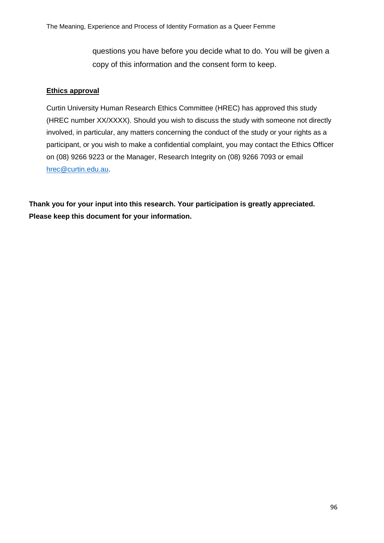questions you have before you decide what to do. You will be given a copy of this information and the consent form to keep.

### **Ethics approval**

Curtin University Human Research Ethics Committee (HREC) has approved this study (HREC number XX/XXXX). Should you wish to discuss the study with someone not directly involved, in particular, any matters concerning the conduct of the study or your rights as a participant, or you wish to make a confidential complaint, you may contact the Ethics Officer on (08) 9266 9223 or the Manager, Research Integrity on (08) 9266 7093 or email [hrec@curtin.edu.au.](mailto:hrec@curtin.edu.au)

**Thank you for your input into this research. Your participation is greatly appreciated. Please keep this document for your information.**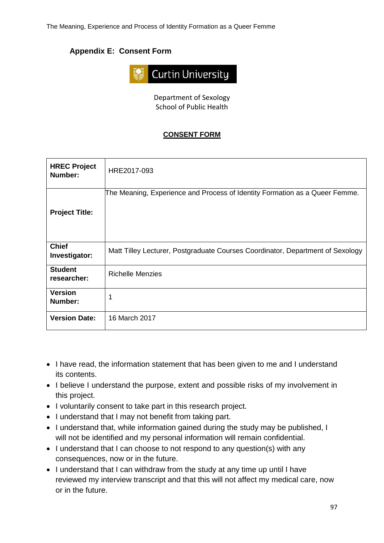# **Appendix E: Consent Form**



Department of Sexology School of Public Health

# **CONSENT FORM**

| <b>HREC Project</b><br>Number: | HRE2017-093                                                                    |
|--------------------------------|--------------------------------------------------------------------------------|
| <b>Project Title:</b>          | The Meaning, Experience and Process of Identity Formation as a Queer Femme.    |
| <b>Chief</b><br>Investigator:  | Matt Tilley Lecturer, Postgraduate Courses Coordinator, Department of Sexology |
| <b>Student</b><br>researcher:  | <b>Richelle Menzies</b>                                                        |
| <b>Version</b><br>Number:      | 1                                                                              |
| <b>Version Date:</b>           | 16 March 2017                                                                  |

- I have read, the information statement that has been given to me and I understand its contents.
- I believe I understand the purpose, extent and possible risks of my involvement in this project.
- I voluntarily consent to take part in this research project.
- I understand that I may not benefit from taking part.
- I understand that, while information gained during the study may be published, I will not be identified and my personal information will remain confidential.
- I understand that I can choose to not respond to any question(s) with any consequences, now or in the future.
- I understand that I can withdraw from the study at any time up until I have reviewed my interview transcript and that this will not affect my medical care, now or in the future.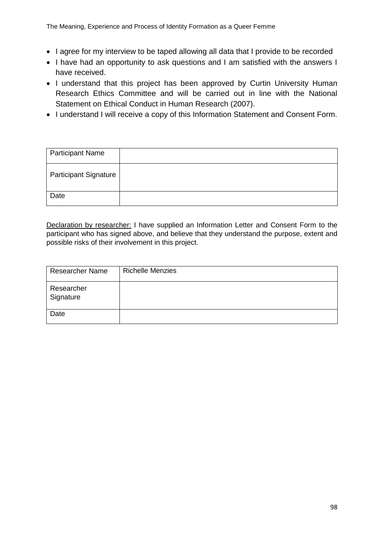- I agree for my interview to be taped allowing all data that I provide to be recorded
- I have had an opportunity to ask questions and I am satisfied with the answers I have received.
- I understand that this project has been approved by Curtin University Human Research Ethics Committee and will be carried out in line with the National Statement on Ethical Conduct in Human Research (2007).
- I understand I will receive a copy of this Information Statement and Consent Form.

| <b>Participant Name</b>      |  |
|------------------------------|--|
| <b>Participant Signature</b> |  |
| Date                         |  |

Declaration by researcher: I have supplied an Information Letter and Consent Form to the participant who has signed above, and believe that they understand the purpose, extent and possible risks of their involvement in this project.

| <b>Researcher Name</b>  | <b>Richelle Menzies</b> |
|-------------------------|-------------------------|
| Researcher<br>Signature |                         |
| Date                    |                         |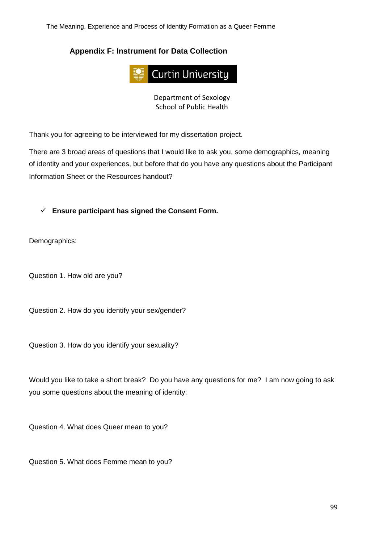The Meaning, Experience and Process of Identity Formation as a Queer Femme

# **Appendix F: Instrument for Data Collection**



Department of Sexology School of Public Health

Thank you for agreeing to be interviewed for my dissertation project.

There are 3 broad areas of questions that I would like to ask you, some demographics, meaning of identity and your experiences, but before that do you have any questions about the Participant Information Sheet or the Resources handout?

✓ **Ensure participant has signed the Consent Form.**

Demographics:

Question 1. How old are you?

Question 2. How do you identify your sex/gender?

Question 3. How do you identify your sexuality?

Would you like to take a short break? Do you have any questions for me? I am now going to ask you some questions about the meaning of identity:

Question 4. What does Queer mean to you?

Question 5. What does Femme mean to you?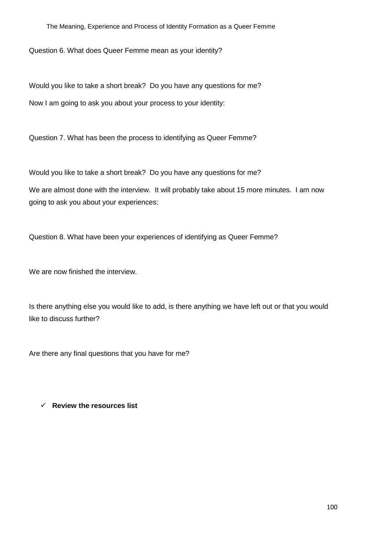Question 6. What does Queer Femme mean as your identity?

Would you like to take a short break? Do you have any questions for me? Now I am going to ask you about your process to your identity:

Question 7. What has been the process to identifying as Queer Femme?

Would you like to take a short break? Do you have any questions for me?

We are almost done with the interview. It will probably take about 15 more minutes. I am now going to ask you about your experiences:

Question 8. What have been your experiences of identifying as Queer Femme?

We are now finished the interview.

Is there anything else you would like to add, is there anything we have left out or that you would like to discuss further?

Are there any final questions that you have for me?

✓ **Review the resources list**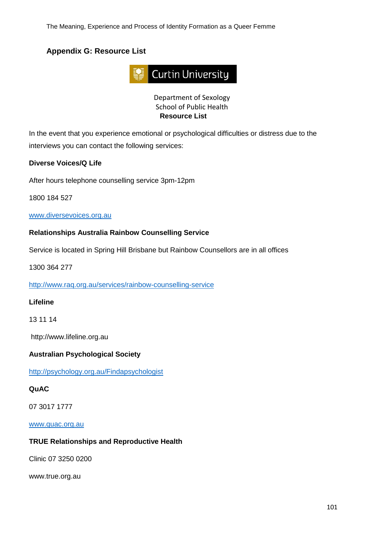# **Appendix G: Resource List**



Department of Sexology School of Public Health **Resource List**

In the event that you experience emotional or psychological difficulties or distress due to the interviews you can contact the following services:

#### **Diverse Voices/Q Life**

After hours telephone counselling service 3pm-12pm

1800 184 527

#### [www.diversevoices.org.au](http://www.diversevoices.org.au/)

### **Relationships Australia Rainbow Counselling Service**

Service is located in Spring Hill Brisbane but Rainbow Counsellors are in all offices

1300 364 277

<http://www.raq.org.au/services/rainbow-counselling-service>

#### **Lifeline**

13 11 14

http://www.lifeline.org.au

#### **Australian Psychological Society**

<http://psychology.org.au/Findapsychologist>

#### **QuAC**

07 3017 1777

[www.quac.org.au](http://www.quac.org.au/)

#### **TRUE Relationships and Reproductive Health**

Clinic 07 3250 0200

www.true.org.au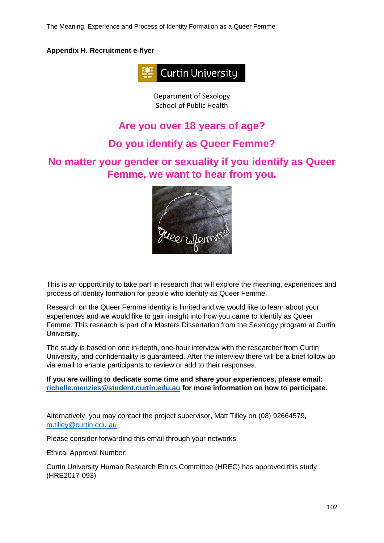The Meaning, Experience and Process of Identity Formation as a Queer Femme

### **Appendix H. Recruitment e-flyer**



Department of Sexology School of Public Health

# **Are you over 18 years of age?**

# **Do you identify as Queer Femme?**

# **No matter your gender or sexuality if you identify as Queer Femme, we want to hear from you.**



This is an opportunity to take part in research that will explore the meaning, experiences and process of identity formation for people who identify as Queer Femme.

Research on the Queer Femme identity is limited and we would like to learn about your experiences and we would like to gain insight into how you came to identify as Queer Femme. This research is part of a Masters Dissertation from the Sexology program at Curtin University.

The study is based on one in-depth, one-hour interview with the researcher from Curtin University, and confidentiality is guaranteed. After the interview there will be a brief follow up via email to enable participants to review or add to their responses.

**If you are willing to dedicate some time and share your experiences, please email: [richelle.menzies@student.curtin.edu.au](mailto:richelle.menzies@student.curtin.edu.au) for more information on how to participate.**

Alternatively, you may contact the project supervisor, Matt Tilley on (08) 92664579, [m.tilley@curtin.edu.au](mailto:m.tilley@curtin.edu.au) 

Please consider forwarding this email through your networks.

Ethical Approval Number:

Curtin University Human Research Ethics Committee (HREC) has approved this study (HRE2017-093)